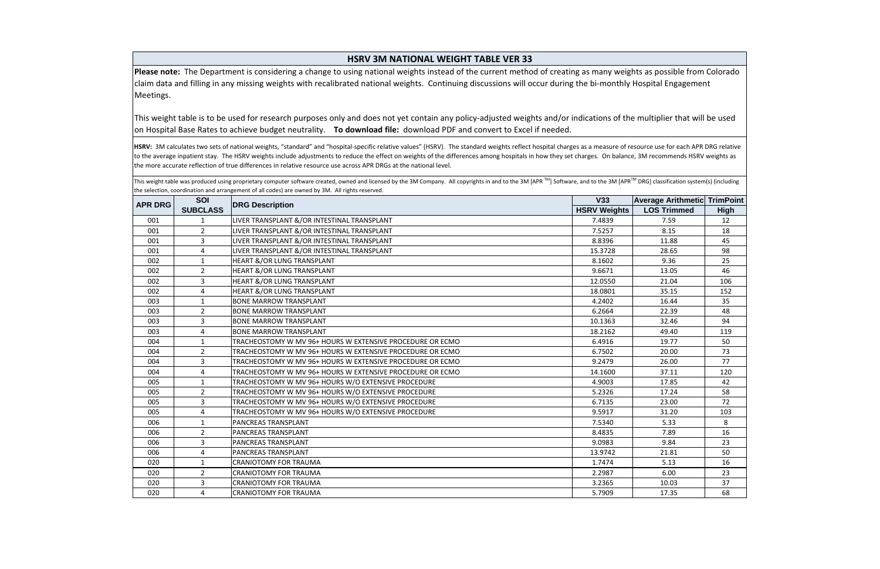| <b>HSRV 3M NATIONAL WEIGHT TABLE VER 33</b> |                 |                                                                                                                                                                                                                                                                                                                                                                                                                                                                                                                                                    |                     |                           |                  |
|---------------------------------------------|-----------------|----------------------------------------------------------------------------------------------------------------------------------------------------------------------------------------------------------------------------------------------------------------------------------------------------------------------------------------------------------------------------------------------------------------------------------------------------------------------------------------------------------------------------------------------------|---------------------|---------------------------|------------------|
| Meetings.                                   |                 | Please note: The Department is considering a change to using national weights instead of the current method of creating as many weights as possible from Colorado<br>claim data and filling in any missing weights with recalibrated national weights. Continuing discussions will occur during the bi-monthly Hospital Engagement                                                                                                                                                                                                                 |                     |                           |                  |
|                                             |                 | This weight table is to be used for research purposes only and does not yet contain any policy-adjusted weights and/or indications of the multiplier that will be used<br>on Hospital Base Rates to achieve budget neutrality. To download file: download PDF and convert to Excel if needed.                                                                                                                                                                                                                                                      |                     |                           |                  |
|                                             |                 |                                                                                                                                                                                                                                                                                                                                                                                                                                                                                                                                                    |                     |                           |                  |
|                                             |                 | HSRV: 3M calculates two sets of national weights, "standard" and "hospital-specific relative values" (HSRV). The standard weights reflect hospital charges as a measure of resource use for each APR DRG relative<br>to the average inpatient stay. The HSRV weights include adjustments to reduce the effect on weights of the differences among hospitals in how they set charges. On balance, 3M recommends HSRV weights as<br>the more accurate reflection of true differences in relative resource use across APR DRGs at the national level. |                     |                           |                  |
|                                             |                 | This weight table was produced using proprietary computer software created, owned and licensed by the 3M Company. All copyrights in and to the 3M [APR™] Software, and to the 3M [APR™ DRG] classification system(s) (includi<br>the selection, coordination and arrangement of all codes) are owned by 3M. All rights reserved.                                                                                                                                                                                                                   |                     |                           |                  |
|                                             | <b>SOI</b>      |                                                                                                                                                                                                                                                                                                                                                                                                                                                                                                                                                    | V33                 | <b>Average Arithmetic</b> | <b>TrimPoint</b> |
| <b>APR DRG</b>                              | <b>SUBCLASS</b> | <b>DRG Description</b>                                                                                                                                                                                                                                                                                                                                                                                                                                                                                                                             | <b>HSRV Weights</b> | <b>LOS Trimmed</b>        | <b>High</b>      |
| 001                                         |                 | LIVER TRANSPLANT &/OR INTESTINAL TRANSPLANT                                                                                                                                                                                                                                                                                                                                                                                                                                                                                                        | 7.4839              | 7.59                      | 12               |
| 001                                         | $\overline{2}$  | LIVER TRANSPLANT &/OR INTESTINAL TRANSPLANT                                                                                                                                                                                                                                                                                                                                                                                                                                                                                                        | 7.5257              | 8.15                      | 18               |
| 001                                         | 3               | LIVER TRANSPLANT &/OR INTESTINAL TRANSPLANT                                                                                                                                                                                                                                                                                                                                                                                                                                                                                                        | 8.8396              | 11.88                     | 45               |
| 001                                         | 4               | LIVER TRANSPLANT &/OR INTESTINAL TRANSPLANT                                                                                                                                                                                                                                                                                                                                                                                                                                                                                                        | 15.3728             | 28.65                     | 98               |
| 002                                         | 1               | <b>HEART &amp;/OR LUNG TRANSPLANT</b>                                                                                                                                                                                                                                                                                                                                                                                                                                                                                                              | 8.1602              | 9.36                      | 25               |
| 002                                         | $\overline{2}$  | <b>HEART &amp;/OR LUNG TRANSPLANT</b>                                                                                                                                                                                                                                                                                                                                                                                                                                                                                                              | 9.6671              | 13.05                     | 46               |
| 002                                         | 3               | HEART &/OR LUNG TRANSPLANT                                                                                                                                                                                                                                                                                                                                                                                                                                                                                                                         | 12.0550             | 21.04                     | 106              |
| 002                                         | 4               | HEART &/OR LUNG TRANSPLANT                                                                                                                                                                                                                                                                                                                                                                                                                                                                                                                         | 18.0801             | 35.15                     | 152              |
| 003                                         | 1               | <b>BONE MARROW TRANSPLANT</b>                                                                                                                                                                                                                                                                                                                                                                                                                                                                                                                      | 4.2402              | 16.44                     | 35               |
| 003                                         | $\overline{2}$  | <b>BONE MARROW TRANSPLANT</b>                                                                                                                                                                                                                                                                                                                                                                                                                                                                                                                      | 6.2664              | 22.39                     | 48               |
| 003                                         | 3               | <b>BONE MARROW TRANSPLANT</b>                                                                                                                                                                                                                                                                                                                                                                                                                                                                                                                      | 10.1363             | 32.46                     | 94               |
| 003                                         | 4               | <b>BONE MARROW TRANSPLANT</b>                                                                                                                                                                                                                                                                                                                                                                                                                                                                                                                      | 18.2162             | 49.40                     | 119              |
| 004                                         | 1               | TRACHEOSTOMY W MV 96+ HOURS W EXTENSIVE PROCEDURE OR ECMO                                                                                                                                                                                                                                                                                                                                                                                                                                                                                          | 6.4916              | 19.77                     | 50               |
| 004                                         | $\overline{2}$  | TRACHEOSTOMY W MV 96+ HOURS W EXTENSIVE PROCEDURE OR ECMO                                                                                                                                                                                                                                                                                                                                                                                                                                                                                          | 6.7502              | 20.00                     | 73               |
| 004                                         | 3               | TRACHEOSTOMY W MV 96+ HOURS W EXTENSIVE PROCEDURE OR ECMO                                                                                                                                                                                                                                                                                                                                                                                                                                                                                          | 9.2479              | 26.00                     | 77               |
| 004                                         | 4               | TRACHEOSTOMY W MV 96+ HOURS W EXTENSIVE PROCEDURE OR ECMO                                                                                                                                                                                                                                                                                                                                                                                                                                                                                          | 14.1600             | 37.11                     | 120              |
| 005                                         | $\mathbf{1}$    | TRACHEOSTOMY W MV 96+ HOURS W/O EXTENSIVE PROCEDURE                                                                                                                                                                                                                                                                                                                                                                                                                                                                                                | 4.9003              | 17.85                     | 42               |
| 005                                         | $\overline{2}$  | TRACHEOSTOMY W MV 96+ HOURS W/O EXTENSIVE PROCEDURE                                                                                                                                                                                                                                                                                                                                                                                                                                                                                                | 5.2326              | 17.24                     | 58               |
| 005                                         | 3               | TRACHEOSTOMY W MV 96+ HOURS W/O EXTENSIVE PROCEDURE                                                                                                                                                                                                                                                                                                                                                                                                                                                                                                | 6.7135              | 23.00                     | 72               |
| 005                                         | 4               | TRACHEOSTOMY W MV 96+ HOURS W/O EXTENSIVE PROCEDURE                                                                                                                                                                                                                                                                                                                                                                                                                                                                                                | 9.5917              | 31.20                     | 103              |
| 006                                         | $\mathbf{1}$    | PANCREAS TRANSPLANT                                                                                                                                                                                                                                                                                                                                                                                                                                                                                                                                | 7.5340              | 5.33                      | 8                |
| 006                                         | $\overline{2}$  | <b>PANCREAS TRANSPLANT</b>                                                                                                                                                                                                                                                                                                                                                                                                                                                                                                                         | 8.4835              | 7.89                      | 16               |
| 006                                         | 3               | PANCREAS TRANSPLANT                                                                                                                                                                                                                                                                                                                                                                                                                                                                                                                                | 9.0983              | 9.84                      | 23               |
| 006                                         | 4               | PANCREAS TRANSPLANT                                                                                                                                                                                                                                                                                                                                                                                                                                                                                                                                | 13.9742             | 21.81                     | 50               |
| 020                                         | 1               | <b>CRANIOTOMY FOR TRAUMA</b>                                                                                                                                                                                                                                                                                                                                                                                                                                                                                                                       | 1.7474              | 5.13                      | 16               |
| 020                                         | $\overline{2}$  | <b>CRANIOTOMY FOR TRAUMA</b>                                                                                                                                                                                                                                                                                                                                                                                                                                                                                                                       | 2.2987              | 6.00                      | 23               |
| 020                                         | $\overline{3}$  | <b>CRANIOTOMY FOR TRAUMA</b>                                                                                                                                                                                                                                                                                                                                                                                                                                                                                                                       | 3.2365              | 10.03                     | 37               |
| 020                                         | 4               | <b>CRANIOTOMY FOR TRAUMA</b>                                                                                                                                                                                                                                                                                                                                                                                                                                                                                                                       | 5.7909              | 17.35                     | 68               |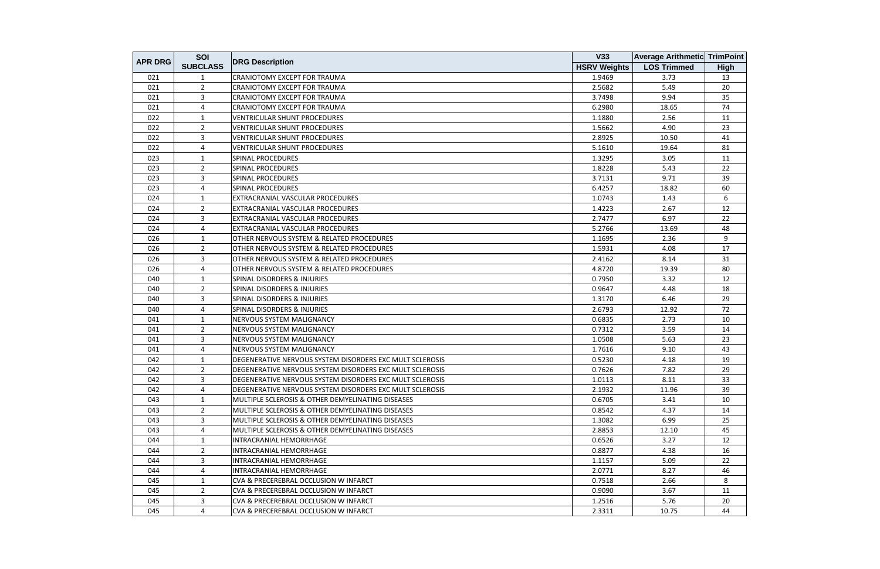| <b>APR DRG</b> | SOI             |                                                          | V33                 | <b>Average Arithmetic TrimPoint</b> |             |
|----------------|-----------------|----------------------------------------------------------|---------------------|-------------------------------------|-------------|
|                | <b>SUBCLASS</b> | <b>DRG Description</b>                                   | <b>HSRV Weights</b> | <b>LOS Trimmed</b>                  | <b>High</b> |
| 021            | 1               | CRANIOTOMY EXCEPT FOR TRAUMA                             | 1.9469              | 3.73                                | 13          |
| 021            | $\overline{2}$  | CRANIOTOMY EXCEPT FOR TRAUMA                             | 2.5682              | 5.49                                | 20          |
| 021            | 3               | <b>CRANIOTOMY EXCEPT FOR TRAUMA</b>                      | 3.7498              | 9.94                                | 35          |
| 021            | 4               | CRANIOTOMY EXCEPT FOR TRAUMA                             | 6.2980              | 18.65                               | 74          |
| 022            | 1               | <b>VENTRICULAR SHUNT PROCEDURES</b>                      | 1.1880              | 2.56                                | 11          |
| 022            | $\overline{2}$  | <b>VENTRICULAR SHUNT PROCEDURES</b>                      | 1.5662              | 4.90                                | 23          |
| 022            | 3               | <b>VENTRICULAR SHUNT PROCEDURES</b>                      | 2.8925              | 10.50                               | 41          |
| 022            | 4               | <b>VENTRICULAR SHUNT PROCEDURES</b>                      | 5.1610              | 19.64                               | 81          |
| 023            | $\mathbf{1}$    | <b>SPINAL PROCEDURES</b>                                 | 1.3295              | 3.05                                | 11          |
| 023            | $\overline{2}$  | <b>SPINAL PROCEDURES</b>                                 | 1.8228              | 5.43                                | 22          |
| 023            | 3               | <b>SPINAL PROCEDURES</b>                                 | 3.7131              | 9.71                                | 39          |
| 023            | 4               | <b>SPINAL PROCEDURES</b>                                 | 6.4257              | 18.82                               | 60          |
| 024            | $\mathbf{1}$    | EXTRACRANIAL VASCULAR PROCEDURES                         | 1.0743              | 1.43                                | 6           |
| 024            | $\overline{2}$  | EXTRACRANIAL VASCULAR PROCEDURES                         | 1.4223              | 2.67                                | 12          |
| 024            | 3               | EXTRACRANIAL VASCULAR PROCEDURES                         | 2.7477              | 6.97                                | 22          |
| 024            | 4               | EXTRACRANIAL VASCULAR PROCEDURES                         | 5.2766              | 13.69                               | 48          |
| 026            | $\mathbf{1}$    | OTHER NERVOUS SYSTEM & RELATED PROCEDURES                | 1.1695              | 2.36                                | 9           |
| 026            | $\overline{2}$  | OTHER NERVOUS SYSTEM & RELATED PROCEDURES                | 1.5931              | 4.08                                | 17          |
| 026            | 3               | OTHER NERVOUS SYSTEM & RELATED PROCEDURES                | 2.4162              | 8.14                                | 31          |
| 026            | 4               | OTHER NERVOUS SYSTEM & RELATED PROCEDURES                | 4.8720              | 19.39                               | 80          |
| 040            | $\mathbf{1}$    | <b>SPINAL DISORDERS &amp; INJURIES</b>                   | 0.7950              | 3.32                                | 12          |
| 040            | 2               | <b>SPINAL DISORDERS &amp; INJURIES</b>                   | 0.9647              | 4.48                                | 18          |
| 040            | 3               | <b>SPINAL DISORDERS &amp; INJURIES</b>                   | 1.3170              | 6.46                                | 29          |
| 040            | 4               | <b>SPINAL DISORDERS &amp; INJURIES</b>                   | 2.6793              | 12.92                               | 72          |
| 041            | 1               | NERVOUS SYSTEM MALIGNANCY                                | 0.6835              | 2.73                                | 10          |
| 041            | $\overline{2}$  | NERVOUS SYSTEM MALIGNANCY                                | 0.7312              | 3.59                                | 14          |
| 041            | 3               | NERVOUS SYSTEM MALIGNANCY                                | 1.0508              | 5.63                                | 23          |
| 041            | 4               | NERVOUS SYSTEM MALIGNANCY                                | 1.7616              | 9.10                                | 43          |
| 042            | 1               | DEGENERATIVE NERVOUS SYSTEM DISORDERS EXC MULT SCLEROSIS | 0.5230              | 4.18                                | 19          |
| 042            | $\overline{2}$  | DEGENERATIVE NERVOUS SYSTEM DISORDERS EXC MULT SCLEROSIS | 0.7626              | 7.82                                | 29          |
| 042            | 3               | DEGENERATIVE NERVOUS SYSTEM DISORDERS EXC MULT SCLEROSIS | 1.0113              | 8.11                                | 33          |
| 042            | 4               | DEGENERATIVE NERVOUS SYSTEM DISORDERS EXC MULT SCLEROSIS | 2.1932              | 11.96                               | 39          |
| 043            | 1               | MULTIPLE SCLEROSIS & OTHER DEMYELINATING DISEASES        | 0.6705              | 3.41                                | 10          |
| 043            | $\overline{2}$  | MULTIPLE SCLEROSIS & OTHER DEMYELINATING DISEASES        | 0.8542              | 4.37                                | 14          |
| 043            | 3               | MULTIPLE SCLEROSIS & OTHER DEMYELINATING DISEASES        | 1.3082              | 6.99                                | 25          |
| 043            | 4               | MULTIPLE SCLEROSIS & OTHER DEMYELINATING DISEASES        | 2.8853              | 12.10                               | 45          |
| 044            | 1               | INTRACRANIAL HEMORRHAGE                                  | 0.6526              | 3.27                                | 12          |
| 044            | $\overline{2}$  | INTRACRANIAL HEMORRHAGE                                  | 0.8877              | 4.38                                | 16          |
| 044            | $\mathbf{3}$    | INTRACRANIAL HEMORRHAGE                                  | 1.1157              | 5.09                                | 22          |
| 044            | 4               | INTRACRANIAL HEMORRHAGE                                  | 2.0771              | 8.27                                | 46          |
| 045            | $\mathbf{1}$    | CVA & PRECEREBRAL OCCLUSION W INFARCT                    | 0.7518              | 2.66                                | 8           |
| 045            | $\overline{2}$  | CVA & PRECEREBRAL OCCLUSION W INFARCT                    | 0.9090              | 3.67                                | 11          |
| 045            | 3               | CVA & PRECEREBRAL OCCLUSION W INFARCT                    | 1.2516              | 5.76                                | 20          |
| 045            | 4               | CVA & PRECEREBRAL OCCLUSION W INFARCT                    | 2.3311              | 10.75                               | 44          |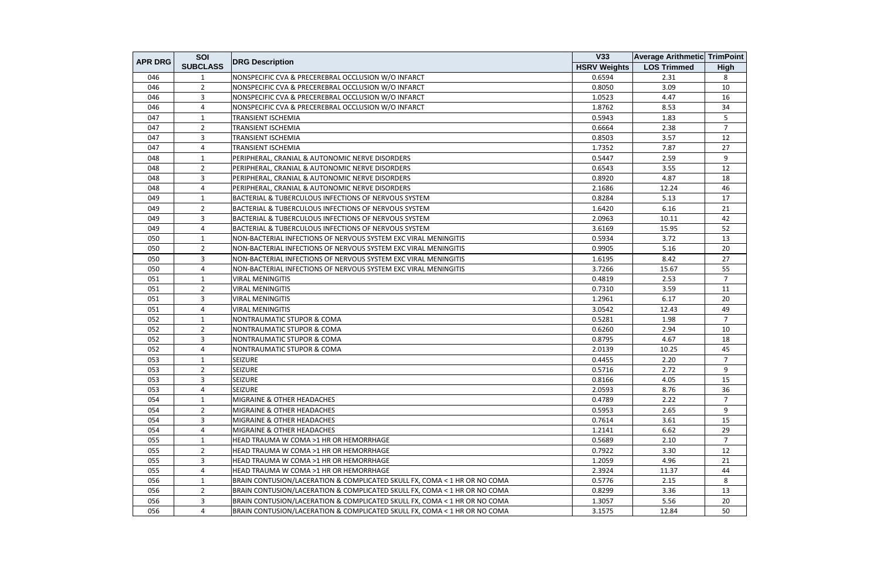|                | SOI             |                                                                           | V33                 | <b>Average Arithmetic TrimPoint</b> |                |
|----------------|-----------------|---------------------------------------------------------------------------|---------------------|-------------------------------------|----------------|
| <b>APR DRG</b> | <b>SUBCLASS</b> | <b>DRG Description</b>                                                    | <b>HSRV Weights</b> | <b>LOS Trimmed</b>                  | <b>High</b>    |
| 046            | 1               | NONSPECIFIC CVA & PRECEREBRAL OCCLUSION W/O INFARCT                       | 0.6594              | 2.31                                | 8              |
| 046            | $\overline{2}$  | NONSPECIFIC CVA & PRECEREBRAL OCCLUSION W/O INFARCT                       | 0.8050              | 3.09                                | 10             |
| 046            | $\overline{3}$  | NONSPECIFIC CVA & PRECEREBRAL OCCLUSION W/O INFARCT                       | 1.0523              | 4.47                                | 16             |
| 046            | 4               | NONSPECIFIC CVA & PRECEREBRAL OCCLUSION W/O INFARCT                       | 1.8762              | 8.53                                | 34             |
| 047            | $\mathbf{1}$    | <b>TRANSIENT ISCHEMIA</b>                                                 | 0.5943              | 1.83                                | 5              |
| 047            | $\overline{2}$  | <b>TRANSIENT ISCHEMIA</b>                                                 | 0.6664              | 2.38                                | $\overline{7}$ |
| 047            | $\overline{3}$  | TRANSIENT ISCHEMIA                                                        | 0.8503              | 3.57                                | 12             |
| 047            | 4               | <b>TRANSIENT ISCHEMIA</b>                                                 | 1.7352              | 7.87                                | 27             |
| 048            | $\mathbf{1}$    | PERIPHERAL, CRANIAL & AUTONOMIC NERVE DISORDERS                           | 0.5447              | 2.59                                | 9              |
| 048            | $\overline{2}$  | PERIPHERAL, CRANIAL & AUTONOMIC NERVE DISORDERS                           | 0.6543              | 3.55                                | 12             |
| 048            | $\overline{3}$  | PERIPHERAL, CRANIAL & AUTONOMIC NERVE DISORDERS                           | 0.8920              | 4.87                                | 18             |
| 048            | 4               | PERIPHERAL, CRANIAL & AUTONOMIC NERVE DISORDERS                           | 2.1686              | 12.24                               | 46             |
| 049            | 1               | BACTERIAL & TUBERCULOUS INFECTIONS OF NERVOUS SYSTEM                      | 0.8284              | 5.13                                | 17             |
| 049            | $\overline{2}$  | BACTERIAL & TUBERCULOUS INFECTIONS OF NERVOUS SYSTEM                      | 1.6420              | 6.16                                | 21             |
| 049            | 3               | BACTERIAL & TUBERCULOUS INFECTIONS OF NERVOUS SYSTEM                      | 2.0963              | 10.11                               | 42             |
| 049            | 4               | BACTERIAL & TUBERCULOUS INFECTIONS OF NERVOUS SYSTEM                      | 3.6169              | 15.95                               | 52             |
| 050            | $\mathbf{1}$    | NON-BACTERIAL INFECTIONS OF NERVOUS SYSTEM EXC VIRAL MENINGITIS           | 0.5934              | 3.72                                | 13             |
| 050            | $\overline{2}$  | NON-BACTERIAL INFECTIONS OF NERVOUS SYSTEM EXC VIRAL MENINGITIS           | 0.9905              | 5.16                                | 20             |
| 050            | 3               | NON-BACTERIAL INFECTIONS OF NERVOUS SYSTEM EXC VIRAL MENINGITIS           | 1.6195              | 8.42                                | 27             |
| 050            | $\overline{4}$  | NON-BACTERIAL INFECTIONS OF NERVOUS SYSTEM EXC VIRAL MENINGITIS           | 3.7266              | 15.67                               | 55             |
| 051            | $\mathbf{1}$    | <b>VIRAL MENINGITIS</b>                                                   | 0.4819              | 2.53                                | $\overline{7}$ |
| 051            | $\overline{2}$  | <b>VIRAL MENINGITIS</b>                                                   | 0.7310              | 3.59                                | 11             |
| 051            | $\overline{3}$  | <b>VIRAL MENINGITIS</b>                                                   | 1.2961              | 6.17                                | 20             |
| 051            | 4               | <b>VIRAL MENINGITIS</b>                                                   | 3.0542              | 12.43                               | 49             |
| 052            | 1               | NONTRAUMATIC STUPOR & COMA                                                | 0.5281              | 1.98                                | $\overline{7}$ |
| 052            | $\overline{2}$  | NONTRAUMATIC STUPOR & COMA                                                | 0.6260              | 2.94                                | 10             |
| 052            | $\overline{3}$  | NONTRAUMATIC STUPOR & COMA                                                | 0.8795              | 4.67                                | 18             |
| 052            | 4               | NONTRAUMATIC STUPOR & COMA                                                | 2.0139              | 10.25                               | 45             |
| 053            | $\mathbf{1}$    | <b>SEIZURE</b>                                                            | 0.4455              | 2.20                                | $\overline{7}$ |
| 053            | $\overline{2}$  | <b>SEIZURE</b>                                                            | 0.5716              | 2.72                                | 9              |
| 053            | 3               | <b>SEIZURE</b>                                                            | 0.8166              | 4.05                                | 15             |
| 053            | 4               | <b>SEIZURE</b>                                                            | 2.0593              | 8.76                                | 36             |
| 054            | 1               | MIGRAINE & OTHER HEADACHES                                                | 0.4789              | 2.22                                | $\overline{7}$ |
| 054            | $\overline{2}$  | MIGRAINE & OTHER HEADACHES                                                | 0.5953              | 2.65                                | 9              |
| 054            | 3               | MIGRAINE & OTHER HEADACHES                                                | 0.7614              | 3.61                                | 15             |
| 054            | 4               | MIGRAINE & OTHER HEADACHES                                                | 1.2141              | 6.62                                | 29             |
| 055            | 1               | HEAD TRAUMA W COMA >1 HR OR HEMORRHAGE                                    | 0.5689              | 2.10                                | $\overline{7}$ |
| 055            | $\overline{2}$  | HEAD TRAUMA W COMA >1 HR OR HEMORRHAGE                                    | 0.7922              | 3.30                                | 12             |
| 055            | 3               | HEAD TRAUMA W COMA >1 HR OR HEMORRHAGE                                    | 1.2059              | 4.96                                | 21             |
| 055            | 4               | HEAD TRAUMA W COMA >1 HR OR HEMORRHAGE                                    | 2.3924              | 11.37                               | 44             |
| 056            | $\mathbf{1}$    | BRAIN CONTUSION/LACERATION & COMPLICATED SKULL FX, COMA < 1 HR OR NO COMA | 0.5776              | 2.15                                | 8              |
| 056            | $\overline{2}$  | BRAIN CONTUSION/LACERATION & COMPLICATED SKULL FX, COMA < 1 HR OR NO COMA | 0.8299              | 3.36                                | 13             |
| 056            | 3               | BRAIN CONTUSION/LACERATION & COMPLICATED SKULL FX, COMA < 1 HR OR NO COMA | 1.3057              | 5.56                                | 20             |
| 056            | 4               | BRAIN CONTUSION/LACERATION & COMPLICATED SKULL FX, COMA < 1 HR OR NO COMA | 3.1575              | 12.84                               | 50             |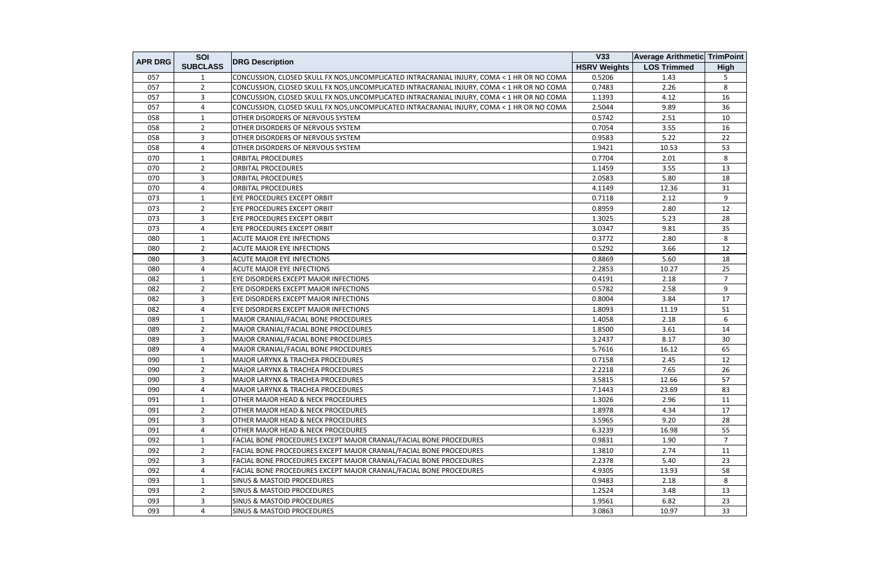| <b>APR DRG</b> | SOI             |                                                                                            | V33                 | <b>Average Arithmetic TrimPoint</b> |                |
|----------------|-----------------|--------------------------------------------------------------------------------------------|---------------------|-------------------------------------|----------------|
|                | <b>SUBCLASS</b> | <b>DRG Description</b>                                                                     | <b>HSRV Weights</b> | <b>LOS Trimmed</b>                  | <b>High</b>    |
| 057            |                 | CONCUSSION, CLOSED SKULL FX NOS, UNCOMPLICATED INTRACRANIAL INJURY, COMA < 1 HR OR NO COMA | 0.5206              | 1.43                                | 5              |
| 057            | $2^{\circ}$     | CONCUSSION, CLOSED SKULL FX NOS, UNCOMPLICATED INTRACRANIAL INJURY, COMA < 1 HR OR NO COMA | 0.7483              | 2.26                                | 8              |
| 057            | 3               | CONCUSSION, CLOSED SKULL FX NOS, UNCOMPLICATED INTRACRANIAL INJURY, COMA < 1 HR OR NO COMA | 1.1393              | 4.12                                | 16             |
| 057            | 4               | CONCUSSION, CLOSED SKULL FX NOS, UNCOMPLICATED INTRACRANIAL INJURY, COMA < 1 HR OR NO COMA | 2.5044              | 9.89                                | 36             |
| 058            | 1               | OTHER DISORDERS OF NERVOUS SYSTEM                                                          | 0.5742              | 2.51                                | 10             |
| 058            | $\overline{2}$  | OTHER DISORDERS OF NERVOUS SYSTEM                                                          | 0.7054              | 3.55                                | 16             |
| 058            | 3               | OTHER DISORDERS OF NERVOUS SYSTEM                                                          | 0.9583              | 5.22                                | 22             |
| 058            | 4               | OTHER DISORDERS OF NERVOUS SYSTEM                                                          | 1.9421              | 10.53                               | 53             |
| 070            | $\mathbf{1}$    | <b>ORBITAL PROCEDURES</b>                                                                  | 0.7704              | 2.01                                | 8              |
| 070            | $\overline{2}$  | <b>ORBITAL PROCEDURES</b>                                                                  | 1.1459              | 3.55                                | 13             |
| 070            | 3               | <b>ORBITAL PROCEDURES</b>                                                                  | 2.0583              | 5.80                                | 18             |
| 070            | 4               | <b>ORBITAL PROCEDURES</b>                                                                  | 4.1149              | 12.36                               | 31             |
| 073            | 1               | <b>EYE PROCEDURES EXCEPT ORBIT</b>                                                         | 0.7118              | 2.12                                | 9              |
| 073            | $\overline{2}$  | EYE PROCEDURES EXCEPT ORBIT                                                                | 0.8959              | 2.80                                | 12             |
| 073            | 3               | <b>EYE PROCEDURES EXCEPT ORBIT</b>                                                         | 1.3025              | 5.23                                | 28             |
| 073            | 4               | EYE PROCEDURES EXCEPT ORBIT                                                                | 3.0347              | 9.81                                | 35             |
| 080            | 1               | <b>ACUTE MAJOR EYE INFECTIONS</b>                                                          | 0.3772              | 2.80                                | 8              |
| 080            | $\overline{2}$  | <b>ACUTE MAJOR EYE INFECTIONS</b>                                                          | 0.5292              | 3.66                                | 12             |
| 080            | 3               | <b>ACUTE MAJOR EYE INFECTIONS</b>                                                          | 0.8869              | 5.60                                | 18             |
| 080            | 4               | <b>ACUTE MAJOR EYE INFECTIONS</b>                                                          | 2.2853              | 10.27                               | 25             |
| 082            | $\mathbf{1}$    | EYE DISORDERS EXCEPT MAJOR INFECTIONS                                                      | 0.4191              | 2.18                                | $\overline{7}$ |
| 082            | $\overline{2}$  | EYE DISORDERS EXCEPT MAJOR INFECTIONS                                                      | 0.5782              | 2.58                                | 9              |
| 082            | 3               | EYE DISORDERS EXCEPT MAJOR INFECTIONS                                                      | 0.8004              | 3.84                                | 17             |
| 082            | 4               | <b>EYE DISORDERS EXCEPT MAJOR INFECTIONS</b>                                               | 1.8093              | 11.19                               | 51             |
| 089            | 1               | MAJOR CRANIAL/FACIAL BONE PROCEDURES                                                       | 1.4058              | 2.18                                | 6              |
| 089            | $\overline{2}$  | MAJOR CRANIAL/FACIAL BONE PROCEDURES                                                       | 1.8500              | 3.61                                | 14             |
| 089            | 3               | MAJOR CRANIAL/FACIAL BONE PROCEDURES                                                       | 3.2437              | 8.17                                | 30             |
| 089            | 4               | MAJOR CRANIAL/FACIAL BONE PROCEDURES                                                       | 5.7616              | 16.12                               | 65             |
| 090            | $\mathbf{1}$    | <b>MAJOR LARYNX &amp; TRACHEA PROCEDURES</b>                                               | 0.7158              | 2.45                                | 12             |
| 090            | $\overline{2}$  | <b>MAJOR LARYNX &amp; TRACHEA PROCEDURES</b>                                               | 2.2218              | 7.65                                | 26             |
| 090            | 3               | <b>MAJOR LARYNX &amp; TRACHEA PROCEDURES</b>                                               | 3.5815              | 12.66                               | 57             |
| 090            | 4               | <b>MAJOR LARYNX &amp; TRACHEA PROCEDURES</b>                                               | 7.1443              | 23.69                               | 83             |
| 091            | 1               | <b>OTHER MAJOR HEAD &amp; NECK PROCEDURES</b>                                              | 1.3026              | 2.96                                | 11             |
| 091            | $\overline{2}$  | <b>OTHER MAJOR HEAD &amp; NECK PROCEDURES</b>                                              | 1.8978              | 4.34                                | 17             |
| 091            | $\mathbf{3}$    | OTHER MAJOR HEAD & NECK PROCEDURES                                                         | 3.5965              | 9.20                                | 28             |
| 091            | 4               | <b>OTHER MAJOR HEAD &amp; NECK PROCEDURES</b>                                              | 6.3239              | 16.98                               | 55             |
| 092            | 1               | FACIAL BONE PROCEDURES EXCEPT MAJOR CRANIAL/FACIAL BONE PROCEDURES                         | 0.9831              | 1.90                                | 7              |
| 092            | $\overline{2}$  | FACIAL BONE PROCEDURES EXCEPT MAJOR CRANIAL/FACIAL BONE PROCEDURES                         | 1.3810              | 2.74                                | 11             |
| 092            | 3               | FACIAL BONE PROCEDURES EXCEPT MAJOR CRANIAL/FACIAL BONE PROCEDURES                         | 2.2378              | 5.40                                | 23             |
| 092            | 4               | FACIAL BONE PROCEDURES EXCEPT MAJOR CRANIAL/FACIAL BONE PROCEDURES                         | 4.9305              | 13.93                               | 58             |
| 093            | 1               | <b>SINUS &amp; MASTOID PROCEDURES</b>                                                      | 0.9483              | 2.18                                | 8              |
| 093            | $\overline{2}$  | <b>SINUS &amp; MASTOID PROCEDURES</b>                                                      | 1.2524              | 3.48                                | 13             |
| 093            | 3               | <b>SINUS &amp; MASTOID PROCEDURES</b>                                                      | 1.9561              | 6.82                                | 23             |
| 093            | 4               | <b>SINUS &amp; MASTOID PROCEDURES</b>                                                      | 3.0863              | 10.97                               | 33             |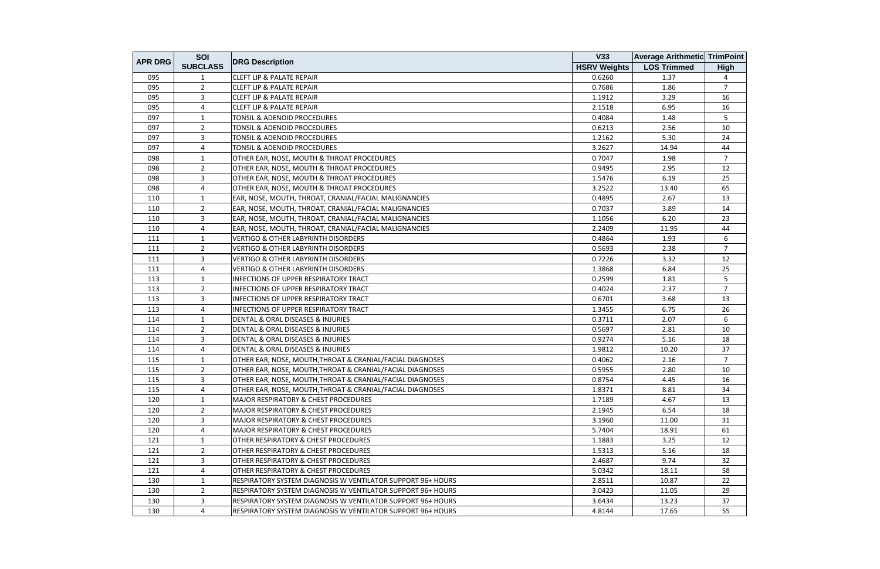| <b>APR DRG</b> | SOI             |                                                             | V33                 | <b>Average Arithmetic TrimPoint</b> |                |
|----------------|-----------------|-------------------------------------------------------------|---------------------|-------------------------------------|----------------|
|                | <b>SUBCLASS</b> | <b>DRG Description</b>                                      | <b>HSRV Weights</b> | <b>LOS Trimmed</b>                  | <b>High</b>    |
| 095            |                 | <b>CLEFT LIP &amp; PALATE REPAIR</b>                        | 0.6260              | 1.37                                | 4              |
| 095            | $\overline{2}$  | <b>CLEFT LIP &amp; PALATE REPAIR</b>                        | 0.7686              | 1.86                                | $\overline{7}$ |
| 095            | $\overline{3}$  | <b>CLEFT LIP &amp; PALATE REPAIR</b>                        | 1.1912              | 3.29                                | 16             |
| 095            | 4               | <b>CLEFT LIP &amp; PALATE REPAIR</b>                        | 2.1518              | 6.95                                | 16             |
| 097            | 1               | <b>TONSIL &amp; ADENOID PROCEDURES</b>                      | 0.4084              | 1.48                                | 5              |
| 097            | $\overline{2}$  | TONSIL & ADENOID PROCEDURES                                 | 0.6213              | 2.56                                | 10             |
| 097            | 3               | TONSIL & ADENOID PROCEDURES                                 | 1.2162              | 5.30                                | 24             |
| 097            | 4               | <b>TONSIL &amp; ADENOID PROCEDURES</b>                      | 3.2627              | 14.94                               | 44             |
| 098            | $\mathbf{1}$    | OTHER EAR, NOSE, MOUTH & THROAT PROCEDURES                  | 0.7047              | 1.98                                | $\overline{7}$ |
| 098            | $\overline{2}$  | OTHER EAR, NOSE, MOUTH & THROAT PROCEDURES                  | 0.9495              | 2.95                                | 12             |
| 098            | 3               | OTHER EAR, NOSE, MOUTH & THROAT PROCEDURES                  | 1.5476              | 6.19                                | 25             |
| 098            | 4               | OTHER EAR, NOSE, MOUTH & THROAT PROCEDURES                  | 3.2522              | 13.40                               | 65             |
| 110            | 1               | EAR, NOSE, MOUTH, THROAT, CRANIAL/FACIAL MALIGNANCIES       | 0.4895              | 2.67                                | 13             |
| 110            | $\overline{2}$  | EAR, NOSE, MOUTH, THROAT, CRANIAL/FACIAL MALIGNANCIES       | 0.7037              | 3.89                                | 14             |
| 110            | 3               | EAR, NOSE, MOUTH, THROAT, CRANIAL/FACIAL MALIGNANCIES       | 1.1056              | 6.20                                | 23             |
| 110            | 4               | EAR, NOSE, MOUTH, THROAT, CRANIAL/FACIAL MALIGNANCIES       | 2.2409              | 11.95                               | 44             |
| 111            | 1               | <b>VERTIGO &amp; OTHER LABYRINTH DISORDERS</b>              | 0.4864              | 1.93                                | 6              |
| 111            | $\overline{2}$  | <b>VERTIGO &amp; OTHER LABYRINTH DISORDERS</b>              | 0.5693              | 2.38                                | $\overline{7}$ |
| 111            | $\overline{3}$  | <b>VERTIGO &amp; OTHER LABYRINTH DISORDERS</b>              | 0.7226              | 3.32                                | 12             |
| 111            | $\overline{4}$  | <b>VERTIGO &amp; OTHER LABYRINTH DISORDERS</b>              | 1.3868              | 6.84                                | 25             |
| 113            | $\mathbf{1}$    | <b>INFECTIONS OF UPPER RESPIRATORY TRACT</b>                | 0.2599              | 1.81                                | 5              |
| 113            | $\overline{2}$  | <b>INFECTIONS OF UPPER RESPIRATORY TRACT</b>                | 0.4024              | 2.37                                | $\overline{7}$ |
| 113            | 3               | INFECTIONS OF UPPER RESPIRATORY TRACT                       | 0.6701              | 3.68                                | 13             |
| 113            | 4               | <b>INFECTIONS OF UPPER RESPIRATORY TRACT</b>                | 1.3455              | 6.75                                | 26             |
| 114            | 1               | DENTAL & ORAL DISEASES & INJURIES                           | 0.3711              | 2.07                                | 6              |
| 114            | $\overline{2}$  | DENTAL & ORAL DISEASES & INJURIES                           | 0.5697              | 2.81                                | 10             |
| 114            | $\overline{3}$  | <b>DENTAL &amp; ORAL DISEASES &amp; INJURIES</b>            | 0.9274              | 5.16                                | 18             |
| 114            | $\overline{a}$  | DENTAL & ORAL DISEASES & INJURIES                           | 1.9812              | 10.20                               | 37             |
| 115            | $\mathbf{1}$    | OTHER EAR, NOSE, MOUTH, THROAT & CRANIAL/FACIAL DIAGNOSES   | 0.4062              | 2.16                                | $\overline{7}$ |
| 115            | $\overline{2}$  | OTHER EAR, NOSE, MOUTH, THROAT & CRANIAL/FACIAL DIAGNOSES   | 0.5955              | 2.80                                | 10             |
| 115            | 3               | OTHER EAR, NOSE, MOUTH, THROAT & CRANIAL/FACIAL DIAGNOSES   | 0.8754              | 4.45                                | 16             |
| 115            | $\overline{4}$  | OTHER EAR, NOSE, MOUTH, THROAT & CRANIAL/FACIAL DIAGNOSES   | 1.8371              | 8.81                                | 34             |
| 120            | 1               | <b>MAJOR RESPIRATORY &amp; CHEST PROCEDURES</b>             | 1.7189              | 4.67                                | 13             |
| 120            | $\overline{2}$  | <b>MAJOR RESPIRATORY &amp; CHEST PROCEDURES</b>             | 2.1945              | 6.54                                | 18             |
| 120            | 3               | MAJOR RESPIRATORY & CHEST PROCEDURES                        | 3.1960              | 11.00                               | 31             |
| 120            | 4               | <b>MAJOR RESPIRATORY &amp; CHEST PROCEDURES</b>             | 5.7404              | 18.91                               | 61             |
| 121            | -1              | <b>OTHER RESPIRATORY &amp; CHEST PROCEDURES</b>             | 1.1883              | 3.25                                | 12             |
| 121            | 2               | OTHER RESPIRATORY & CHEST PROCEDURES                        | 1.5313              | 5.16                                | 18             |
| 121            | 3               | <b>OTHER RESPIRATORY &amp; CHEST PROCEDURES</b>             | 2.4687              | 9.74                                | 32             |
| 121            | $\overline{4}$  | <b>OTHER RESPIRATORY &amp; CHEST PROCEDURES</b>             | 5.0342              | 18.11                               | 58             |
| 130            | 1               | RESPIRATORY SYSTEM DIAGNOSIS W VENTILATOR SUPPORT 96+ HOURS | 2.8511              | 10.87                               | 22             |
| 130            | $\overline{2}$  | RESPIRATORY SYSTEM DIAGNOSIS W VENTILATOR SUPPORT 96+ HOURS | 3.0423              | 11.05                               | 29             |
| 130            | 3               | RESPIRATORY SYSTEM DIAGNOSIS W VENTILATOR SUPPORT 96+ HOURS | 3.6434              | 13.23                               | 37             |
| 130            | 4               | RESPIRATORY SYSTEM DIAGNOSIS W VENTILATOR SUPPORT 96+ HOURS | 4.8144              | 17.65                               | 55             |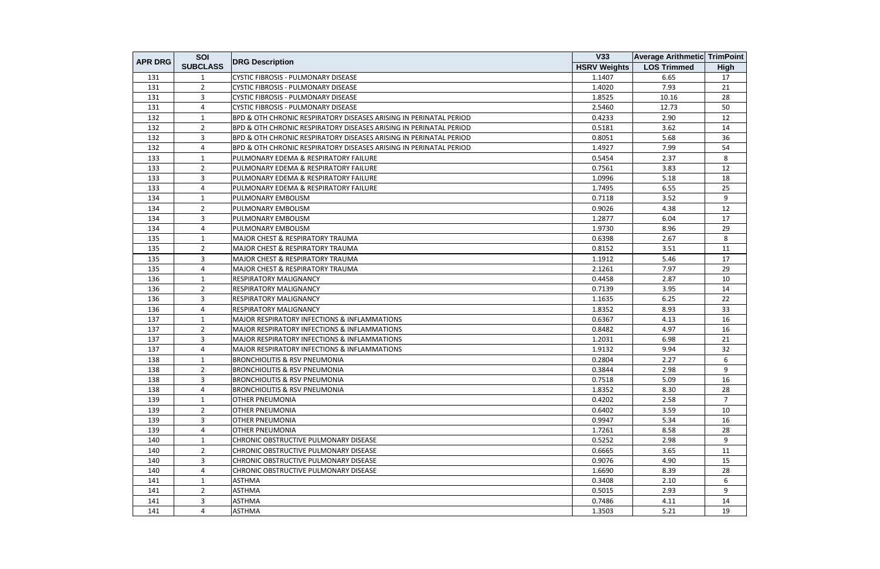| <b>APR DRG</b> | SOI             |                                                                    | V33                 | <b>Average Arithmetic TrimPoint</b> |                |
|----------------|-----------------|--------------------------------------------------------------------|---------------------|-------------------------------------|----------------|
|                | <b>SUBCLASS</b> | <b>DRG Description</b>                                             | <b>HSRV Weights</b> | <b>LOS Trimmed</b>                  | <b>High</b>    |
| 131            | 1               | CYSTIC FIBROSIS - PULMONARY DISEASE                                | 1.1407              | 6.65                                | 17             |
| 131            | $\overline{2}$  | <b>CYSTIC FIBROSIS - PULMONARY DISEASE</b>                         | 1.4020              | 7.93                                | 21             |
| 131            | 3               | <b>CYSTIC FIBROSIS - PULMONARY DISEASE</b>                         | 1.8525              | 10.16                               | 28             |
| 131            | 4               | CYSTIC FIBROSIS - PULMONARY DISEASE                                | 2.5460              | 12.73                               | 50             |
| 132            | 1               | BPD & OTH CHRONIC RESPIRATORY DISEASES ARISING IN PERINATAL PERIOD | 0.4233              | 2.90                                | 12             |
| 132            | $\overline{2}$  | BPD & OTH CHRONIC RESPIRATORY DISEASES ARISING IN PERINATAL PERIOD | 0.5181              | 3.62                                | 14             |
| 132            | 3               | BPD & OTH CHRONIC RESPIRATORY DISEASES ARISING IN PERINATAL PERIOD | 0.8051              | 5.68                                | 36             |
| 132            | 4               | BPD & OTH CHRONIC RESPIRATORY DISEASES ARISING IN PERINATAL PERIOD | 1.4927              | 7.99                                | 54             |
| 133            | $\mathbf{1}$    | PULMONARY EDEMA & RESPIRATORY FAILURE                              | 0.5454              | 2.37                                | 8              |
| 133            | $\overline{2}$  | PULMONARY EDEMA & RESPIRATORY FAILURE                              | 0.7561              | 3.83                                | 12             |
| 133            | 3               | PULMONARY EDEMA & RESPIRATORY FAILURE                              | 1.0996              | 5.18                                | 18             |
| 133            | 4               | PULMONARY EDEMA & RESPIRATORY FAILURE                              | 1.7495              | 6.55                                | 25             |
| 134            | $\mathbf{1}$    | PULMONARY EMBOLISM                                                 | 0.7118              | 3.52                                | 9              |
| 134            | $\overline{2}$  | PULMONARY EMBOLISM                                                 | 0.9026              | 4.38                                | 12             |
| 134            | 3               | PULMONARY EMBOLISM                                                 | 1.2877              | 6.04                                | 17             |
| 134            | 4               | PULMONARY EMBOLISM                                                 | 1.9730              | 8.96                                | 29             |
| 135            | $\mathbf{1}$    | MAJOR CHEST & RESPIRATORY TRAUMA                                   | 0.6398              | 2.67                                | 8              |
| 135            | $\overline{2}$  | <b>MAJOR CHEST &amp; RESPIRATORY TRAUMA</b>                        | 0.8152              | 3.51                                | 11             |
| 135            | 3               | <b>MAJOR CHEST &amp; RESPIRATORY TRAUMA</b>                        | 1.1912              | 5.46                                | 17             |
| 135            | 4               | MAJOR CHEST & RESPIRATORY TRAUMA                                   | 2.1261              | 7.97                                | 29             |
| 136            | $\mathbf{1}$    | <b>RESPIRATORY MALIGNANCY</b>                                      | 0.4458              | 2.87                                | 10             |
| 136            | $\overline{2}$  | RESPIRATORY MALIGNANCY                                             | 0.7139              | 3.95                                | 14             |
| 136            | 3               | RESPIRATORY MALIGNANCY                                             | 1.1635              | 6.25                                | 22             |
| 136            | 4               | <b>RESPIRATORY MALIGNANCY</b>                                      | 1.8352              | 8.93                                | 33             |
| 137            | 1               | <b>MAJOR RESPIRATORY INFECTIONS &amp; INFLAMMATIONS</b>            | 0.6367              | 4.13                                | 16             |
| 137            | $\overline{2}$  | MAJOR RESPIRATORY INFECTIONS & INFLAMMATIONS                       | 0.8482              | 4.97                                | 16             |
| 137            | 3               | <b>MAJOR RESPIRATORY INFECTIONS &amp; INFLAMMATIONS</b>            | 1.2031              | 6.98                                | 21             |
| 137            | 4               | MAJOR RESPIRATORY INFECTIONS & INFLAMMATIONS                       | 1.9132              | 9.94                                | 32             |
| 138            | 1               | <b>BRONCHIOLITIS &amp; RSV PNEUMONIA</b>                           | 0.2804              | 2.27                                | 6              |
| 138            | $\overline{2}$  | <b>BRONCHIOLITIS &amp; RSV PNEUMONIA</b>                           | 0.3844              | 2.98                                | 9              |
| 138            | 3               | <b>BRONCHIOLITIS &amp; RSV PNEUMONIA</b>                           | 0.7518              | 5.09                                | 16             |
| 138            | 4               | <b>BRONCHIOLITIS &amp; RSV PNEUMONIA</b>                           | 1.8352              | 8.30                                | 28             |
| 139            | 1               | <b>OTHER PNEUMONIA</b>                                             | 0.4202              | 2.58                                | $\overline{7}$ |
| 139            | $\overline{2}$  | <b>OTHER PNEUMONIA</b>                                             | 0.6402              | 3.59                                | 10             |
| 139            | 3               | <b>OTHER PNEUMONIA</b>                                             | 0.9947              | 5.34                                | 16             |
| 139            | 4               | <b>OTHER PNEUMONIA</b>                                             | 1.7261              | 8.58                                | 28             |
| 140            | 1               | CHRONIC OBSTRUCTIVE PULMONARY DISEASE                              | 0.5252              | 2.98                                | 9              |
| 140            | $\overline{2}$  | <b>CHRONIC OBSTRUCTIVE PULMONARY DISEASE</b>                       | 0.6665              | 3.65                                | 11             |
| 140            | 3               | CHRONIC OBSTRUCTIVE PULMONARY DISEASE                              | 0.9076              | 4.90                                | 15             |
| 140            | 4               | <b>CHRONIC OBSTRUCTIVE PULMONARY DISEASE</b>                       | 1.6690              | 8.39                                | 28             |
| 141            | $\mathbf{1}$    | <b>ASTHMA</b>                                                      | 0.3408              | 2.10                                | 6              |
| 141            | $\overline{2}$  | <b>ASTHMA</b>                                                      | 0.5015              | 2.93                                | 9              |
| 141            | 3               | <b>ASTHMA</b>                                                      | 0.7486              | 4.11                                | 14             |
| 141            | 4               | <b>ASTHMA</b>                                                      | 1.3503              | 5.21                                | 19             |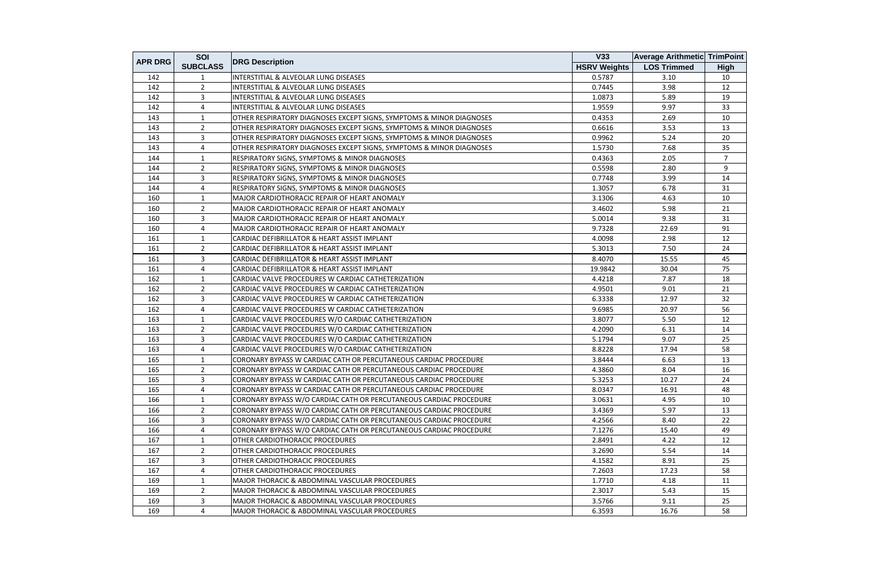| <b>APR DRG</b> | SOI             |                                                                      | <b>V33</b>          | <b>Average Arithmetic TrimPoint</b> |                |
|----------------|-----------------|----------------------------------------------------------------------|---------------------|-------------------------------------|----------------|
|                | <b>SUBCLASS</b> | <b>DRG Description</b>                                               | <b>HSRV Weights</b> | <b>LOS Trimmed</b>                  | <b>High</b>    |
| 142            | 1               | INTERSTITIAL & ALVEOLAR LUNG DISEASES                                | 0.5787              | 3.10                                | 10             |
| 142            | $\overline{2}$  | INTERSTITIAL & ALVEOLAR LUNG DISEASES                                | 0.7445              | 3.98                                | 12             |
| 142            | 3               | INTERSTITIAL & ALVEOLAR LUNG DISEASES                                | 1.0873              | 5.89                                | 19             |
| 142            | 4               | INTERSTITIAL & ALVEOLAR LUNG DISEASES                                | 1.9559              | 9.97                                | 33             |
| 143            | 1               | OTHER RESPIRATORY DIAGNOSES EXCEPT SIGNS, SYMPTOMS & MINOR DIAGNOSES | 0.4353              | 2.69                                | 10             |
| 143            | $\overline{2}$  | OTHER RESPIRATORY DIAGNOSES EXCEPT SIGNS, SYMPTOMS & MINOR DIAGNOSES | 0.6616              | 3.53                                | 13             |
| 143            | 3               | OTHER RESPIRATORY DIAGNOSES EXCEPT SIGNS, SYMPTOMS & MINOR DIAGNOSES | 0.9962              | 5.24                                | 20             |
| 143            | 4               | OTHER RESPIRATORY DIAGNOSES EXCEPT SIGNS, SYMPTOMS & MINOR DIAGNOSES | 1.5730              | 7.68                                | 35             |
| 144            | $\mathbf{1}$    | RESPIRATORY SIGNS, SYMPTOMS & MINOR DIAGNOSES                        | 0.4363              | 2.05                                | $\overline{7}$ |
| 144            | $\overline{2}$  | RESPIRATORY SIGNS, SYMPTOMS & MINOR DIAGNOSES                        | 0.5598              | 2.80                                | 9              |
| 144            | 3               | RESPIRATORY SIGNS, SYMPTOMS & MINOR DIAGNOSES                        | 0.7748              | 3.99                                | 14             |
| 144            | 4               | RESPIRATORY SIGNS, SYMPTOMS & MINOR DIAGNOSES                        | 1.3057              | 6.78                                | 31             |
| 160            | $\mathbf{1}$    | MAJOR CARDIOTHORACIC REPAIR OF HEART ANOMALY                         | 3.1306              | 4.63                                | 10             |
| 160            | $\overline{2}$  | MAJOR CARDIOTHORACIC REPAIR OF HEART ANOMALY                         | 3.4602              | 5.98                                | 21             |
| 160            | 3               | MAJOR CARDIOTHORACIC REPAIR OF HEART ANOMALY                         | 5.0014              | 9.38                                | 31             |
| 160            | 4               | MAJOR CARDIOTHORACIC REPAIR OF HEART ANOMALY                         | 9.7328              | 22.69                               | 91             |
| 161            | $\mathbf{1}$    | CARDIAC DEFIBRILLATOR & HEART ASSIST IMPLANT                         | 4.0098              | 2.98                                | 12             |
| 161            | $\overline{2}$  | CARDIAC DEFIBRILLATOR & HEART ASSIST IMPLANT                         | 5.3013              | 7.50                                | 24             |
| 161            | 3               | CARDIAC DEFIBRILLATOR & HEART ASSIST IMPLANT                         | 8.4070              | 15.55                               | 45             |
| 161            | 4               | CARDIAC DEFIBRILLATOR & HEART ASSIST IMPLANT                         | 19.9842             | 30.04                               | 75             |
| 162            | 1               | CARDIAC VALVE PROCEDURES W CARDIAC CATHETERIZATION                   | 4.4218              | 7.87                                | 18             |
| 162            | $\overline{2}$  | CARDIAC VALVE PROCEDURES W CARDIAC CATHETERIZATION                   | 4.9501              | 9.01                                | 21             |
| 162            | 3               | CARDIAC VALVE PROCEDURES W CARDIAC CATHETERIZATION                   | 6.3338              | 12.97                               | 32             |
| 162            | 4               | CARDIAC VALVE PROCEDURES W CARDIAC CATHETERIZATION                   | 9.6985              | 20.97                               | 56             |
| 163            | $\mathbf{1}$    | CARDIAC VALVE PROCEDURES W/O CARDIAC CATHETERIZATION                 | 3.8077              | 5.50                                | 12             |
| 163            | $\overline{2}$  | CARDIAC VALVE PROCEDURES W/O CARDIAC CATHETERIZATION                 | 4.2090              | 6.31                                | 14             |
| 163            | 3               | CARDIAC VALVE PROCEDURES W/O CARDIAC CATHETERIZATION                 | 5.1794              | 9.07                                | 25             |
| 163            | 4               | CARDIAC VALVE PROCEDURES W/O CARDIAC CATHETERIZATION                 | 8.8228              | 17.94                               | 58             |
| 165            | $\mathbf{1}$    | CORONARY BYPASS W CARDIAC CATH OR PERCUTANEOUS CARDIAC PROCEDURE     | 3.8444              | 6.63                                | 13             |
| 165            | $\overline{2}$  | CORONARY BYPASS W CARDIAC CATH OR PERCUTANEOUS CARDIAC PROCEDURE     | 4.3860              | 8.04                                | 16             |
| 165            | 3               | CORONARY BYPASS W CARDIAC CATH OR PERCUTANEOUS CARDIAC PROCEDURE     | 5.3253              | 10.27                               | 24             |
| 165            | 4               | CORONARY BYPASS W CARDIAC CATH OR PERCUTANEOUS CARDIAC PROCEDURE     | 8.0347              | 16.91                               | 48             |
| 166            | 1               | CORONARY BYPASS W/O CARDIAC CATH OR PERCUTANEOUS CARDIAC PROCEDURE   | 3.0631              | 4.95                                | 10             |
| 166            | $\overline{2}$  | CORONARY BYPASS W/O CARDIAC CATH OR PERCUTANEOUS CARDIAC PROCEDURE   | 3.4369              | 5.97                                | 13             |
| 166            | 3               | CORONARY BYPASS W/O CARDIAC CATH OR PERCUTANEOUS CARDIAC PROCEDURE   | 4.2566              | 8.40                                | 22             |
| 166            | 4               | CORONARY BYPASS W/O CARDIAC CATH OR PERCUTANEOUS CARDIAC PROCEDURE   | 7.1276              | 15.40                               | 49             |
| 167            | 1               | OTHER CARDIOTHORACIC PROCEDURES                                      | 2.8491              | 4.22                                | 12             |
| 167            | $\overline{2}$  | OTHER CARDIOTHORACIC PROCEDURES                                      | 3.2690              | 5.54                                | 14             |
| 167            | 3               | OTHER CARDIOTHORACIC PROCEDURES                                      | 4.1582              | 8.91                                | 25             |
| 167            | 4               | OTHER CARDIOTHORACIC PROCEDURES                                      | 7.2603              | 17.23                               | 58             |
| 169            | $\mathbf{1}$    | <b>MAJOR THORACIC &amp; ABDOMINAL VASCULAR PROCEDURES</b>            | 1.7710              | 4.18                                | 11             |
| 169            | $\overline{2}$  | MAJOR THORACIC & ABDOMINAL VASCULAR PROCEDURES                       | 2.3017              | 5.43                                | 15             |
| 169            | 3               | MAJOR THORACIC & ABDOMINAL VASCULAR PROCEDURES                       | 3.5766              | 9.11                                | 25             |
| 169            | 4               | MAJOR THORACIC & ABDOMINAL VASCULAR PROCEDURES                       | 6.3593              | 16.76                               | 58             |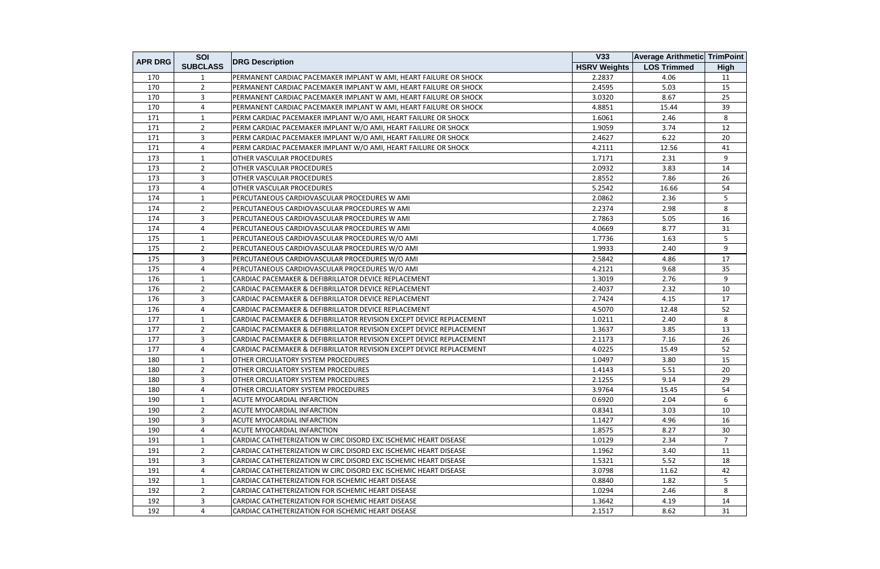|                | SOI             |                                                                      | V33                 | <b>Average Arithmetic TrimPoint</b> |             |
|----------------|-----------------|----------------------------------------------------------------------|---------------------|-------------------------------------|-------------|
| <b>APR DRG</b> | <b>SUBCLASS</b> | <b>DRG Description</b>                                               | <b>HSRV Weights</b> | <b>LOS Trimmed</b>                  | <b>High</b> |
| 170            | 1               | PERMANENT CARDIAC PACEMAKER IMPLANT W AMI, HEART FAILURE OR SHOCK    | 2.2837              | 4.06                                | 11          |
| 170            | $\overline{2}$  | PERMANENT CARDIAC PACEMAKER IMPLANT W AMI, HEART FAILURE OR SHOCK    | 2.4595              | 5.03                                | 15          |
| 170            | 3               | PERMANENT CARDIAC PACEMAKER IMPLANT W AMI, HEART FAILURE OR SHOCK    | 3.0320              | 8.67                                | 25          |
| 170            | 4               | PERMANENT CARDIAC PACEMAKER IMPLANT W AMI, HEART FAILURE OR SHOCK    | 4.8851              | 15.44                               | 39          |
| 171            | 1               | PERM CARDIAC PACEMAKER IMPLANT W/O AMI, HEART FAILURE OR SHOCK       | 1.6061              | 2.46                                | 8           |
| 171            | $\overline{2}$  | PERM CARDIAC PACEMAKER IMPLANT W/O AMI, HEART FAILURE OR SHOCK       | 1.9059              | 3.74                                | 12          |
| 171            | $\mathbf{3}$    | PERM CARDIAC PACEMAKER IMPLANT W/O AMI, HEART FAILURE OR SHOCK       | 2.4627              | 6.22                                | 20          |
| 171            | 4               | PERM CARDIAC PACEMAKER IMPLANT W/O AMI, HEART FAILURE OR SHOCK       | 4.2111              | 12.56                               | 41          |
| 173            | $\mathbf{1}$    | OTHER VASCULAR PROCEDURES                                            | 1.7171              | 2.31                                | 9           |
| 173            | $\overline{2}$  | OTHER VASCULAR PROCEDURES                                            | 2.0932              | 3.83                                | 14          |
| 173            | 3               | OTHER VASCULAR PROCEDURES                                            | 2.8552              | 7.86                                | 26          |
| 173            | 4               | OTHER VASCULAR PROCEDURES                                            | 5.2542              | 16.66                               | 54          |
| 174            | $\mathbf{1}$    | PERCUTANEOUS CARDIOVASCULAR PROCEDURES W AMI                         | 2.0862              | 2.36                                | 5           |
| 174            | $\overline{2}$  | PERCUTANEOUS CARDIOVASCULAR PROCEDURES W AMI                         | 2.2374              | 2.98                                | 8           |
| 174            | $\overline{3}$  | PERCUTANEOUS CARDIOVASCULAR PROCEDURES W AMI                         | 2.7863              | 5.05                                | 16          |
| 174            | 4               | PERCUTANEOUS CARDIOVASCULAR PROCEDURES W AMI                         | 4.0669              | 8.77                                | 31          |
| 175            | $\mathbf{1}$    | PERCUTANEOUS CARDIOVASCULAR PROCEDURES W/O AMI                       | 1.7736              | 1.63                                | 5           |
| 175            | $\overline{2}$  | PERCUTANEOUS CARDIOVASCULAR PROCEDURES W/O AMI                       | 1.9933              | 2.40                                | 9           |
| 175            | 3               | PERCUTANEOUS CARDIOVASCULAR PROCEDURES W/O AMI                       | 2.5842              | 4.86                                | 17          |
| 175            | 4               | PERCUTANEOUS CARDIOVASCULAR PROCEDURES W/O AMI                       | 4.2121              | 9.68                                | 35          |
| 176            | $\mathbf{1}$    | CARDIAC PACEMAKER & DEFIBRILLATOR DEVICE REPLACEMENT                 | 1.3019              | 2.76                                | 9           |
| 176            | $\overline{2}$  | CARDIAC PACEMAKER & DEFIBRILLATOR DEVICE REPLACEMENT                 | 2.4037              | 2.32                                | 10          |
| 176            | $\overline{3}$  | CARDIAC PACEMAKER & DEFIBRILLATOR DEVICE REPLACEMENT                 | 2.7424              | 4.15                                | 17          |
| 176            | 4               | CARDIAC PACEMAKER & DEFIBRILLATOR DEVICE REPLACEMENT                 | 4.5070              | 12.48                               | 52          |
| 177            | 1               | CARDIAC PACEMAKER & DEFIBRILLATOR REVISION EXCEPT DEVICE REPLACEMENT | 1.0211              | 2.40                                | 8           |
| 177            | $\overline{2}$  | CARDIAC PACEMAKER & DEFIBRILLATOR REVISION EXCEPT DEVICE REPLACEMENT | 1.3637              | 3.85                                | 13          |
| 177            | 3               | CARDIAC PACEMAKER & DEFIBRILLATOR REVISION EXCEPT DEVICE REPLACEMENT | 2.1173              | 7.16                                | 26          |
| 177            | 4               | CARDIAC PACEMAKER & DEFIBRILLATOR REVISION EXCEPT DEVICE REPLACEMENT | 4.0225              | 15.49                               | 52          |
| 180            | $\mathbf{1}$    | OTHER CIRCULATORY SYSTEM PROCEDURES                                  | 1.0497              | 3.80                                | 15          |
| 180            | $\overline{2}$  | <b>OTHER CIRCULATORY SYSTEM PROCEDURES</b>                           | 1.4143              | 5.51                                | 20          |
| 180            | 3               | <b>OTHER CIRCULATORY SYSTEM PROCEDURES</b>                           | 2.1255              | 9.14                                | 29          |
| 180            | 4               | <b>OTHER CIRCULATORY SYSTEM PROCEDURES</b>                           | 3.9764              | 15.45                               | 54          |
| 190            | 1               | ACUTE MYOCARDIAL INFARCTION                                          | 0.6920              | 2.04                                | 6           |
| 190            | $\overline{2}$  | <b>ACUTE MYOCARDIAL INFARCTION</b>                                   | 0.8341              | 3.03                                | 10          |
| 190            | 3               | ACUTE MYOCARDIAL INFARCTION                                          | 1.1427              | 4.96                                | 16          |
| 190            | 4               | ACUTE MYOCARDIAL INFARCTION                                          | 1.8575              | 8.27                                | 30          |
| 191            | 1               | CARDIAC CATHETERIZATION W CIRC DISORD EXC ISCHEMIC HEART DISEASE     | 1.0129              | 2.34                                | 7           |
| 191            | $\overline{2}$  | CARDIAC CATHETERIZATION W CIRC DISORD EXC ISCHEMIC HEART DISEASE     | 1.1962              | 3.40                                | 11          |
| 191            | $\mathbf{3}$    | CARDIAC CATHETERIZATION W CIRC DISORD EXC ISCHEMIC HEART DISEASE     | 1.5321              | 5.52                                | 18          |
| 191            | 4               | CARDIAC CATHETERIZATION W CIRC DISORD EXC ISCHEMIC HEART DISEASE     | 3.0798              | 11.62                               | 42          |
| 192            | 1               | CARDIAC CATHETERIZATION FOR ISCHEMIC HEART DISEASE                   | 0.8840              | 1.82                                | 5           |
| 192            | $\overline{2}$  | CARDIAC CATHETERIZATION FOR ISCHEMIC HEART DISEASE                   | 1.0294              | 2.46                                | 8           |
| 192            | 3               | CARDIAC CATHETERIZATION FOR ISCHEMIC HEART DISEASE                   | 1.3642              | 4.19                                | 14          |
| 192            | 4               | CARDIAC CATHETERIZATION FOR ISCHEMIC HEART DISEASE                   | 2.1517              | 8.62                                | 31          |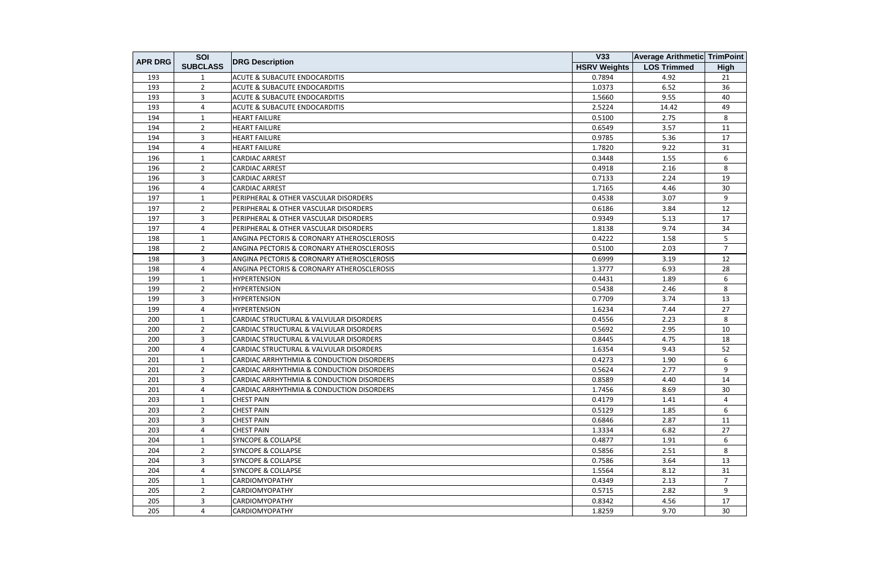| <b>APR DRG</b> | SOI             |                                                       | V33                 | <b>Average Arithmetic TrimPoint</b> |                |
|----------------|-----------------|-------------------------------------------------------|---------------------|-------------------------------------|----------------|
|                | <b>SUBCLASS</b> | <b>DRG Description</b>                                | <b>HSRV Weights</b> | <b>LOS Trimmed</b>                  | <b>High</b>    |
| 193            | 1               | <b>ACUTE &amp; SUBACUTE ENDOCARDITIS</b>              | 0.7894              | 4.92                                | 21             |
| 193            | $\overline{2}$  | <b>ACUTE &amp; SUBACUTE ENDOCARDITIS</b>              | 1.0373              | 6.52                                | 36             |
| 193            | 3               | <b>ACUTE &amp; SUBACUTE ENDOCARDITIS</b>              | 1.5660              | 9.55                                | 40             |
| 193            | 4               | <b>ACUTE &amp; SUBACUTE ENDOCARDITIS</b>              | 2.5224              | 14.42                               | 49             |
| 194            | 1               | <b>HEART FAILURE</b>                                  | 0.5100              | 2.75                                | 8              |
| 194            | $\overline{2}$  | <b>HEART FAILURE</b>                                  | 0.6549              | 3.57                                | 11             |
| 194            | 3               | <b>HEART FAILURE</b>                                  | 0.9785              | 5.36                                | 17             |
| 194            | 4               | <b>HEART FAILURE</b>                                  | 1.7820              | 9.22                                | 31             |
| 196            | $\mathbf{1}$    | <b>CARDIAC ARREST</b>                                 | 0.3448              | 1.55                                | 6              |
| 196            | $\overline{2}$  | <b>CARDIAC ARREST</b>                                 | 0.4918              | 2.16                                | 8              |
| 196            | 3               | <b>CARDIAC ARREST</b>                                 | 0.7133              | 2.24                                | 19             |
| 196            | 4               | <b>CARDIAC ARREST</b>                                 | 1.7165              | 4.46                                | 30             |
| 197            | 1               | PERIPHERAL & OTHER VASCULAR DISORDERS                 | 0.4538              | 3.07                                | 9              |
| 197            | $\overline{2}$  | PERIPHERAL & OTHER VASCULAR DISORDERS                 | 0.6186              | 3.84                                | 12             |
| 197            | $\overline{3}$  | PERIPHERAL & OTHER VASCULAR DISORDERS                 | 0.9349              | 5.13                                | 17             |
| 197            | 4               | PERIPHERAL & OTHER VASCULAR DISORDERS                 | 1.8138              | 9.74                                | 34             |
| 198            | $\mathbf{1}$    | ANGINA PECTORIS & CORONARY ATHEROSCLEROSIS            | 0.4222              | 1.58                                | 5              |
| 198            | $\overline{2}$  | <b>ANGINA PECTORIS &amp; CORONARY ATHEROSCLEROSIS</b> | 0.5100              | 2.03                                | $\overline{7}$ |
| 198            | 3               | ANGINA PECTORIS & CORONARY ATHEROSCLEROSIS            | 0.6999              | 3.19                                | 12             |
| 198            | $\overline{4}$  | ANGINA PECTORIS & CORONARY ATHEROSCLEROSIS            | 1.3777              | 6.93                                | 28             |
| 199            | 1               | <b>HYPERTENSION</b>                                   | 0.4431              | 1.89                                | 6              |
| 199            | 2               | <b>HYPERTENSION</b>                                   | 0.5438              | 2.46                                | 8              |
| 199            | 3               | <b>HYPERTENSION</b>                                   | 0.7709              | 3.74                                | 13             |
| 199            | 4               | <b>HYPERTENSION</b>                                   | 1.6234              | 7.44                                | 27             |
| 200            | 1               | CARDIAC STRUCTURAL & VALVULAR DISORDERS               | 0.4556              | 2.23                                | 8              |
| 200            | $\overline{2}$  | CARDIAC STRUCTURAL & VALVULAR DISORDERS               | 0.5692              | 2.95                                | 10             |
| 200            | 3               | CARDIAC STRUCTURAL & VALVULAR DISORDERS               | 0.8445              | 4.75                                | 18             |
| 200            | 4               | CARDIAC STRUCTURAL & VALVULAR DISORDERS               | 1.6354              | 9.43                                | 52             |
| 201            | 1               | CARDIAC ARRHYTHMIA & CONDUCTION DISORDERS             | 0.4273              | 1.90                                | 6              |
| 201            | $\overline{2}$  | CARDIAC ARRHYTHMIA & CONDUCTION DISORDERS             | 0.5624              | 2.77                                | 9              |
| 201            | 3               | CARDIAC ARRHYTHMIA & CONDUCTION DISORDERS             | 0.8589              | 4.40                                | 14             |
| 201            | 4               | CARDIAC ARRHYTHMIA & CONDUCTION DISORDERS             | 1.7456              | 8.69                                | 30             |
| 203            | $\mathbf{1}$    | <b>CHEST PAIN</b>                                     | 0.4179              | 1.41                                | 4              |
| 203            | $\overline{2}$  | <b>CHEST PAIN</b>                                     | 0.5129              | 1.85                                | 6              |
| 203            | $\overline{3}$  | <b>CHEST PAIN</b>                                     | 0.6846              | 2.87                                | 11             |
| 203            | 4               | <b>CHEST PAIN</b>                                     | 1.3334              | 6.82                                | 27             |
| 204            | 1               | <b>SYNCOPE &amp; COLLAPSE</b>                         | 0.4877              | 1.91                                | 6              |
| 204            | $\overline{2}$  | <b>SYNCOPE &amp; COLLAPSE</b>                         | 0.5856              | 2.51                                | 8              |
| 204            | $\overline{3}$  | <b>SYNCOPE &amp; COLLAPSE</b>                         | 0.7586              | 3.64                                | 13             |
| 204            | 4               | <b>SYNCOPE &amp; COLLAPSE</b>                         | 1.5564              | 8.12                                | 31             |
| 205            | 1               | <b>CARDIOMYOPATHY</b>                                 | 0.4349              | 2.13                                | $\overline{7}$ |
| 205            | $\overline{2}$  | <b>CARDIOMYOPATHY</b>                                 | 0.5715              | 2.82                                | 9              |
| 205            | 3               | <b>CARDIOMYOPATHY</b>                                 | 0.8342              | 4.56                                | 17             |
| 205            | 4               | <b>CARDIOMYOPATHY</b>                                 | 1.8259              | 9.70                                | 30             |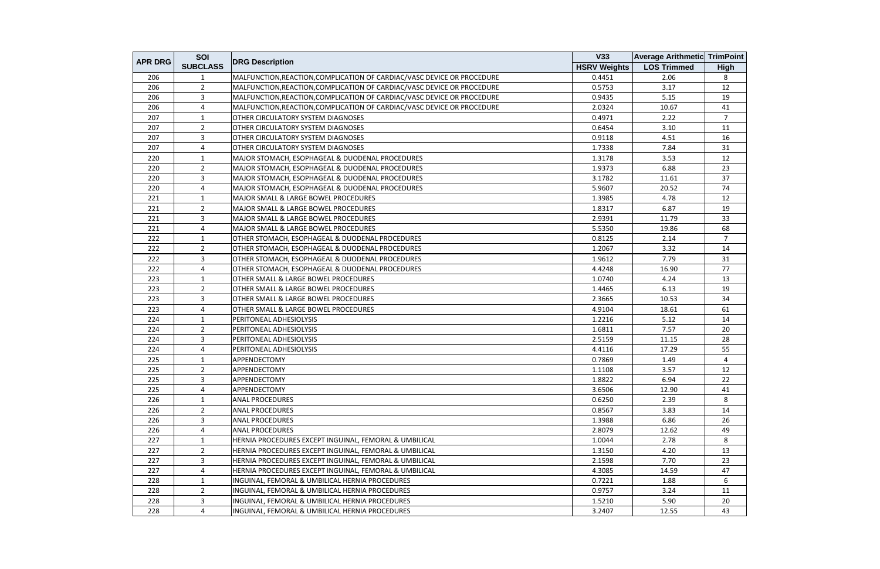| <b>APR DRG</b> | SOI             |                                                                         | V33                 | <b>Average Arithmetic TrimPoint</b> |                |
|----------------|-----------------|-------------------------------------------------------------------------|---------------------|-------------------------------------|----------------|
|                | <b>SUBCLASS</b> | <b>DRG Description</b>                                                  | <b>HSRV Weights</b> | <b>LOS Trimmed</b>                  | <b>High</b>    |
| 206            | 1               | MALFUNCTION, REACTION, COMPLICATION OF CARDIAC/VASC DEVICE OR PROCEDURE | 0.4451              | 2.06                                | 8              |
| 206            | $\overline{2}$  | MALFUNCTION, REACTION, COMPLICATION OF CARDIAC/VASC DEVICE OR PROCEDURE | 0.5753              | 3.17                                | 12             |
| 206            | $\overline{3}$  | MALFUNCTION, REACTION, COMPLICATION OF CARDIAC/VASC DEVICE OR PROCEDURE | 0.9435              | 5.15                                | 19             |
| 206            | 4               | MALFUNCTION, REACTION, COMPLICATION OF CARDIAC/VASC DEVICE OR PROCEDURE | 2.0324              | 10.67                               | 41             |
| 207            | $\mathbf{1}$    | <b>OTHER CIRCULATORY SYSTEM DIAGNOSES</b>                               | 0.4971              | 2.22                                | $\overline{7}$ |
| 207            | $\overline{2}$  | OTHER CIRCULATORY SYSTEM DIAGNOSES                                      | 0.6454              | 3.10                                | 11             |
| 207            | 3               | OTHER CIRCULATORY SYSTEM DIAGNOSES                                      | 0.9118              | 4.51                                | 16             |
| 207            | 4               | OTHER CIRCULATORY SYSTEM DIAGNOSES                                      | 1.7338              | 7.84                                | 31             |
| 220            | $\mathbf{1}$    | MAJOR STOMACH, ESOPHAGEAL & DUODENAL PROCEDURES                         | 1.3178              | 3.53                                | 12             |
| 220            | $\overline{2}$  | MAJOR STOMACH, ESOPHAGEAL & DUODENAL PROCEDURES                         | 1.9373              | 6.88                                | 23             |
| 220            | 3               | MAJOR STOMACH, ESOPHAGEAL & DUODENAL PROCEDURES                         | 3.1782              | 11.61                               | 37             |
| 220            | 4               | MAJOR STOMACH, ESOPHAGEAL & DUODENAL PROCEDURES                         | 5.9607              | 20.52                               | 74             |
| 221            | $\mathbf{1}$    | MAJOR SMALL & LARGE BOWEL PROCEDURES                                    | 1.3985              | 4.78                                | 12             |
| 221            | $\overline{2}$  | <b>MAJOR SMALL &amp; LARGE BOWEL PROCEDURES</b>                         | 1.8317              | 6.87                                | 19             |
| 221            | 3               | <b>MAJOR SMALL &amp; LARGE BOWEL PROCEDURES</b>                         | 2.9391              | 11.79                               | 33             |
| 221            | 4               | MAJOR SMALL & LARGE BOWEL PROCEDURES                                    | 5.5350              | 19.86                               | 68             |
| 222            | $\mathbf{1}$    | OTHER STOMACH, ESOPHAGEAL & DUODENAL PROCEDURES                         | 0.8125              | 2.14                                | $\overline{7}$ |
| 222            | $\overline{2}$  | OTHER STOMACH, ESOPHAGEAL & DUODENAL PROCEDURES                         | 1.2067              | 3.32                                | 14             |
| 222            | $\overline{3}$  | OTHER STOMACH, ESOPHAGEAL & DUODENAL PROCEDURES                         | 1.9612              | 7.79                                | 31             |
| 222            | 4               | OTHER STOMACH, ESOPHAGEAL & DUODENAL PROCEDURES                         | 4.4248              | 16.90                               | 77             |
| 223            | $\mathbf{1}$    | <b>OTHER SMALL &amp; LARGE BOWEL PROCEDURES</b>                         | 1.0740              | 4.24                                | 13             |
| 223            | 2               | OTHER SMALL & LARGE BOWEL PROCEDURES                                    | 1.4465              | 6.13                                | 19             |
| 223            | 3               | OTHER SMALL & LARGE BOWEL PROCEDURES                                    | 2.3665              | 10.53                               | 34             |
| 223            | 4               | <b>OTHER SMALL &amp; LARGE BOWEL PROCEDURES</b>                         | 4.9104              | 18.61                               | 61             |
| 224            | 1               | PERITONEAL ADHESIOLYSIS                                                 | 1.2216              | 5.12                                | 14             |
| 224            | $\overline{2}$  | PERITONEAL ADHESIOLYSIS                                                 | 1.6811              | 7.57                                | 20             |
| 224            | 3               | PERITONEAL ADHESIOLYSIS                                                 | 2.5159              | 11.15                               | 28             |
| 224            | 4               | PERITONEAL ADHESIOLYSIS                                                 | 4.4116              | 17.29                               | 55             |
| 225            | 1               | APPENDECTOMY                                                            | 0.7869              | 1.49                                | 4              |
| 225            | $\overline{2}$  | <b>APPENDECTOMY</b>                                                     | 1.1108              | 3.57                                | 12             |
| 225            | 3               | APPENDECTOMY                                                            | 1.8822              | 6.94                                | 22             |
| 225            | 4               | APPENDECTOMY                                                            | 3.6506              | 12.90                               | 41             |
| 226            | $\mathbf{1}$    | <b>ANAL PROCEDURES</b>                                                  | 0.6250              | 2.39                                | 8              |
| 226            | $\overline{2}$  | <b>ANAL PROCEDURES</b>                                                  | 0.8567              | 3.83                                | 14             |
| 226            | 3               | <b>ANAL PROCEDURES</b>                                                  | 1.3988              | 6.86                                | 26             |
| 226            | 4               | <b>ANAL PROCEDURES</b>                                                  | 2.8079              | 12.62                               | 49             |
| 227            | 1               | HERNIA PROCEDURES EXCEPT INGUINAL, FEMORAL & UMBILICAL                  | 1.0044              | 2.78                                | 8              |
| 227            | $\overline{2}$  | HERNIA PROCEDURES EXCEPT INGUINAL, FEMORAL & UMBILICAL                  | 1.3150              | 4.20                                | 13             |
| 227            | 3               | HERNIA PROCEDURES EXCEPT INGUINAL, FEMORAL & UMBILICAL                  | 2.1598              | 7.70                                | 23             |
| 227            | 4               | HERNIA PROCEDURES EXCEPT INGUINAL, FEMORAL & UMBILICAL                  | 4.3085              | 14.59                               | 47             |
| 228            | $\mathbf{1}$    | INGUINAL, FEMORAL & UMBILICAL HERNIA PROCEDURES                         | 0.7221              | 1.88                                | 6              |
| 228            | $\overline{2}$  | INGUINAL, FEMORAL & UMBILICAL HERNIA PROCEDURES                         | 0.9757              | 3.24                                | 11             |
| 228            | 3               | INGUINAL, FEMORAL & UMBILICAL HERNIA PROCEDURES                         | 1.5210              | 5.90                                | 20             |
| 228            | 4               | INGUINAL, FEMORAL & UMBILICAL HERNIA PROCEDURES                         | 3.2407              | 12.55                               | 43             |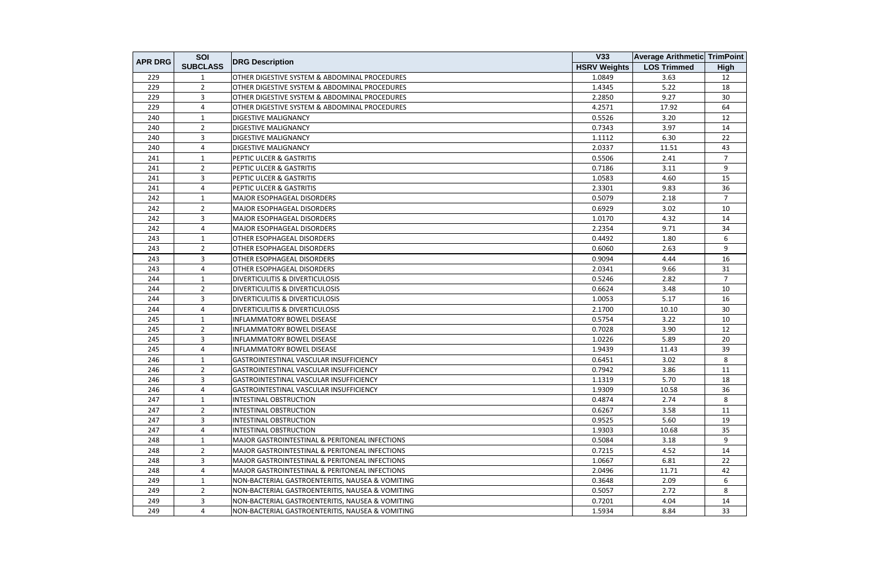| <b>APR DRG</b> | SOI             |                                                  | <b>V33</b>          | <b>Average Arithmetic TrimPoint</b> |                |
|----------------|-----------------|--------------------------------------------------|---------------------|-------------------------------------|----------------|
|                | <b>SUBCLASS</b> | <b>DRG Description</b>                           | <b>HSRV Weights</b> | <b>LOS Trimmed</b>                  | <b>High</b>    |
| 229            | 1               | OTHER DIGESTIVE SYSTEM & ABDOMINAL PROCEDURES    | 1.0849              | 3.63                                | 12             |
| 229            | $\overline{2}$  | OTHER DIGESTIVE SYSTEM & ABDOMINAL PROCEDURES    | 1.4345              | 5.22                                | 18             |
| 229            | 3               | OTHER DIGESTIVE SYSTEM & ABDOMINAL PROCEDURES    | 2.2850              | 9.27                                | 30             |
| 229            | 4               | OTHER DIGESTIVE SYSTEM & ABDOMINAL PROCEDURES    | 4.2571              | 17.92                               | 64             |
| 240            | $\mathbf{1}$    | <b>DIGESTIVE MALIGNANCY</b>                      | 0.5526              | 3.20                                | 12             |
| 240            | $\overline{2}$  | <b>DIGESTIVE MALIGNANCY</b>                      | 0.7343              | 3.97                                | 14             |
| 240            | 3               | <b>DIGESTIVE MALIGNANCY</b>                      | 1.1112              | 6.30                                | 22             |
| 240            | 4               | <b>DIGESTIVE MALIGNANCY</b>                      | 2.0337              | 11.51                               | 43             |
| 241            | $\mathbf{1}$    | PEPTIC ULCER & GASTRITIS                         | 0.5506              | 2.41                                | $\overline{7}$ |
| 241            | $\overline{2}$  | PEPTIC ULCER & GASTRITIS                         | 0.7186              | 3.11                                | 9              |
| 241            | 3               | PEPTIC ULCER & GASTRITIS                         | 1.0583              | 4.60                                | 15             |
| 241            | 4               | PEPTIC ULCER & GASTRITIS                         | 2.3301              | 9.83                                | 36             |
| 242            | 1               | MAJOR ESOPHAGEAL DISORDERS                       | 0.5079              | 2.18                                | $\overline{7}$ |
| 242            | $\overline{2}$  | MAJOR ESOPHAGEAL DISORDERS                       | 0.6929              | 3.02                                | 10             |
| 242            | 3               | <b>MAJOR ESOPHAGEAL DISORDERS</b>                | 1.0170              | 4.32                                | 14             |
| 242            | 4               | <b>MAJOR ESOPHAGEAL DISORDERS</b>                | 2.2354              | 9.71                                | 34             |
| 243            | $\mathbf{1}$    | OTHER ESOPHAGEAL DISORDERS                       | 0.4492              | 1.80                                | 6              |
| 243            | $\overline{2}$  | OTHER ESOPHAGEAL DISORDERS                       | 0.6060              | 2.63                                | 9              |
| 243            | 3               | OTHER ESOPHAGEAL DISORDERS                       | 0.9094              | 4.44                                | 16             |
| 243            | 4               | OTHER ESOPHAGEAL DISORDERS                       | 2.0341              | 9.66                                | 31             |
| 244            | $\mathbf{1}$    | <b>DIVERTICULITIS &amp; DIVERTICULOSIS</b>       | 0.5246              | 2.82                                | $7^{\circ}$    |
| 244            | $\overline{2}$  | <b>DIVERTICULITIS &amp; DIVERTICULOSIS</b>       | 0.6624              | 3.48                                | 10             |
| 244            | 3               | DIVERTICULITIS & DIVERTICULOSIS                  | 1.0053              | 5.17                                | 16             |
| 244            | 4               | <b>DIVERTICULITIS &amp; DIVERTICULOSIS</b>       | 2.1700              | 10.10                               | 30             |
| 245            | 1               | INFLAMMATORY BOWEL DISEASE                       | 0.5754              | 3.22                                | 10             |
| 245            | $\overline{2}$  | <b>INFLAMMATORY BOWEL DISEASE</b>                | 0.7028              | 3.90                                | 12             |
| 245            | 3               | INFLAMMATORY BOWEL DISEASE                       | 1.0226              | 5.89                                | 20             |
| 245            | 4               | <b>INFLAMMATORY BOWEL DISEASE</b>                | 1.9439              | 11.43                               | 39             |
| 246            | 1               | GASTROINTESTINAL VASCULAR INSUFFICIENCY          | 0.6451              | 3.02                                | 8              |
| 246            | $\overline{2}$  | GASTROINTESTINAL VASCULAR INSUFFICIENCY          | 0.7942              | 3.86                                | 11             |
| 246            | 3               | GASTROINTESTINAL VASCULAR INSUFFICIENCY          | 1.1319              | 5.70                                | 18             |
| 246            | 4               | GASTROINTESTINAL VASCULAR INSUFFICIENCY          | 1.9309              | 10.58                               | 36             |
| 247            | 1               | INTESTINAL OBSTRUCTION                           | 0.4874              | 2.74                                | 8              |
| 247            | $\overline{2}$  | INTESTINAL OBSTRUCTION                           | 0.6267              | 3.58                                | 11             |
| 247            | 3               | <b>INTESTINAL OBSTRUCTION</b>                    | 0.9525              | 5.60                                | 19             |
| 247            | 4               | INTESTINAL OBSTRUCTION                           | 1.9303              | 10.68                               | 35             |
| 248            | 1               | MAJOR GASTROINTESTINAL & PERITONEAL INFECTIONS   | 0.5084              | 3.18                                | 9              |
| 248            | $\overline{2}$  | MAJOR GASTROINTESTINAL & PERITONEAL INFECTIONS   | 0.7215              | 4.52                                | 14             |
| 248            | 3               | MAJOR GASTROINTESTINAL & PERITONEAL INFECTIONS   | 1.0667              | 6.81                                | 22             |
| 248            | 4               | MAJOR GASTROINTESTINAL & PERITONEAL INFECTIONS   | 2.0496              | 11.71                               | 42             |
| 249            | 1               | NON-BACTERIAL GASTROENTERITIS, NAUSEA & VOMITING | 0.3648              | 2.09                                | 6              |
| 249            | $\overline{2}$  | NON-BACTERIAL GASTROENTERITIS, NAUSEA & VOMITING | 0.5057              | 2.72                                | 8              |
| 249            | 3               | NON-BACTERIAL GASTROENTERITIS, NAUSEA & VOMITING | 0.7201              | 4.04                                | 14             |
| 249            | 4               | NON-BACTERIAL GASTROENTERITIS, NAUSEA & VOMITING | 1.5934              | 8.84                                | 33             |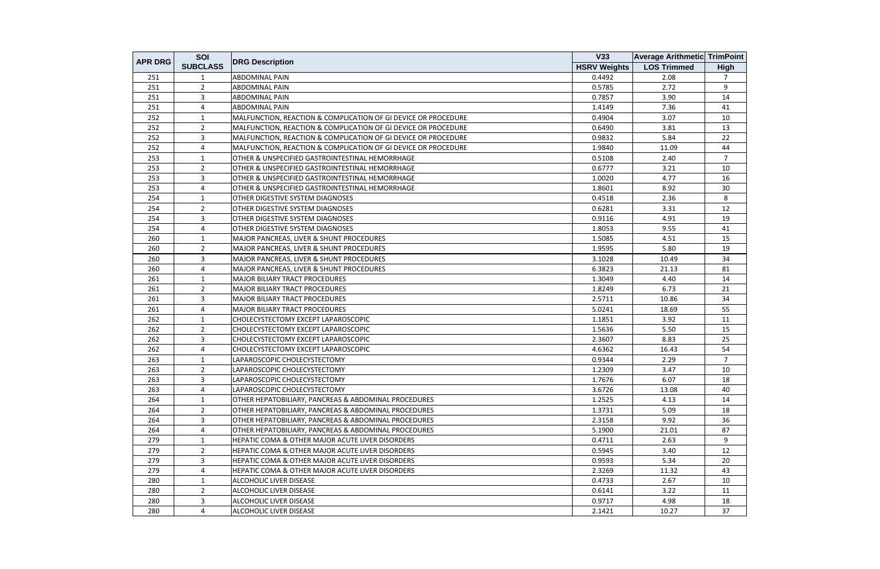| <b>APR DRG</b> | SOI             |                                                                | V33                 | <b>Average Arithmetic TrimPoint</b> |                |
|----------------|-----------------|----------------------------------------------------------------|---------------------|-------------------------------------|----------------|
|                | <b>SUBCLASS</b> | <b>DRG Description</b>                                         | <b>HSRV Weights</b> | <b>LOS Trimmed</b>                  | <b>High</b>    |
| 251            |                 | <b>ABDOMINAL PAIN</b>                                          | 0.4492              | 2.08                                | $\overline{7}$ |
| 251            | $\overline{2}$  | <b>ABDOMINAL PAIN</b>                                          | 0.5785              | 2.72                                | 9              |
| 251            | 3               | <b>ABDOMINAL PAIN</b>                                          | 0.7857              | 3.90                                | 14             |
| 251            | 4               | <b>ABDOMINAL PAIN</b>                                          | 1.4149              | 7.36                                | 41             |
| 252            | $\mathbf{1}$    | MALFUNCTION, REACTION & COMPLICATION OF GI DEVICE OR PROCEDURE | 0.4904              | 3.07                                | 10             |
| 252            | 2               | MALFUNCTION, REACTION & COMPLICATION OF GI DEVICE OR PROCEDURE | 0.6490              | 3.81                                | 13             |
| 252            | 3               | MALFUNCTION, REACTION & COMPLICATION OF GI DEVICE OR PROCEDURE | 0.9832              | 5.84                                | 22             |
| 252            | 4               | MALFUNCTION, REACTION & COMPLICATION OF GI DEVICE OR PROCEDURE | 1.9840              | 11.09                               | 44             |
| 253            | $\mathbf{1}$    | OTHER & UNSPECIFIED GASTROINTESTINAL HEMORRHAGE                | 0.5108              | 2.40                                | $\overline{7}$ |
| 253            | $\overline{2}$  | OTHER & UNSPECIFIED GASTROINTESTINAL HEMORRHAGE                | 0.6777              | 3.21                                | 10             |
| 253            | 3               | OTHER & UNSPECIFIED GASTROINTESTINAL HEMORRHAGE                | 1.0020              | 4.77                                | 16             |
| 253            | $\overline{a}$  | OTHER & UNSPECIFIED GASTROINTESTINAL HEMORRHAGE                | 1.8601              | 8.92                                | 30             |
| 254            | 1               | OTHER DIGESTIVE SYSTEM DIAGNOSES                               | 0.4518              | 2.36                                | 8              |
| 254            | $\overline{2}$  | OTHER DIGESTIVE SYSTEM DIAGNOSES                               | 0.6281              | 3.31                                | 12             |
| 254            | 3               | OTHER DIGESTIVE SYSTEM DIAGNOSES                               | 0.9116              | 4.91                                | 19             |
| 254            | 4               | OTHER DIGESTIVE SYSTEM DIAGNOSES                               | 1.8053              | 9.55                                | 41             |
| 260            | $\mathbf{1}$    | MAJOR PANCREAS, LIVER & SHUNT PROCEDURES                       | 1.5085              | 4.51                                | 15             |
| 260            | $\overline{2}$  | MAJOR PANCREAS, LIVER & SHUNT PROCEDURES                       | 1.9595              | 5.80                                | 19             |
| 260            | $\overline{3}$  | MAJOR PANCREAS, LIVER & SHUNT PROCEDURES                       | 3.1028              | 10.49                               | 34             |
| 260            | $\overline{4}$  | MAJOR PANCREAS, LIVER & SHUNT PROCEDURES                       | 6.3823              | 21.13                               | 81             |
| 261            | $\mathbf{1}$    | <b>MAJOR BILIARY TRACT PROCEDURES</b>                          | 1.3049              | 4.40                                | 14             |
| 261            | $\overline{2}$  | MAJOR BILIARY TRACT PROCEDURES                                 | 1.8249              | 6.73                                | 21             |
| 261            | 3               | <b>MAJOR BILIARY TRACT PROCEDURES</b>                          | 2.5711              | 10.86                               | 34             |
| 261            | $\overline{4}$  | MAJOR BILIARY TRACT PROCEDURES                                 | 5.0241              | 18.69                               | 55             |
| 262            | 1               | CHOLECYSTECTOMY EXCEPT LAPAROSCOPIC                            | 1.1851              | 3.92                                | 11             |
| 262            | $\overline{2}$  | CHOLECYSTECTOMY EXCEPT LAPAROSCOPIC                            | 1.5636              | 5.50                                | 15             |
| 262            | $\overline{3}$  | <b>CHOLECYSTECTOMY EXCEPT LAPAROSCOPIC</b>                     | 2.3607              | 8.83                                | 25             |
| 262            | 4               | CHOLECYSTECTOMY EXCEPT LAPAROSCOPIC                            | 4.6362              | 16.43                               | 54             |
| 263            | $\mathbf{1}$    | LAPAROSCOPIC CHOLECYSTECTOMY                                   | 0.9344              | 2.29                                | $\overline{7}$ |
| 263            | $\overline{2}$  | LAPAROSCOPIC CHOLECYSTECTOMY                                   | 1.2309              | 3.47                                | 10             |
| 263            | 3               | LAPAROSCOPIC CHOLECYSTECTOMY                                   | 1.7676              | 6.07                                | 18             |
| 263            | $\overline{4}$  | LAPAROSCOPIC CHOLECYSTECTOMY                                   | 3.6726              | 13.08                               | 40             |
| 264            | 1               | OTHER HEPATOBILIARY, PANCREAS & ABDOMINAL PROCEDURES           | 1.2525              | 4.13                                | 14             |
| 264            | $\overline{2}$  | OTHER HEPATOBILIARY, PANCREAS & ABDOMINAL PROCEDURES           | 1.3731              | 5.09                                | 18             |
| 264            | 3               | OTHER HEPATOBILIARY, PANCREAS & ABDOMINAL PROCEDURES           | 2.3158              | 9.92                                | 36             |
| 264            | $\overline{4}$  | OTHER HEPATOBILIARY, PANCREAS & ABDOMINAL PROCEDURES           | 5.1900              | 21.01                               | 87             |
| 279            | -1              | <b>HEPATIC COMA &amp; OTHER MAJOR ACUTE LIVER DISORDERS</b>    | 0.4711              | 2.63                                | 9              |
| 279            | 2               | HEPATIC COMA & OTHER MAJOR ACUTE LIVER DISORDERS               | 0.5945              | 3.40                                | 12             |
| 279            | $\mathbf{3}$    | HEPATIC COMA & OTHER MAJOR ACUTE LIVER DISORDERS               | 0.9593              | 5.34                                | 20             |
| 279            | 4               | <b>HEPATIC COMA &amp; OTHER MAJOR ACUTE LIVER DISORDERS</b>    | 2.3269              | 11.32                               | 43             |
| 280            | 1               | ALCOHOLIC LIVER DISEASE                                        | 0.4733              | 2.67                                | 10             |
| 280            | $\overline{2}$  | ALCOHOLIC LIVER DISEASE                                        | 0.6141              | 3.22                                | 11             |
| 280            | 3               | ALCOHOLIC LIVER DISEASE                                        | 0.9717              | 4.98                                | 18             |
| 280            | $\overline{4}$  | ALCOHOLIC LIVER DISEASE                                        | 2.1421              | 10.27                               | 37             |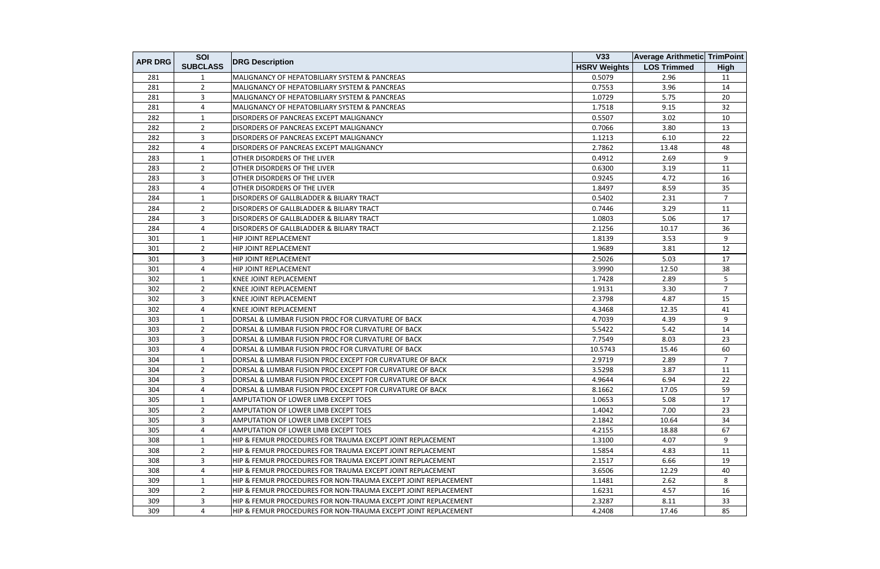|                | SOI             |                                                                | <b>V33</b>          | <b>Average Arithmetic TrimPoint</b> |                |
|----------------|-----------------|----------------------------------------------------------------|---------------------|-------------------------------------|----------------|
| <b>APR DRG</b> | <b>SUBCLASS</b> | <b>DRG Description</b>                                         | <b>HSRV Weights</b> | <b>LOS Trimmed</b>                  | <b>High</b>    |
| 281            | 1               | MALIGNANCY OF HEPATOBILIARY SYSTEM & PANCREAS                  | 0.5079              | 2.96                                | 11             |
| 281            | $\overline{2}$  | MALIGNANCY OF HEPATOBILIARY SYSTEM & PANCREAS                  | 0.7553              | 3.96                                | 14             |
| 281            | 3               | MALIGNANCY OF HEPATOBILIARY SYSTEM & PANCREAS                  | 1.0729              | 5.75                                | 20             |
| 281            | 4               | MALIGNANCY OF HEPATOBILIARY SYSTEM & PANCREAS                  | 1.7518              | 9.15                                | 32             |
| 282            | 1               | DISORDERS OF PANCREAS EXCEPT MALIGNANCY                        | 0.5507              | 3.02                                | 10             |
| 282            | $\overline{2}$  | DISORDERS OF PANCREAS EXCEPT MALIGNANCY                        | 0.7066              | 3.80                                | 13             |
| 282            | 3               | DISORDERS OF PANCREAS EXCEPT MALIGNANCY                        | 1.1213              | 6.10                                | 22             |
| 282            | 4               | DISORDERS OF PANCREAS EXCEPT MALIGNANCY                        | 2.7862              | 13.48                               | 48             |
| 283            | $\mathbf{1}$    | OTHER DISORDERS OF THE LIVER                                   | 0.4912              | 2.69                                | 9              |
| 283            | 2               | OTHER DISORDERS OF THE LIVER                                   | 0.6300              | 3.19                                | 11             |
| 283            | 3               | OTHER DISORDERS OF THE LIVER                                   | 0.9245              | 4.72                                | 16             |
| 283            | 4               | OTHER DISORDERS OF THE LIVER                                   | 1.8497              | 8.59                                | 35             |
| 284            | 1               | DISORDERS OF GALLBLADDER & BILIARY TRACT                       | 0.5402              | 2.31                                | $\overline{7}$ |
| 284            | $\overline{2}$  | DISORDERS OF GALLBLADDER & BILIARY TRACT                       | 0.7446              | 3.29                                | 11             |
| 284            | 3               | DISORDERS OF GALLBLADDER & BILIARY TRACT                       | 1.0803              | 5.06                                | 17             |
| 284            | 4               | DISORDERS OF GALLBLADDER & BILIARY TRACT                       | 2.1256              | 10.17                               | 36             |
| 301            | $\mathbf{1}$    | HIP JOINT REPLACEMENT                                          | 1.8139              | 3.53                                | 9              |
| 301            | $\overline{2}$  | HIP JOINT REPLACEMENT                                          | 1.9689              | 3.81                                | 12             |
| 301            | 3               | HIP JOINT REPLACEMENT                                          | 2.5026              | 5.03                                | 17             |
| 301            | 4               | HIP JOINT REPLACEMENT                                          | 3.9990              | 12.50                               | 38             |
| 302            | $\mathbf{1}$    | <b>KNEE JOINT REPLACEMENT</b>                                  | 1.7428              | 2.89                                | 5              |
| 302            | $\overline{2}$  | KNEE JOINT REPLACEMENT                                         | 1.9131              | 3.30                                | $\overline{7}$ |
| 302            | 3               | <b>KNEE JOINT REPLACEMENT</b>                                  | 2.3798              | 4.87                                | 15             |
| 302            | 4               | <b>KNEE JOINT REPLACEMENT</b>                                  | 4.3468              | 12.35                               | 41             |
| 303            | 1               | DORSAL & LUMBAR FUSION PROC FOR CURVATURE OF BACK              | 4.7039              | 4.39                                | 9              |
| 303            | $2^{\circ}$     | DORSAL & LUMBAR FUSION PROC FOR CURVATURE OF BACK              | 5.5422              | 5.42                                | 14             |
| 303            | 3               | DORSAL & LUMBAR FUSION PROC FOR CURVATURE OF BACK              | 7.7549              | 8.03                                | 23             |
| 303            | 4               | DORSAL & LUMBAR FUSION PROC FOR CURVATURE OF BACK              | 10.5743             | 15.46                               | 60             |
| 304            | 1               | DORSAL & LUMBAR FUSION PROC EXCEPT FOR CURVATURE OF BACK       | 2.9719              | 2.89                                | $\overline{7}$ |
| 304            | $\overline{2}$  | DORSAL & LUMBAR FUSION PROC EXCEPT FOR CURVATURE OF BACK       | 3.5298              | 3.87                                | 11             |
| 304            | 3               | DORSAL & LUMBAR FUSION PROC EXCEPT FOR CURVATURE OF BACK       | 4.9644              | 6.94                                | 22             |
| 304            | 4               | DORSAL & LUMBAR FUSION PROC EXCEPT FOR CURVATURE OF BACK       | 8.1662              | 17.05                               | 59             |
| 305            | 1               | AMPUTATION OF LOWER LIMB EXCEPT TOES                           | 1.0653              | 5.08                                | 17             |
| 305            | $\overline{2}$  | AMPUTATION OF LOWER LIMB EXCEPT TOES                           | 1.4042              | 7.00                                | 23             |
| 305            | 3               | AMPUTATION OF LOWER LIMB EXCEPT TOES                           | 2.1842              | 10.64                               | 34             |
| 305            | 4               | AMPUTATION OF LOWER LIMB EXCEPT TOES                           | 4.2155              | 18.88                               | 67             |
| 308            | 1               | HIP & FEMUR PROCEDURES FOR TRAUMA EXCEPT JOINT REPLACEMENT     | 1.3100              | 4.07                                | 9              |
| 308            | $\overline{2}$  | HIP & FEMUR PROCEDURES FOR TRAUMA EXCEPT JOINT REPLACEMENT     | 1.5854              | 4.83                                | 11             |
| 308            | 3               | HIP & FEMUR PROCEDURES FOR TRAUMA EXCEPT JOINT REPLACEMENT     | 2.1517              | 6.66                                | 19             |
| 308            | 4               | HIP & FEMUR PROCEDURES FOR TRAUMA EXCEPT JOINT REPLACEMENT     | 3.6506              | 12.29                               | 40             |
| 309            | $\mathbf{1}$    | HIP & FEMUR PROCEDURES FOR NON-TRAUMA EXCEPT JOINT REPLACEMENT | 1.1481              | 2.62                                | 8              |
| 309            | $\overline{2}$  | HIP & FEMUR PROCEDURES FOR NON-TRAUMA EXCEPT JOINT REPLACEMENT | 1.6231              | 4.57                                | 16             |
| 309            | 3               | HIP & FEMUR PROCEDURES FOR NON-TRAUMA EXCEPT JOINT REPLACEMENT | 2.3287              | 8.11                                | 33             |
| 309            | 4               | HIP & FEMUR PROCEDURES FOR NON-TRAUMA EXCEPT JOINT REPLACEMENT | 4.2408              | 17.46                               | 85             |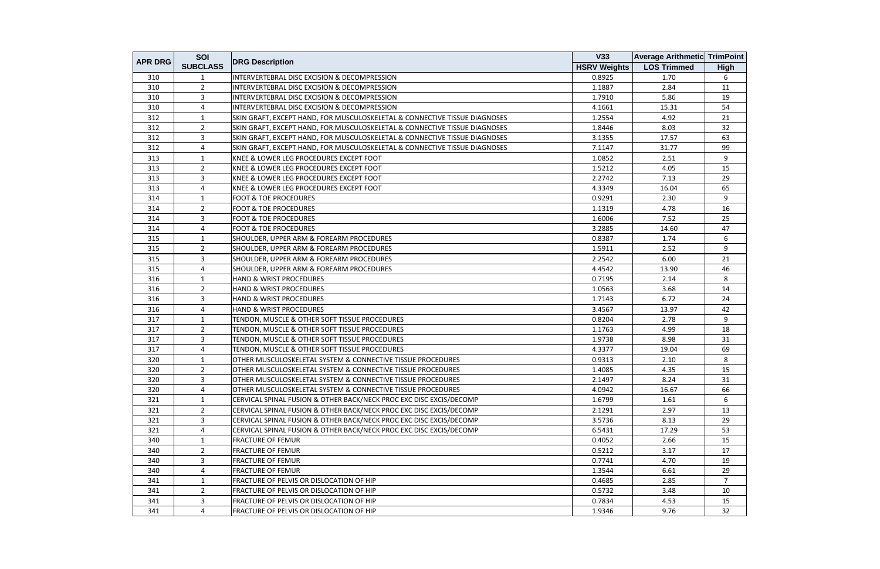|                | SOI             |                                                                            | V33                 | <b>Average Arithmetic TrimPoint</b> |                      |
|----------------|-----------------|----------------------------------------------------------------------------|---------------------|-------------------------------------|----------------------|
| <b>APR DRG</b> | <b>SUBCLASS</b> | <b>DRG Description</b>                                                     | <b>HSRV Weights</b> | <b>LOS Trimmed</b>                  | <b>High</b>          |
| 310            | 1               | INTERVERTEBRAL DISC EXCISION & DECOMPRESSION                               | 0.8925              | 1.70                                | 6                    |
| 310            | $\overline{2}$  | INTERVERTEBRAL DISC EXCISION & DECOMPRESSION                               | 1.1887              | 2.84                                | 11                   |
| 310            | 3               | INTERVERTEBRAL DISC EXCISION & DECOMPRESSION                               | 1.7910              | 5.86                                | 19                   |
| 310            | 4               | INTERVERTEBRAL DISC EXCISION & DECOMPRESSION                               | 4.1661              | 15.31                               | 54                   |
| 312            | $\mathbf{1}$    | SKIN GRAFT, EXCEPT HAND, FOR MUSCULOSKELETAL & CONNECTIVE TISSUE DIAGNOSES | 1.2554              | 4.92                                | 21                   |
| 312            | $\overline{2}$  | SKIN GRAFT, EXCEPT HAND, FOR MUSCULOSKELETAL & CONNECTIVE TISSUE DIAGNOSES | 1.8446              | 8.03                                | 32                   |
| 312            | 3               | SKIN GRAFT, EXCEPT HAND, FOR MUSCULOSKELETAL & CONNECTIVE TISSUE DIAGNOSES | 3.1355              | 17.57                               | 63                   |
| 312            | $\overline{4}$  | SKIN GRAFT, EXCEPT HAND, FOR MUSCULOSKELETAL & CONNECTIVE TISSUE DIAGNOSES | 7.1147              | 31.77                               | 99                   |
| 313            | $\mathbf{1}$    | KNEE & LOWER LEG PROCEDURES EXCEPT FOOT                                    | 1.0852              | 2.51                                | 9                    |
| 313            | $\overline{2}$  | KNEE & LOWER LEG PROCEDURES EXCEPT FOOT                                    | 1.5212              | 4.05                                | 15                   |
| 313            | 3               | KNEE & LOWER LEG PROCEDURES EXCEPT FOOT                                    | 2.2742              | 7.13                                | 29                   |
| 313            | 4               | KNEE & LOWER LEG PROCEDURES EXCEPT FOOT                                    | 4.3349              | 16.04                               | 65                   |
| 314            | $\mathbf{1}$    | <b>FOOT &amp; TOE PROCEDURES</b>                                           | 0.9291              | 2.30                                | 9                    |
| 314            | $\overline{2}$  | <b>FOOT &amp; TOE PROCEDURES</b>                                           | 1.1319              | 4.78                                | 16                   |
| 314            | 3               | <b>FOOT &amp; TOE PROCEDURES</b>                                           | 1.6006              | 7.52                                | 25                   |
| 314            | 4               | <b>FOOT &amp; TOE PROCEDURES</b>                                           | 3.2885              | 14.60                               | 47                   |
| 315            | $\mathbf{1}$    | SHOULDER, UPPER ARM & FOREARM PROCEDURES                                   | 0.8387              | 1.74                                | 6                    |
| 315            | $\overline{2}$  | SHOULDER, UPPER ARM & FOREARM PROCEDURES                                   | 1.5911              | 2.52                                | 9                    |
| 315            | $\overline{3}$  | SHOULDER, UPPER ARM & FOREARM PROCEDURES                                   | 2.2542              | 6.00                                | 21                   |
| 315            | 4               | SHOULDER, UPPER ARM & FOREARM PROCEDURES                                   | 4.4542              | 13.90                               | 46                   |
| 316            | $\mathbf{1}$    | <b>HAND &amp; WRIST PROCEDURES</b>                                         | 0.7195              | 2.14                                | 8                    |
| 316            | $\overline{2}$  | HAND & WRIST PROCEDURES                                                    | 1.0563              | 3.68                                | 14                   |
| 316            | 3               | HAND & WRIST PROCEDURES                                                    | 1.7143              | 6.72                                | 24                   |
| 316            | 4               | <b>HAND &amp; WRIST PROCEDURES</b>                                         | 3.4567              | 13.97                               | 42                   |
| 317            | 1               | TENDON, MUSCLE & OTHER SOFT TISSUE PROCEDURES                              | 0.8204              | 2.78                                | 9                    |
| 317            | $\overline{2}$  | TENDON, MUSCLE & OTHER SOFT TISSUE PROCEDURES                              | 1.1763              | 4.99                                | 18                   |
| 317            | $\overline{3}$  | TENDON, MUSCLE & OTHER SOFT TISSUE PROCEDURES                              | 1.9738              | 8.98                                | 31                   |
| 317            | 4               | TENDON, MUSCLE & OTHER SOFT TISSUE PROCEDURES                              | 4.3377              | 19.04                               | 69                   |
| 320            | 1               | OTHER MUSCULOSKELETAL SYSTEM & CONNECTIVE TISSUE PROCEDURES                | 0.9313              | 2.10                                | 8                    |
| 320            | $\overline{2}$  | OTHER MUSCULOSKELETAL SYSTEM & CONNECTIVE TISSUE PROCEDURES                | 1.4085              | 4.35                                | 15                   |
| 320            | 3               | OTHER MUSCULOSKELETAL SYSTEM & CONNECTIVE TISSUE PROCEDURES                | 2.1497              | 8.24                                | 31                   |
| 320            | 4               | OTHER MUSCULOSKELETAL SYSTEM & CONNECTIVE TISSUE PROCEDURES                | 4.0942              | 16.67                               | 66                   |
| 321            | $\mathbf{1}$    | CERVICAL SPINAL FUSION & OTHER BACK/NECK PROC EXC DISC EXCIS/DECOMP        | 1.6799              | 1.61                                | 6                    |
| 321            | $\overline{2}$  | CERVICAL SPINAL FUSION & OTHER BACK/NECK PROC EXC DISC EXCIS/DECOMP        | 2.1291              | 2.97                                | 13                   |
| 321            | 3               | CERVICAL SPINAL FUSION & OTHER BACK/NECK PROC EXC DISC EXCIS/DECOMP        | 3.5736              | 8.13                                | 29                   |
| 321            | 4               | CERVICAL SPINAL FUSION & OTHER BACK/NECK PROC EXC DISC EXCIS/DECOMP        | 6.5431              | 17.29                               | 53                   |
| 340            | 1               | <b>FRACTURE OF FEMUR</b>                                                   | 0.4052              | 2.66                                | 15                   |
| 340            | $\overline{2}$  | <b>FRACTURE OF FEMUR</b>                                                   | 0.5212              | 3.17                                | 17                   |
| 340            |                 | <b>FRACTURE OF FEMUR</b>                                                   | 0.7741              | 4.70                                | 19                   |
|                | 3               |                                                                            |                     |                                     |                      |
| 340            | 4               | <b>FRACTURE OF FEMUR</b>                                                   | 1.3544              | 6.61                                | 29<br>$\overline{7}$ |
| 341            | $\mathbf{1}$    | FRACTURE OF PELVIS OR DISLOCATION OF HIP                                   | 0.4685              | 2.85                                |                      |
| 341            | $\overline{2}$  | FRACTURE OF PELVIS OR DISLOCATION OF HIP                                   | 0.5732              | 3.48                                | 10                   |
| 341            | 3               | FRACTURE OF PELVIS OR DISLOCATION OF HIP                                   | 0.7834              | 4.53                                | 15                   |
| 341            | 4               | FRACTURE OF PELVIS OR DISLOCATION OF HIP                                   | 1.9346              | 9.76                                | 32                   |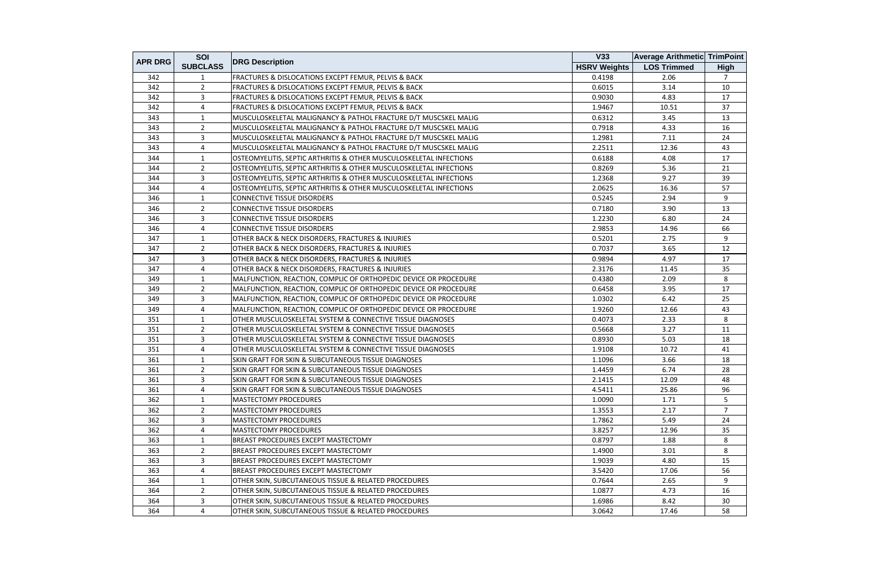|                | SOI             |                                                                    | V33                 | <b>Average Arithmetic TrimPoint</b> |                |
|----------------|-----------------|--------------------------------------------------------------------|---------------------|-------------------------------------|----------------|
| <b>APR DRG</b> | <b>SUBCLASS</b> | <b>DRG Description</b>                                             | <b>HSRV Weights</b> | <b>LOS Trimmed</b>                  | <b>High</b>    |
| 342            | 1               | FRACTURES & DISLOCATIONS EXCEPT FEMUR, PELVIS & BACK               | 0.4198              | 2.06                                | $\overline{7}$ |
| 342            | $\overline{2}$  | FRACTURES & DISLOCATIONS EXCEPT FEMUR, PELVIS & BACK               | 0.6015              | 3.14                                | 10             |
| 342            | $\overline{3}$  | FRACTURES & DISLOCATIONS EXCEPT FEMUR, PELVIS & BACK               | 0.9030              | 4.83                                | 17             |
| 342            | 4               | FRACTURES & DISLOCATIONS EXCEPT FEMUR, PELVIS & BACK               | 1.9467              | 10.51                               | 37             |
| 343            | 1               | MUSCULOSKELETAL MALIGNANCY & PATHOL FRACTURE D/T MUSCSKEL MALIG    | 0.6312              | 3.45                                | 13             |
| 343            | $\overline{2}$  | MUSCULOSKELETAL MALIGNANCY & PATHOL FRACTURE D/T MUSCSKEL MALIG    | 0.7918              | 4.33                                | 16             |
| 343            | $\overline{3}$  | MUSCULOSKELETAL MALIGNANCY & PATHOL FRACTURE D/T MUSCSKEL MALIG    | 1.2981              | 7.11                                | 24             |
| 343            | $\overline{4}$  | MUSCULOSKELETAL MALIGNANCY & PATHOL FRACTURE D/T MUSCSKEL MALIG    | 2.2511              | 12.36                               | 43             |
| 344            | $\mathbf{1}$    | OSTEOMYELITIS, SEPTIC ARTHRITIS & OTHER MUSCULOSKELETAL INFECTIONS | 0.6188              | 4.08                                | 17             |
| 344            | $\overline{2}$  | OSTEOMYELITIS, SEPTIC ARTHRITIS & OTHER MUSCULOSKELETAL INFECTIONS | 0.8269              | 5.36                                | 21             |
| 344            | 3               | OSTEOMYELITIS, SEPTIC ARTHRITIS & OTHER MUSCULOSKELETAL INFECTIONS | 1.2368              | 9.27                                | 39             |
| 344            | 4               | OSTEOMYELITIS, SEPTIC ARTHRITIS & OTHER MUSCULOSKELETAL INFECTIONS | 2.0625              | 16.36                               | 57             |
| 346            | 1               | <b>CONNECTIVE TISSUE DISORDERS</b>                                 | 0.5245              | 2.94                                | 9              |
| 346            | $\overline{2}$  | <b>CONNECTIVE TISSUE DISORDERS</b>                                 | 0.7180              | 3.90                                | 13             |
| 346            | $\overline{3}$  | <b>CONNECTIVE TISSUE DISORDERS</b>                                 | 1.2230              | 6.80                                | 24             |
| 346            | 4               | <b>CONNECTIVE TISSUE DISORDERS</b>                                 | 2.9853              | 14.96                               | 66             |
| 347            | 1               | OTHER BACK & NECK DISORDERS, FRACTURES & INJURIES                  | 0.5201              | 2.75                                | 9              |
| 347            | $\overline{2}$  | <b>OTHER BACK &amp; NECK DISORDERS, FRACTURES &amp; INJURIES</b>   | 0.7037              | 3.65                                | 12             |
| 347            | 3               | OTHER BACK & NECK DISORDERS, FRACTURES & INJURIES                  | 0.9894              | 4.97                                | 17             |
| 347            | $\overline{4}$  | OTHER BACK & NECK DISORDERS, FRACTURES & INJURIES                  | 2.3176              | 11.45                               | 35             |
| 349            | 1               | MALFUNCTION, REACTION, COMPLIC OF ORTHOPEDIC DEVICE OR PROCEDURE   | 0.4380              | 2.09                                | 8              |
| 349            | $\overline{2}$  | MALFUNCTION, REACTION, COMPLIC OF ORTHOPEDIC DEVICE OR PROCEDURE   | 0.6458              | 3.95                                | 17             |
| 349            | $\overline{3}$  | MALFUNCTION, REACTION, COMPLIC OF ORTHOPEDIC DEVICE OR PROCEDURE   | 1.0302              | 6.42                                | 25             |
| 349            | $\overline{4}$  | MALFUNCTION, REACTION, COMPLIC OF ORTHOPEDIC DEVICE OR PROCEDURE   | 1.9260              | 12.66                               | 43             |
| 351            | 1               | OTHER MUSCULOSKELETAL SYSTEM & CONNECTIVE TISSUE DIAGNOSES         | 0.4073              | 2.33                                | 8              |
| 351            | $\overline{2}$  | OTHER MUSCULOSKELETAL SYSTEM & CONNECTIVE TISSUE DIAGNOSES         | 0.5668              | 3.27                                | 11             |
| 351            | 3               | OTHER MUSCULOSKELETAL SYSTEM & CONNECTIVE TISSUE DIAGNOSES         | 0.8930              | 5.03                                | 18             |
| 351            | 4               | OTHER MUSCULOSKELETAL SYSTEM & CONNECTIVE TISSUE DIAGNOSES         | 1.9108              | 10.72                               | 41             |
| 361            | 1               | SKIN GRAFT FOR SKIN & SUBCUTANEOUS TISSUE DIAGNOSES                | 1.1096              | 3.66                                | 18             |
| 361            | $\overline{2}$  | SKIN GRAFT FOR SKIN & SUBCUTANEOUS TISSUE DIAGNOSES                | 1.4459              | 6.74                                | 28             |
| 361            | 3               | SKIN GRAFT FOR SKIN & SUBCUTANEOUS TISSUE DIAGNOSES                | 2.1415              | 12.09                               | 48             |
| 361            | 4               | SKIN GRAFT FOR SKIN & SUBCUTANEOUS TISSUE DIAGNOSES                | 4.5411              | 25.86                               | 96             |
| 362            | 1               | <b>MASTECTOMY PROCEDURES</b>                                       | 1.0090              | 1.71                                | 5              |
| 362            | 2               | <b>MASTECTOMY PROCEDURES</b>                                       | 1.3553              | 2.17                                | $\overline{7}$ |
| 362            | $\overline{3}$  | <b>MASTECTOMY PROCEDURES</b>                                       | 1.7862              | 5.49                                | 24             |
| 362            | 4               | <b>MASTECTOMY PROCEDURES</b>                                       | 3.8257              | 12.96                               | 35             |
| 363            | -1              | <b>BREAST PROCEDURES EXCEPT MASTECTOMY</b>                         | 0.8797              | 1.88                                | 8              |
| 363            | $\overline{2}$  | <b>BREAST PROCEDURES EXCEPT MASTECTOMY</b>                         | 1.4900              | 3.01                                | 8              |
| 363            | $\mathbf{3}$    | <b>BREAST PROCEDURES EXCEPT MASTECTOMY</b>                         | 1.9039              | 4.80                                | 15             |
| 363            | 4               | <b>BREAST PROCEDURES EXCEPT MASTECTOMY</b>                         | 3.5420              | 17.06                               | 56             |
| 364            | 1               | <b>OTHER SKIN, SUBCUTANEOUS TISSUE &amp; RELATED PROCEDURES</b>    | 0.7644              | 2.65                                | 9              |
| 364            | $\overline{2}$  | OTHER SKIN, SUBCUTANEOUS TISSUE & RELATED PROCEDURES               | 1.0877              | 4.73                                | 16             |
| 364            | $\overline{3}$  | <b>OTHER SKIN, SUBCUTANEOUS TISSUE &amp; RELATED PROCEDURES</b>    | 1.6986              | 8.42                                | 30             |
| 364            | 4               | OTHER SKIN, SUBCUTANEOUS TISSUE & RELATED PROCEDURES               | 3.0642              | 17.46                               | 58             |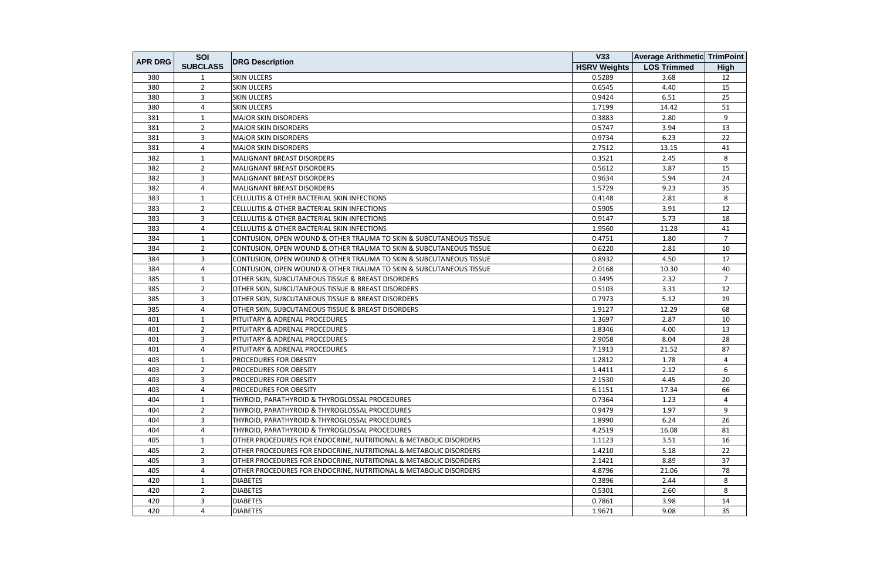| <b>APR DRG</b> | SOI             |                                                                    | V33                 | <b>Average Arithmetic TrimPoint</b> |                |
|----------------|-----------------|--------------------------------------------------------------------|---------------------|-------------------------------------|----------------|
|                | <b>SUBCLASS</b> | <b>DRG Description</b>                                             | <b>HSRV Weights</b> | <b>LOS Trimmed</b>                  | High           |
| 380            | 1               | <b>SKIN ULCERS</b>                                                 | 0.5289              | 3.68                                | 12             |
| 380            | $\overline{2}$  | <b>SKIN ULCERS</b>                                                 | 0.6545              | 4.40                                | 15             |
| 380            | 3               | <b>SKIN ULCERS</b>                                                 | 0.9424              | 6.51                                | 25             |
| 380            | 4               | <b>SKIN ULCERS</b>                                                 | 1.7199              | 14.42                               | 51             |
| 381            | 1               | <b>MAJOR SKIN DISORDERS</b>                                        | 0.3883              | 2.80                                | 9              |
| 381            | $\overline{2}$  | <b>MAJOR SKIN DISORDERS</b>                                        | 0.5747              | 3.94                                | 13             |
| 381            | 3               | <b>MAJOR SKIN DISORDERS</b>                                        | 0.9734              | 6.23                                | 22             |
| 381            | 4               | <b>MAJOR SKIN DISORDERS</b>                                        | 2.7512              | 13.15                               | 41             |
| 382            | $\mathbf{1}$    | MALIGNANT BREAST DISORDERS                                         | 0.3521              | 2.45                                | 8              |
| 382            | $\overline{2}$  | MALIGNANT BREAST DISORDERS                                         | 0.5612              | 3.87                                | 15             |
| 382            | 3               | <b>MALIGNANT BREAST DISORDERS</b>                                  | 0.9634              | 5.94                                | 24             |
| 382            | 4               | MALIGNANT BREAST DISORDERS                                         | 1.5729              | 9.23                                | 35             |
| 383            | 1               | CELLULITIS & OTHER BACTERIAL SKIN INFECTIONS                       | 0.4148              | 2.81                                | 8              |
| 383            | $\overline{2}$  | CELLULITIS & OTHER BACTERIAL SKIN INFECTIONS                       | 0.5905              | 3.91                                | 12             |
| 383            | $\overline{3}$  | <b>CELLULITIS &amp; OTHER BACTERIAL SKIN INFECTIONS</b>            | 0.9147              | 5.73                                | 18             |
| 383            | 4               | CELLULITIS & OTHER BACTERIAL SKIN INFECTIONS                       | 1.9560              | 11.28                               | 41             |
| 384            | 1               | CONTUSION, OPEN WOUND & OTHER TRAUMA TO SKIN & SUBCUTANEOUS TISSUE | 0.4751              | 1.80                                | $\overline{7}$ |
| 384            | $\overline{2}$  | CONTUSION, OPEN WOUND & OTHER TRAUMA TO SKIN & SUBCUTANEOUS TISSUE | 0.6220              | 2.81                                | 10             |
| 384            | $\mathbf{3}$    | CONTUSION, OPEN WOUND & OTHER TRAUMA TO SKIN & SUBCUTANEOUS TISSUE | 0.8932              | 4.50                                | 17             |
| 384            | 4               | CONTUSION, OPEN WOUND & OTHER TRAUMA TO SKIN & SUBCUTANEOUS TISSUE | 2.0168              | 10.30                               | 40             |
| 385            | 1               | OTHER SKIN, SUBCUTANEOUS TISSUE & BREAST DISORDERS                 | 0.3495              | 2.32                                | $\overline{7}$ |
| 385            | $\overline{2}$  | OTHER SKIN, SUBCUTANEOUS TISSUE & BREAST DISORDERS                 | 0.5103              | 3.31                                | 12             |
| 385            | $\overline{3}$  | OTHER SKIN, SUBCUTANEOUS TISSUE & BREAST DISORDERS                 | 0.7973              | 5.12                                | 19             |
| 385            | $\overline{4}$  | OTHER SKIN, SUBCUTANEOUS TISSUE & BREAST DISORDERS                 | 1.9127              | 12.29                               | 68             |
| 401            | 1               | PITUITARY & ADRENAL PROCEDURES                                     | 1.3697              | 2.87                                | 10             |
| 401            | $\overline{2}$  | PITUITARY & ADRENAL PROCEDURES                                     | 1.8346              | 4.00                                | 13             |
| 401            | 3               | <b>PITUITARY &amp; ADRENAL PROCEDURES</b>                          | 2.9058              | 8.04                                | 28             |
| 401            | 4               | PITUITARY & ADRENAL PROCEDURES                                     | 7.1913              | 21.52                               | 87             |
| 403            | $\mathbf{1}$    | PROCEDURES FOR OBESITY                                             | 1.2812              | 1.78                                | 4              |
| 403            | $\overline{2}$  | <b>PROCEDURES FOR OBESITY</b>                                      | 1.4411              | 2.12                                | 6              |
| 403            | 3               | <b>PROCEDURES FOR OBESITY</b>                                      | 2.1530              | 4.45                                | 20             |
| 403            | 4               | <b>PROCEDURES FOR OBESITY</b>                                      | 6.1151              | 17.34                               | 66             |
| 404            | 1               | THYROID, PARATHYROID & THYROGLOSSAL PROCEDURES                     | 0.7364              | 1.23                                | 4              |
| 404            | $\overline{2}$  | THYROID, PARATHYROID & THYROGLOSSAL PROCEDURES                     | 0.9479              | 1.97                                | 9              |
| 404            | $\overline{3}$  | THYROID, PARATHYROID & THYROGLOSSAL PROCEDURES                     | 1.8990              | 6.24                                | 26             |
| 404            | 4               | THYROID, PARATHYROID & THYROGLOSSAL PROCEDURES                     | 4.2519              | 16.08                               | 81             |
| 405            | 1               | OTHER PROCEDURES FOR ENDOCRINE, NUTRITIONAL & METABOLIC DISORDERS  | 1.1123              | 3.51                                | 16             |
| 405            | $\overline{2}$  | OTHER PROCEDURES FOR ENDOCRINE, NUTRITIONAL & METABOLIC DISORDERS  | 1.4210              | 5.18                                | 22             |
| 405            | $\overline{3}$  | OTHER PROCEDURES FOR ENDOCRINE, NUTRITIONAL & METABOLIC DISORDERS  | 2.1421              | 8.89                                | 37             |
| 405            | 4               | OTHER PROCEDURES FOR ENDOCRINE, NUTRITIONAL & METABOLIC DISORDERS  | 4.8796              | 21.06                               | 78             |
| 420            | $\mathbf{1}$    | <b>DIABETES</b>                                                    | 0.3896              | 2.44                                | 8              |
| 420            | $\overline{2}$  | <b>DIABETES</b>                                                    | 0.5301              | 2.60                                | 8              |
| 420            | 3               | <b>DIABETES</b>                                                    | 0.7861              | 3.98                                | 14             |
| 420            | 4               | <b>DIABETES</b>                                                    | 1.9671              | 9.08                                | 35             |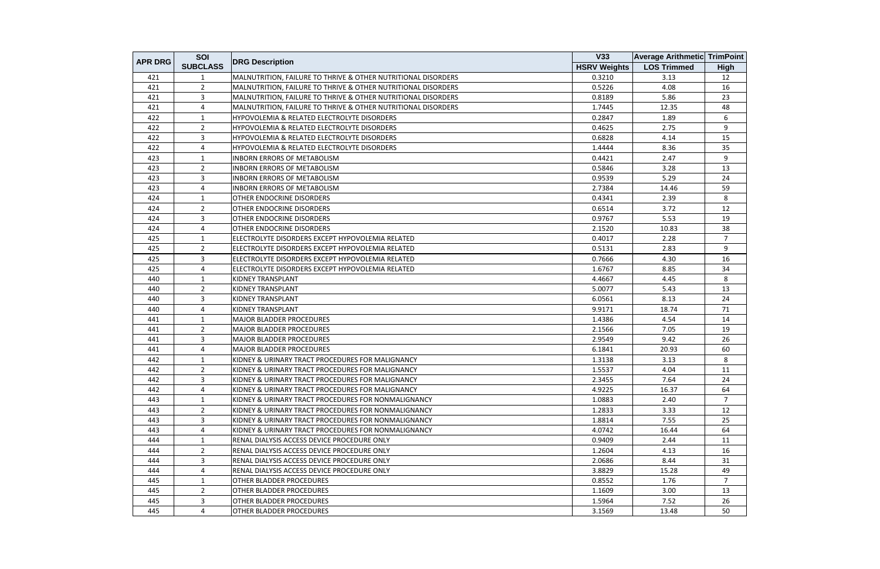|                | SOI             |                                                               | V33                 | <b>Average Arithmetic TrimPoint</b> |                |
|----------------|-----------------|---------------------------------------------------------------|---------------------|-------------------------------------|----------------|
| <b>APR DRG</b> | <b>SUBCLASS</b> | <b>DRG Description</b>                                        | <b>HSRV Weights</b> | <b>LOS Trimmed</b>                  | <b>High</b>    |
| 421            | 1               | MALNUTRITION, FAILURE TO THRIVE & OTHER NUTRITIONAL DISORDERS | 0.3210              | 3.13                                | 12             |
| 421            | $\overline{2}$  | MALNUTRITION, FAILURE TO THRIVE & OTHER NUTRITIONAL DISORDERS | 0.5226              | 4.08                                | 16             |
| 421            | $\overline{3}$  | MALNUTRITION, FAILURE TO THRIVE & OTHER NUTRITIONAL DISORDERS | 0.8189              | 5.86                                | 23             |
| 421            | 4               | MALNUTRITION, FAILURE TO THRIVE & OTHER NUTRITIONAL DISORDERS | 1.7445              | 12.35                               | 48             |
| 422            | 1               | HYPOVOLEMIA & RELATED ELECTROLYTE DISORDERS                   | 0.2847              | 1.89                                | 6              |
| 422            | $\overline{2}$  | <b>HYPOVOLEMIA &amp; RELATED ELECTROLYTE DISORDERS</b>        | 0.4625              | 2.75                                | 9              |
| 422            | $\overline{3}$  | HYPOVOLEMIA & RELATED ELECTROLYTE DISORDERS                   | 0.6828              | 4.14                                | 15             |
| 422            | 4               | HYPOVOLEMIA & RELATED ELECTROLYTE DISORDERS                   | 1.4444              | 8.36                                | 35             |
| 423            | $\mathbf{1}$    | <b>INBORN ERRORS OF METABOLISM</b>                            | 0.4421              | 2.47                                | 9              |
| 423            | $\overline{2}$  | <b>INBORN ERRORS OF METABOLISM</b>                            | 0.5846              | 3.28                                | 13             |
| 423            | 3               | <b>INBORN ERRORS OF METABOLISM</b>                            | 0.9539              | 5.29                                | 24             |
| 423            | 4               | <b>INBORN ERRORS OF METABOLISM</b>                            | 2.7384              | 14.46                               | 59             |
| 424            | 1               | OTHER ENDOCRINE DISORDERS                                     | 0.4341              | 2.39                                | 8              |
| 424            | $\overline{2}$  | OTHER ENDOCRINE DISORDERS                                     | 0.6514              | 3.72                                | 12             |
| 424            | 3               | OTHER ENDOCRINE DISORDERS                                     | 0.9767              | 5.53                                | 19             |
| 424            | 4               | OTHER ENDOCRINE DISORDERS                                     | 2.1520              | 10.83                               | 38             |
| 425            | 1               | ELECTROLYTE DISORDERS EXCEPT HYPOVOLEMIA RELATED              | 0.4017              | 2.28                                | $\overline{7}$ |
| 425            | $\overline{2}$  | ELECTROLYTE DISORDERS EXCEPT HYPOVOLEMIA RELATED              | 0.5131              | 2.83                                | 9              |
| 425            | 3               | ELECTROLYTE DISORDERS EXCEPT HYPOVOLEMIA RELATED              | 0.7666              | 4.30                                | 16             |
| 425            | 4               | ELECTROLYTE DISORDERS EXCEPT HYPOVOLEMIA RELATED              | 1.6767              | 8.85                                | 34             |
| 440            | $\mathbf{1}$    | KIDNEY TRANSPLANT                                             | 4.4667              | 4.45                                | 8              |
| 440            | $\overline{2}$  | KIDNEY TRANSPLANT                                             | 5.0077              | 5.43                                | 13             |
| 440            | 3               | <b>KIDNEY TRANSPLANT</b>                                      | 6.0561              | 8.13                                | 24             |
| 440            | 4               | <b>KIDNEY TRANSPLANT</b>                                      | 9.9171              | 18.74                               | 71             |
| 441            | 1               | <b>MAJOR BLADDER PROCEDURES</b>                               | 1.4386              | 4.54                                | 14             |
| 441            | $\overline{2}$  | <b>MAJOR BLADDER PROCEDURES</b>                               | 2.1566              | 7.05                                | 19             |
| 441            | 3               | <b>MAJOR BLADDER PROCEDURES</b>                               | 2.9549              | 9.42                                | 26             |
| 441            | 4               | <b>MAJOR BLADDER PROCEDURES</b>                               | 6.1841              | 20.93                               | 60             |
| 442            | $\mathbf{1}$    | KIDNEY & URINARY TRACT PROCEDURES FOR MALIGNANCY              | 1.3138              | 3.13                                | 8              |
| 442            | $\overline{2}$  | KIDNEY & URINARY TRACT PROCEDURES FOR MALIGNANCY              | 1.5537              | 4.04                                | 11             |
| 442            | 3               | KIDNEY & URINARY TRACT PROCEDURES FOR MALIGNANCY              | 2.3455              | 7.64                                | 24             |
| 442            | 4               | KIDNEY & URINARY TRACT PROCEDURES FOR MALIGNANCY              | 4.9225              | 16.37                               | 64             |
| 443            | 1               | KIDNEY & URINARY TRACT PROCEDURES FOR NONMALIGNANCY           | 1.0883              | 2.40                                | 7              |
| 443            | $\overline{2}$  | KIDNEY & URINARY TRACT PROCEDURES FOR NONMALIGNANCY           | 1.2833              | 3.33                                | 12             |
| 443            | 3               | KIDNEY & URINARY TRACT PROCEDURES FOR NONMALIGNANCY           | 1.8814              | 7.55                                | 25             |
| 443            | 4               | KIDNEY & URINARY TRACT PROCEDURES FOR NONMALIGNANCY           | 4.0742              | 16.44                               | 64             |
| 444            | $\mathbf{1}$    | IRENAL DIALYSIS ACCESS DEVICE PROCEDURE ONLY                  | 0.9409              | 2.44                                | 11             |
| 444            | $\overline{2}$  | RENAL DIALYSIS ACCESS DEVICE PROCEDURE ONLY                   | 1.2604              | 4.13                                | 16             |
| 444            | 3               | RENAL DIALYSIS ACCESS DEVICE PROCEDURE ONLY                   | 2.0686              | 8.44                                | 31             |
| 444            | 4               | IRENAL DIALYSIS ACCESS DEVICE PROCEDURE ONLY                  | 3.8829              | 15.28                               | 49             |
| 445            | $\mathbf{1}$    | OTHER BLADDER PROCEDURES                                      | 0.8552              | 1.76                                | $\overline{7}$ |
| 445            | $\overline{2}$  | OTHER BLADDER PROCEDURES                                      | 1.1609              | 3.00                                | 13             |
| 445            | 3               | OTHER BLADDER PROCEDURES                                      | 1.5964              | 7.52                                | 26             |
| 445            | 4               | <b>OTHER BLADDER PROCEDURES</b>                               | 3.1569              | 13.48                               | 50             |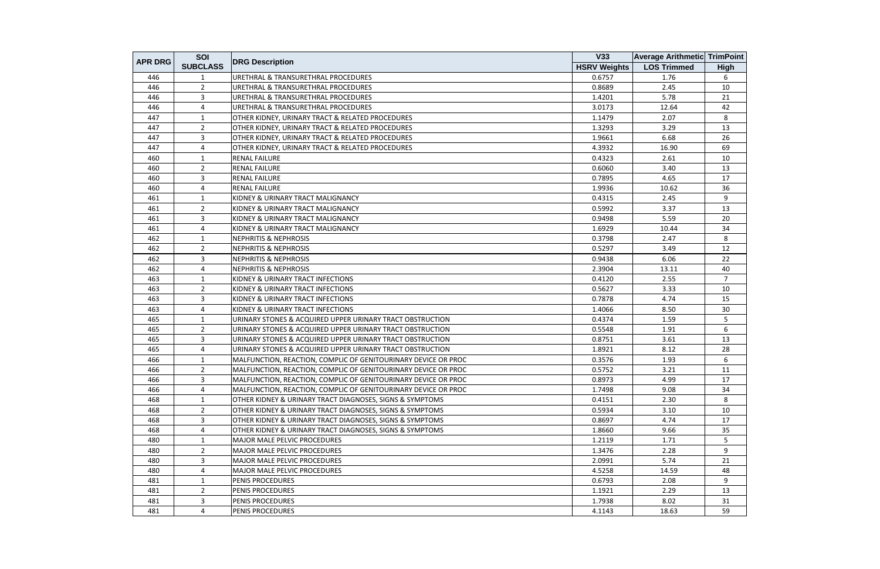|                | SOI             |                                                                | V33                 | <b>Average Arithmetic TrimPoint</b> |                |
|----------------|-----------------|----------------------------------------------------------------|---------------------|-------------------------------------|----------------|
| <b>APR DRG</b> | <b>SUBCLASS</b> | <b>DRG Description</b>                                         | <b>HSRV Weights</b> | <b>LOS Trimmed</b>                  | <b>High</b>    |
| 446            |                 | <b>URETHRAL &amp; TRANSURETHRAL PROCEDURES</b>                 | 0.6757              | 1.76                                | 6              |
| 446            | $\overline{2}$  | URETHRAL & TRANSURETHRAL PROCEDURES                            | 0.8689              | 2.45                                | 10             |
| 446            | 3               | URETHRAL & TRANSURETHRAL PROCEDURES                            | 1.4201              | 5.78                                | 21             |
| 446            | 4               | URETHRAL & TRANSURETHRAL PROCEDURES                            | 3.0173              | 12.64                               | 42             |
| 447            | 1               | OTHER KIDNEY, URINARY TRACT & RELATED PROCEDURES               | 1.1479              | 2.07                                | 8              |
| 447            | $\overline{2}$  | OTHER KIDNEY, URINARY TRACT & RELATED PROCEDURES               | 1.3293              | 3.29                                | 13             |
| 447            | 3               | OTHER KIDNEY, URINARY TRACT & RELATED PROCEDURES               | 1.9661              | 6.68                                | 26             |
| 447            | 4               | OTHER KIDNEY, URINARY TRACT & RELATED PROCEDURES               | 4.3932              | 16.90                               | 69             |
| 460            | $\mathbf{1}$    | <b>RENAL FAILURE</b>                                           | 0.4323              | 2.61                                | 10             |
| 460            | $\overline{2}$  | <b>RENAL FAILURE</b>                                           | 0.6060              | 3.40                                | 13             |
| 460            | 3               | <b>RENAL FAILURE</b>                                           | 0.7895              | 4.65                                | 17             |
| 460            | 4               | <b>RENAL FAILURE</b>                                           | 1.9936              | 10.62                               | 36             |
| 461            | 1               | KIDNEY & URINARY TRACT MALIGNANCY                              | 0.4315              | 2.45                                | 9              |
| 461            | $\overline{2}$  | KIDNEY & URINARY TRACT MALIGNANCY                              | 0.5992              | 3.37                                | 13             |
| 461            | 3               | KIDNEY & URINARY TRACT MALIGNANCY                              | 0.9498              | 5.59                                | 20             |
| 461            | 4               | KIDNEY & URINARY TRACT MALIGNANCY                              | 1.6929              | 10.44                               | 34             |
| 462            | 1               | <b>NEPHRITIS &amp; NEPHROSIS</b>                               | 0.3798              | 2.47                                | 8              |
| 462            | $\overline{2}$  | <b>NEPHRITIS &amp; NEPHROSIS</b>                               | 0.5297              | 3.49                                | 12             |
| 462            | 3               | <b>NEPHRITIS &amp; NEPHROSIS</b>                               | 0.9438              | 6.06                                | 22             |
| 462            | 4               | <b>NEPHRITIS &amp; NEPHROSIS</b>                               | 2.3904              | 13.11                               | 40             |
| 463            | $\mathbf{1}$    | KIDNEY & URINARY TRACT INFECTIONS                              | 0.4120              | 2.55                                | $\overline{7}$ |
| 463            | $\overline{2}$  | KIDNEY & URINARY TRACT INFECTIONS                              | 0.5627              | 3.33                                | 10             |
| 463            | 3               | KIDNEY & URINARY TRACT INFECTIONS                              | 0.7878              | 4.74                                | 15             |
| 463            | 4               | KIDNEY & URINARY TRACT INFECTIONS                              | 1.4066              | 8.50                                | 30             |
| 465            | 1               | URINARY STONES & ACQUIRED UPPER URINARY TRACT OBSTRUCTION      | 0.4374              | 1.59                                | 5              |
| 465            | $\overline{2}$  | URINARY STONES & ACQUIRED UPPER URINARY TRACT OBSTRUCTION      | 0.5548              | 1.91                                | 6              |
| 465            | 3               | URINARY STONES & ACQUIRED UPPER URINARY TRACT OBSTRUCTION      | 0.8751              | 3.61                                | 13             |
| 465            | 4               | URINARY STONES & ACQUIRED UPPER URINARY TRACT OBSTRUCTION      | 1.8921              | 8.12                                | 28             |
| 466            | $\mathbf{1}$    | MALFUNCTION, REACTION, COMPLIC OF GENITOURINARY DEVICE OR PROC | 0.3576              | 1.93                                | 6              |
| 466            | $\overline{2}$  | MALFUNCTION, REACTION, COMPLIC OF GENITOURINARY DEVICE OR PROC | 0.5752              | 3.21                                | 11             |
| 466            | 3               | MALFUNCTION, REACTION, COMPLIC OF GENITOURINARY DEVICE OR PROC | 0.8973              | 4.99                                | 17             |
| 466            | 4               | MALFUNCTION, REACTION, COMPLIC OF GENITOURINARY DEVICE OR PROC | 1.7498              | 9.08                                | 34             |
| 468            | 1               | OTHER KIDNEY & URINARY TRACT DIAGNOSES, SIGNS & SYMPTOMS       | 0.4151              | 2.30                                | 8              |
| 468            | $\overline{2}$  | OTHER KIDNEY & URINARY TRACT DIAGNOSES, SIGNS & SYMPTOMS       | 0.5934              | 3.10                                | 10             |
| 468            | $\overline{3}$  | OTHER KIDNEY & URINARY TRACT DIAGNOSES, SIGNS & SYMPTOMS       | 0.8697              | 4.74                                | 17             |
| 468            | 4               | OTHER KIDNEY & URINARY TRACT DIAGNOSES, SIGNS & SYMPTOMS       | 1.8660              | 9.66                                | 35             |
| 480            | 1               | <b>MAJOR MALE PELVIC PROCEDURES</b>                            | 1.2119              | 1.71                                | 5              |
| 480            | $\overline{2}$  | <b>MAJOR MALE PELVIC PROCEDURES</b>                            | 1.3476              | 2.28                                | 9              |
| 480            | 3               | <b>MAJOR MALE PELVIC PROCEDURES</b>                            | 2.0991              | 5.74                                | 21             |
| 480            | 4               | <b>MAJOR MALE PELVIC PROCEDURES</b>                            | 4.5258              | 14.59                               | 48             |
| 481            | 1               | PENIS PROCEDURES                                               | 0.6793              | 2.08                                | 9              |
| 481            | $\overline{2}$  | <b>PENIS PROCEDURES</b>                                        | 1.1921              | 2.29                                | 13             |
| 481            | 3               | <b>PENIS PROCEDURES</b>                                        | 1.7938              | 8.02                                | 31             |
| 481            | 4               | <b>PENIS PROCEDURES</b>                                        | 4.1143              | 18.63                               | 59             |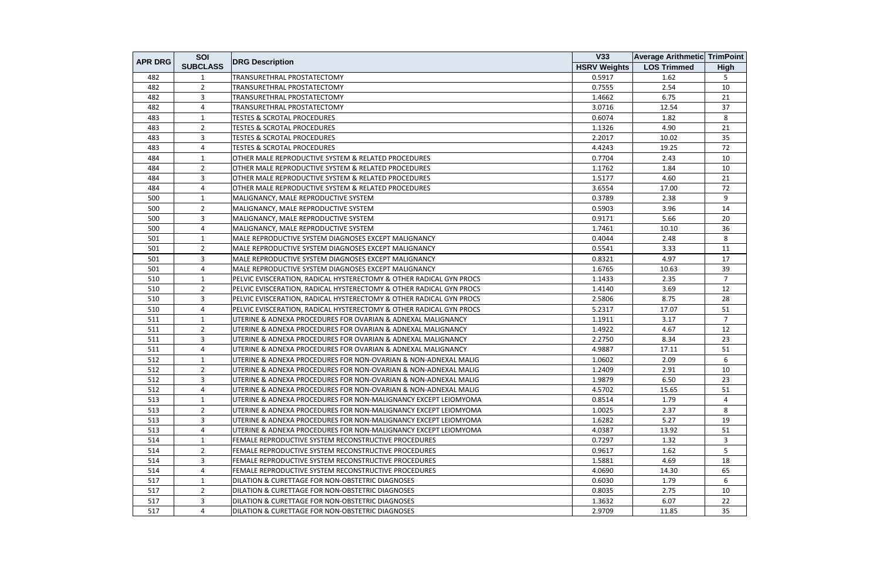| <b>APR DRG</b><br><b>DRG Description</b><br><b>HSRV Weights</b><br><b>SUBCLASS</b><br>482<br>TRANSURETHRAL PROSTATECTOMY<br>0.5917<br>$\overline{2}$<br>482<br>TRANSURETHRAL PROSTATECTOMY<br>0.7555<br>3<br>482<br>TRANSURETHRAL PROSTATECTOMY<br>1.4662 | <b>LOS Trimmed</b><br>1.62<br>2.54<br>6.75 | <b>High</b><br>5<br>10 |
|-----------------------------------------------------------------------------------------------------------------------------------------------------------------------------------------------------------------------------------------------------------|--------------------------------------------|------------------------|
|                                                                                                                                                                                                                                                           |                                            |                        |
|                                                                                                                                                                                                                                                           |                                            |                        |
|                                                                                                                                                                                                                                                           |                                            |                        |
|                                                                                                                                                                                                                                                           |                                            | 21                     |
| 482<br>4<br>3.0716<br>TRANSURETHRAL PROSTATECTOMY                                                                                                                                                                                                         | 12.54                                      | 37                     |
| 483<br>0.6074<br><b>TESTES &amp; SCROTAL PROCEDURES</b><br>1                                                                                                                                                                                              | 1.82                                       | 8                      |
| 483<br>$\overline{2}$<br><b>TESTES &amp; SCROTAL PROCEDURES</b><br>1.1326                                                                                                                                                                                 | 4.90                                       | 21                     |
| 3<br><b>TESTES &amp; SCROTAL PROCEDURES</b><br>483<br>2.2017                                                                                                                                                                                              | 10.02                                      | 35                     |
| 483<br><b>TESTES &amp; SCROTAL PROCEDURES</b><br>4.4243<br>$\overline{4}$                                                                                                                                                                                 | 19.25                                      | 72                     |
| 484<br>OTHER MALE REPRODUCTIVE SYSTEM & RELATED PROCEDURES<br>0.7704<br>$\mathbf{1}$                                                                                                                                                                      | 2.43                                       | 10                     |
| 484<br>1.1762<br>$\overline{2}$<br>OTHER MALE REPRODUCTIVE SYSTEM & RELATED PROCEDURES                                                                                                                                                                    | 1.84                                       | 10                     |
| 484<br>3<br>OTHER MALE REPRODUCTIVE SYSTEM & RELATED PROCEDURES<br>1.5177                                                                                                                                                                                 | 4.60                                       | 21                     |
| 484<br>4<br>OTHER MALE REPRODUCTIVE SYSTEM & RELATED PROCEDURES<br>3.6554                                                                                                                                                                                 | 17.00                                      | 72                     |
| 500<br>0.3789<br>MALIGNANCY, MALE REPRODUCTIVE SYSTEM<br>1                                                                                                                                                                                                | 2.38                                       | 9                      |
| 500<br>$\overline{2}$<br>MALIGNANCY, MALE REPRODUCTIVE SYSTEM<br>0.5903                                                                                                                                                                                   | 3.96                                       | 14                     |
| 3<br>500<br>MALIGNANCY, MALE REPRODUCTIVE SYSTEM<br>0.9171                                                                                                                                                                                                | 5.66                                       | 20                     |
| 500<br>1.7461<br>4<br>MALIGNANCY, MALE REPRODUCTIVE SYSTEM                                                                                                                                                                                                | 10.10                                      | 36                     |
| 501<br>MALE REPRODUCTIVE SYSTEM DIAGNOSES EXCEPT MALIGNANCY<br>0.4044<br>1                                                                                                                                                                                | 2.48                                       | 8                      |
| 501<br>$\overline{2}$<br>MALE REPRODUCTIVE SYSTEM DIAGNOSES EXCEPT MALIGNANCY<br>0.5541                                                                                                                                                                   | 3.33                                       | 11                     |
| 501<br>$\overline{3}$<br>MALE REPRODUCTIVE SYSTEM DIAGNOSES EXCEPT MALIGNANCY<br>0.8321                                                                                                                                                                   | 4.97                                       | 17                     |
| 501<br>$\overline{4}$<br>MALE REPRODUCTIVE SYSTEM DIAGNOSES EXCEPT MALIGNANCY<br>1.6765                                                                                                                                                                   | 10.63                                      | 39                     |
| 510<br>$\mathbf{1}$<br>PELVIC EVISCERATION, RADICAL HYSTERECTOMY & OTHER RADICAL GYN PROCS<br>1.1433                                                                                                                                                      | 2.35                                       | $\overline{7}$         |
| 510<br>$\overline{2}$<br>PELVIC EVISCERATION, RADICAL HYSTERECTOMY & OTHER RADICAL GYN PROCS<br>1.4140                                                                                                                                                    | 3.69                                       | 12                     |
| 510<br>3<br>PELVIC EVISCERATION, RADICAL HYSTERECTOMY & OTHER RADICAL GYN PROCS<br>2.5806                                                                                                                                                                 | 8.75                                       | 28                     |
| 5.2317<br>510<br>4<br>PELVIC EVISCERATION, RADICAL HYSTERECTOMY & OTHER RADICAL GYN PROCS                                                                                                                                                                 | 17.07                                      | 51                     |
| 511<br>UTERINE & ADNEXA PROCEDURES FOR OVARIAN & ADNEXAL MALIGNANCY<br>1.1911<br>1                                                                                                                                                                        | 3.17                                       | $\overline{7}$         |
| 511<br>$\overline{2}$<br>UTERINE & ADNEXA PROCEDURES FOR OVARIAN & ADNEXAL MALIGNANCY<br>1.4922                                                                                                                                                           | 4.67                                       | 12                     |
| $\overline{3}$<br>511<br>UTERINE & ADNEXA PROCEDURES FOR OVARIAN & ADNEXAL MALIGNANCY<br>2.2750                                                                                                                                                           | 8.34                                       | 23                     |
| 511<br>UTERINE & ADNEXA PROCEDURES FOR OVARIAN & ADNEXAL MALIGNANCY<br>4.9887<br>$\overline{a}$                                                                                                                                                           | 17.11                                      | 51                     |
| 512<br>UTERINE & ADNEXA PROCEDURES FOR NON-OVARIAN & NON-ADNEXAL MALIG<br>1.0602<br>$\mathbf{1}$                                                                                                                                                          | 2.09                                       | 6                      |
| 512<br>$\overline{2}$<br>UTERINE & ADNEXA PROCEDURES FOR NON-OVARIAN & NON-ADNEXAL MALIG<br>1.2409                                                                                                                                                        | 2.91                                       | 10                     |
| $\mathbf{3}$<br>UTERINE & ADNEXA PROCEDURES FOR NON-OVARIAN & NON-ADNEXAL MALIG<br>512<br>1.9879                                                                                                                                                          | 6.50                                       | 23                     |
| 512<br>4<br>UTERINE & ADNEXA PROCEDURES FOR NON-OVARIAN & NON-ADNEXAL MALIG<br>4.5702                                                                                                                                                                     | 15.65                                      | 51                     |
| 513<br>1<br>UTERINE & ADNEXA PROCEDURES FOR NON-MALIGNANCY EXCEPT LEIOMYOMA<br>0.8514                                                                                                                                                                     | 1.79                                       | 4                      |
| 513<br>2<br>UTERINE & ADNEXA PROCEDURES FOR NON-MALIGNANCY EXCEPT LEIOMYOMA<br>1.0025                                                                                                                                                                     | 2.37                                       | 8                      |
| 513<br>3<br>UTERINE & ADNEXA PROCEDURES FOR NON-MALIGNANCY EXCEPT LEIOMYOMA<br>1.6282                                                                                                                                                                     | 5.27                                       | 19                     |
| $\overline{4}$<br>513<br>4.0387<br>UTERINE & ADNEXA PROCEDURES FOR NON-MALIGNANCY EXCEPT LEIOMYOMA                                                                                                                                                        | 13.92                                      | 51                     |
| 0.7297<br>514<br>FEMALE REPRODUCTIVE SYSTEM RECONSTRUCTIVE PROCEDURES<br>-1                                                                                                                                                                               | 1.32                                       | 3                      |
| 2<br>514<br>FEMALE REPRODUCTIVE SYSTEM RECONSTRUCTIVE PROCEDURES<br>0.9617                                                                                                                                                                                | 1.62                                       | 5                      |
| 514<br>3<br>FEMALE REPRODUCTIVE SYSTEM RECONSTRUCTIVE PROCEDURES<br>1.5881                                                                                                                                                                                | 4.69                                       | 18                     |
| 4.0690<br>514<br>4<br>FEMALE REPRODUCTIVE SYSTEM RECONSTRUCTIVE PROCEDURES                                                                                                                                                                                | 14.30                                      | 65                     |
| 517<br>1<br>DILATION & CURETTAGE FOR NON-OBSTETRIC DIAGNOSES<br>0.6030                                                                                                                                                                                    | 1.79                                       | 6                      |
| $\overline{2}$<br>517<br>DILATION & CURETTAGE FOR NON-OBSTETRIC DIAGNOSES<br>0.8035                                                                                                                                                                       | 2.75                                       | 10                     |
| 517<br>3<br>1.3632<br>DILATION & CURETTAGE FOR NON-OBSTETRIC DIAGNOSES                                                                                                                                                                                    | 6.07                                       | 22                     |
| 517<br>2.9709<br>4<br>DILATION & CURETTAGE FOR NON-OBSTETRIC DIAGNOSES                                                                                                                                                                                    | 11.85                                      | 35                     |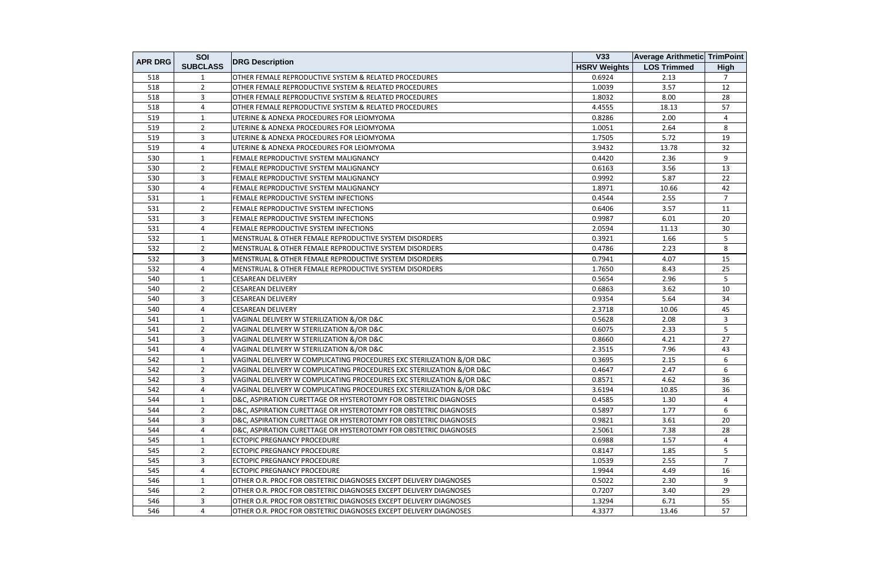|                | SOI             |                                                                       | <b>V33</b>          | <b>Average Arithmetic TrimPoint</b> |                |
|----------------|-----------------|-----------------------------------------------------------------------|---------------------|-------------------------------------|----------------|
| <b>APR DRG</b> | <b>SUBCLASS</b> | <b>DRG Description</b>                                                | <b>HSRV Weights</b> | <b>LOS Trimmed</b>                  | <b>High</b>    |
| 518            | 1               | OTHER FEMALE REPRODUCTIVE SYSTEM & RELATED PROCEDURES                 | 0.6924              | 2.13                                | $\overline{7}$ |
| 518            | $\overline{2}$  | OTHER FEMALE REPRODUCTIVE SYSTEM & RELATED PROCEDURES                 | 1.0039              | 3.57                                | 12             |
| 518            | 3               | OTHER FEMALE REPRODUCTIVE SYSTEM & RELATED PROCEDURES                 | 1.8032              | 8.00                                | 28             |
| 518            | 4               | OTHER FEMALE REPRODUCTIVE SYSTEM & RELATED PROCEDURES                 | 4.4555              | 18.13                               | 57             |
| 519            | 1               | UTERINE & ADNEXA PROCEDURES FOR LEIOMYOMA                             | 0.8286              | 2.00                                | 4              |
| 519            | $\overline{2}$  | UTERINE & ADNEXA PROCEDURES FOR LEIOMYOMA                             | 1.0051              | 2.64                                | 8              |
| 519            | 3               | UTERINE & ADNEXA PROCEDURES FOR LEIOMYOMA                             | 1.7505              | 5.72                                | 19             |
| 519            | 4               | UTERINE & ADNEXA PROCEDURES FOR LEIOMYOMA                             | 3.9432              | 13.78                               | 32             |
| 530            | $\mathbf{1}$    | FEMALE REPRODUCTIVE SYSTEM MALIGNANCY                                 | 0.4420              | 2.36                                | 9              |
| 530            | 2               | FEMALE REPRODUCTIVE SYSTEM MALIGNANCY                                 | 0.6163              | 3.56                                | 13             |
| 530            | 3               | FEMALE REPRODUCTIVE SYSTEM MALIGNANCY                                 | 0.9992              | 5.87                                | 22             |
| 530            | 4               | FEMALE REPRODUCTIVE SYSTEM MALIGNANCY                                 | 1.8971              | 10.66                               | 42             |
| 531            | 1               | FEMALE REPRODUCTIVE SYSTEM INFECTIONS                                 | 0.4544              | 2.55                                | $\overline{7}$ |
| 531            | $\overline{2}$  | FEMALE REPRODUCTIVE SYSTEM INFECTIONS                                 | 0.6406              | 3.57                                | 11             |
| 531            | 3               | FEMALE REPRODUCTIVE SYSTEM INFECTIONS                                 | 0.9987              | 6.01                                | 20             |
| 531            | 4               | FEMALE REPRODUCTIVE SYSTEM INFECTIONS                                 | 2.0594              | 11.13                               | 30             |
| 532            | 1               | MENSTRUAL & OTHER FEMALE REPRODUCTIVE SYSTEM DISORDERS                | 0.3921              | 1.66                                | 5              |
| 532            | $\overline{2}$  | MENSTRUAL & OTHER FEMALE REPRODUCTIVE SYSTEM DISORDERS                | 0.4786              | 2.23                                | 8              |
| 532            | 3               | MENSTRUAL & OTHER FEMALE REPRODUCTIVE SYSTEM DISORDERS                | 0.7941              | 4.07                                | 15             |
| 532            | 4               | MENSTRUAL & OTHER FEMALE REPRODUCTIVE SYSTEM DISORDERS                | 1.7650              | 8.43                                | 25             |
| 540            | $\mathbf{1}$    | <b>CESAREAN DELIVERY</b>                                              | 0.5654              | 2.96                                | 5              |
| 540            | $\overline{2}$  | <b>CESAREAN DELIVERY</b>                                              | 0.6863              | 3.62                                | 10             |
| 540            | 3               | <b>CESAREAN DELIVERY</b>                                              | 0.9354              | 5.64                                | 34             |
| 540            | 4               | <b>CESAREAN DELIVERY</b>                                              | 2.3718              | 10.06                               | 45             |
| 541            | 1               | VAGINAL DELIVERY W STERILIZATION &/OR D&C                             | 0.5628              | 2.08                                | $\mathbf{3}$   |
| 541            | $2^{\circ}$     | VAGINAL DELIVERY W STERILIZATION &/OR D&C                             | 0.6075              | 2.33                                | 5              |
| 541            | 3               | VAGINAL DELIVERY W STERILIZATION &/OR D&C                             | 0.8660              | 4.21                                | 27             |
| 541            | 4               | VAGINAL DELIVERY W STERILIZATION &/OR D&C                             | 2.3515              | 7.96                                | 43             |
| 542            | 1               | VAGINAL DELIVERY W COMPLICATING PROCEDURES EXC STERILIZATION &/OR D&C | 0.3695              | 2.15                                | 6              |
| 542            | $\overline{2}$  | VAGINAL DELIVERY W COMPLICATING PROCEDURES EXC STERILIZATION &/OR D&C | 0.4647              | 2.47                                | 6              |
| 542            | 3               | VAGINAL DELIVERY W COMPLICATING PROCEDURES EXC STERILIZATION &/OR D&C | 0.8571              | 4.62                                | 36             |
| 542            | 4               | VAGINAL DELIVERY W COMPLICATING PROCEDURES EXC STERILIZATION &/OR D&C | 3.6194              | 10.85                               | 36             |
| 544            | 1               | D&C, ASPIRATION CURETTAGE OR HYSTEROTOMY FOR OBSTETRIC DIAGNOSES      | 0.4585              | 1.30                                | 4              |
| 544            | $\overline{2}$  | D&C, ASPIRATION CURETTAGE OR HYSTEROTOMY FOR OBSTETRIC DIAGNOSES      | 0.5897              | 1.77                                | 6              |
| 544            | 3               | D&C, ASPIRATION CURETTAGE OR HYSTEROTOMY FOR OBSTETRIC DIAGNOSES      | 0.9821              | 3.61                                | 20             |
| 544            | 4               | D&C, ASPIRATION CURETTAGE OR HYSTEROTOMY FOR OBSTETRIC DIAGNOSES      | 2.5061              | 7.38                                | 28             |
| 545            | 1               | <b>ECTOPIC PREGNANCY PROCEDURE</b>                                    | 0.6988              | 1.57                                | $\overline{4}$ |
| 545            | $\overline{2}$  | <b>ECTOPIC PREGNANCY PROCEDURE</b>                                    | 0.8147              | 1.85                                | 5              |
| 545            | 3               | <b>ECTOPIC PREGNANCY PROCEDURE</b>                                    | 1.0539              | 2.55                                | $\overline{7}$ |
| 545            | 4               | <b>ECTOPIC PREGNANCY PROCEDURE</b>                                    | 1.9944              | 4.49                                | 16             |
| 546            | $\mathbf{1}$    | OTHER O.R. PROC FOR OBSTETRIC DIAGNOSES EXCEPT DELIVERY DIAGNOSES     | 0.5022              | 2.30                                | 9              |
| 546            | $\overline{2}$  | OTHER O.R. PROC FOR OBSTETRIC DIAGNOSES EXCEPT DELIVERY DIAGNOSES     | 0.7207              | 3.40                                | 29             |
| 546            | 3               | OTHER O.R. PROC FOR OBSTETRIC DIAGNOSES EXCEPT DELIVERY DIAGNOSES     | 1.3294              | 6.71                                | 55             |
| 546            | 4               | OTHER O.R. PROC FOR OBSTETRIC DIAGNOSES EXCEPT DELIVERY DIAGNOSES     | 4.3377              | 13.46                               | 57             |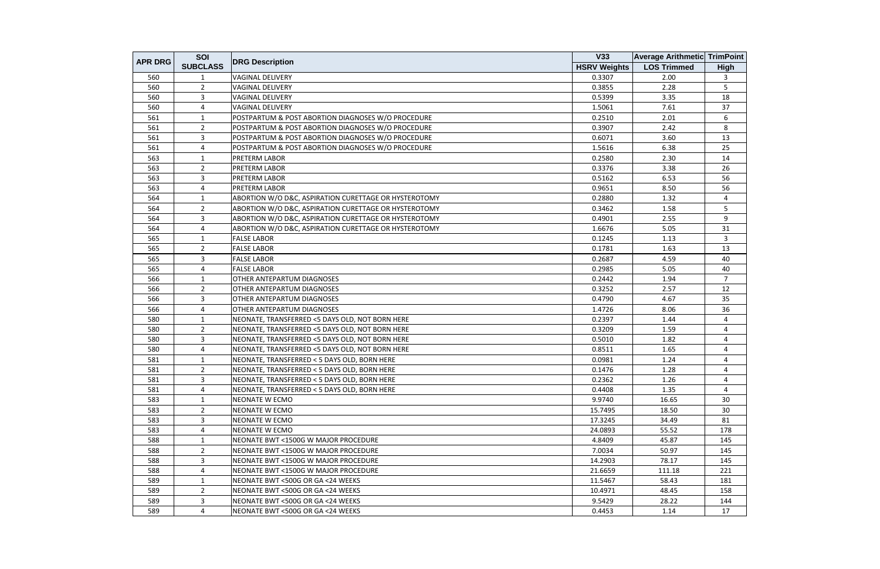|                | SOI             |                                                       | V33                 | <b>Average Arithmetic TrimPoint</b> |                |
|----------------|-----------------|-------------------------------------------------------|---------------------|-------------------------------------|----------------|
| <b>APR DRG</b> | <b>SUBCLASS</b> | <b>DRG Description</b>                                | <b>HSRV Weights</b> | <b>LOS Trimmed</b>                  | <b>High</b>    |
| 560            | 1               | <b>VAGINAL DELIVERY</b>                               | 0.3307              | 2.00                                | 3              |
| 560            | $\overline{2}$  | <b>VAGINAL DELIVERY</b>                               | 0.3855              | 2.28                                | 5              |
| 560            | 3               | <b>VAGINAL DELIVERY</b>                               | 0.5399              | 3.35                                | 18             |
| 560            | 4               | <b>VAGINAL DELIVERY</b>                               | 1.5061              | 7.61                                | 37             |
| 561            | 1               | POSTPARTUM & POST ABORTION DIAGNOSES W/O PROCEDURE    | 0.2510              | 2.01                                | 6              |
| 561            | $\overline{2}$  | POSTPARTUM & POST ABORTION DIAGNOSES W/O PROCEDURE    | 0.3907              | 2.42                                | 8              |
| 561            | 3               | POSTPARTUM & POST ABORTION DIAGNOSES W/O PROCEDURE    | 0.6071              | 3.60                                | 13             |
| 561            | 4               | POSTPARTUM & POST ABORTION DIAGNOSES W/O PROCEDURE    | 1.5616              | 6.38                                | 25             |
| 563            | $\mathbf{1}$    | <b>PRETERM LABOR</b>                                  | 0.2580              | 2.30                                | 14             |
| 563            | $\overline{2}$  | PRETERM LABOR                                         | 0.3376              | 3.38                                | 26             |
| 563            | 3               | PRETERM LABOR                                         | 0.5162              | 6.53                                | 56             |
| 563            | 4               | <b>PRETERM LABOR</b>                                  | 0.9651              | 8.50                                | 56             |
| 564            | 1               | ABORTION W/O D&C, ASPIRATION CURETTAGE OR HYSTEROTOMY | 0.2880              | 1.32                                | 4              |
| 564            | $\overline{2}$  | ABORTION W/O D&C, ASPIRATION CURETTAGE OR HYSTEROTOMY | 0.3462              | 1.58                                | 5              |
| 564            | $\overline{3}$  | ABORTION W/O D&C, ASPIRATION CURETTAGE OR HYSTEROTOMY | 0.4901              | 2.55                                | 9              |
| 564            | 4               | ABORTION W/O D&C, ASPIRATION CURETTAGE OR HYSTEROTOMY | 1.6676              | 5.05                                | 31             |
| 565            | $\mathbf{1}$    | <b>FALSE LABOR</b>                                    | 0.1245              | 1.13                                | 3              |
| 565            | $\overline{2}$  | <b>FALSE LABOR</b>                                    | 0.1781              | 1.63                                | 13             |
| 565            | 3               | <b>FALSE LABOR</b>                                    | 0.2687              | 4.59                                | 40             |
| 565            | 4               | <b>FALSE LABOR</b>                                    | 0.2985              | 5.05                                | 40             |
| 566            | 1               | OTHER ANTEPARTUM DIAGNOSES                            | 0.2442              | 1.94                                | $\overline{7}$ |
| 566            | 2               | OTHER ANTEPARTUM DIAGNOSES                            | 0.3252              | 2.57                                | 12             |
| 566            | 3               | OTHER ANTEPARTUM DIAGNOSES                            | 0.4790              | 4.67                                | 35             |
| 566            | 4               | <b>OTHER ANTEPARTUM DIAGNOSES</b>                     | 1.4726              | 8.06                                | 36             |
| 580            | 1               | NEONATE, TRANSFERRED <5 DAYS OLD, NOT BORN HERE       | 0.2397              | 1.44                                | 4              |
| 580            | $\overline{2}$  | NEONATE, TRANSFERRED <5 DAYS OLD, NOT BORN HERE       | 0.3209              | 1.59                                | 4              |
| 580            | 3               | NEONATE, TRANSFERRED <5 DAYS OLD, NOT BORN HERE       | 0.5010              | 1.82                                | 4              |
| 580            | 4               | NEONATE, TRANSFERRED <5 DAYS OLD, NOT BORN HERE       | 0.8511              | 1.65                                | 4              |
| 581            | 1               | NEONATE, TRANSFERRED < 5 DAYS OLD, BORN HERE          | 0.0981              | 1.24                                | 4              |
| 581            | $\overline{2}$  | NEONATE, TRANSFERRED < 5 DAYS OLD, BORN HERE          | 0.1476              | 1.28                                | 4              |
| 581            | 3               | NEONATE, TRANSFERRED < 5 DAYS OLD, BORN HERE          | 0.2362              | 1.26                                | 4              |
| 581            | 4               | NEONATE, TRANSFERRED < 5 DAYS OLD, BORN HERE          | 0.4408              | 1.35                                | 4              |
| 583            | 1               | NEONATE W ECMO                                        | 9.9740              | 16.65                               | 30             |
| 583            | $\overline{2}$  | NEONATE W ECMO                                        | 15.7495             | 18.50                               | 30             |
| 583            | $\overline{3}$  | NEONATE W ECMO                                        | 17.3245             | 34.49                               | 81             |
| 583            | 4               | NEONATE W ECMO                                        | 24.0893             | 55.52                               | 178            |
| 588            | 1               | NEONATE BWT <1500G W MAJOR PROCEDURE                  | 4.8409              | 45.87                               | 145            |
| 588            | $\overline{2}$  | NEONATE BWT <1500G W MAJOR PROCEDURE                  | 7.0034              | 50.97                               | 145            |
| 588            | $\mathbf{3}$    | NEONATE BWT <1500G W MAJOR PROCEDURE                  | 14.2903             | 78.17                               | 145            |
| 588            | 4               | NEONATE BWT <1500G W MAJOR PROCEDURE                  | 21.6659             | 111.18                              | 221            |
| 589            | 1               | NEONATE BWT <500G OR GA <24 WEEKS                     | 11.5467             | 58.43                               | 181            |
| 589            | $\overline{2}$  | NEONATE BWT <500G OR GA <24 WEEKS                     | 10.4971             | 48.45                               | 158            |
| 589            | 3               | NEONATE BWT <500G OR GA <24 WEEKS                     | 9.5429              | 28.22                               | 144            |
| 589            | 4               | NEONATE BWT <500G OR GA <24 WEEKS                     | 0.4453              | 1.14                                | 17             |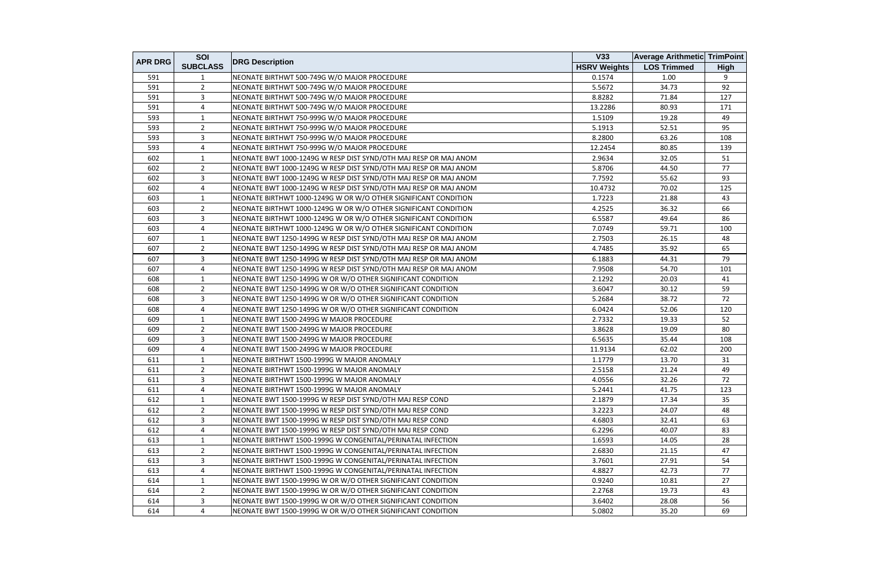|                | SOI             |                                                                  | V33                 | <b>Average Arithmetic TrimPoint</b> |             |
|----------------|-----------------|------------------------------------------------------------------|---------------------|-------------------------------------|-------------|
| <b>APR DRG</b> | <b>SUBCLASS</b> | <b>DRG Description</b>                                           | <b>HSRV Weights</b> | <b>LOS Trimmed</b>                  | <b>High</b> |
| 591            | 1               | NEONATE BIRTHWT 500-749G W/O MAJOR PROCEDURE                     | 0.1574              | 1.00                                | 9           |
| 591            | $\overline{2}$  | NEONATE BIRTHWT 500-749G W/O MAJOR PROCEDURE                     | 5.5672              | 34.73                               | 92          |
| 591            | $\overline{3}$  | NEONATE BIRTHWT 500-749G W/O MAJOR PROCEDURE                     | 8.8282              | 71.84                               | 127         |
| 591            | $\overline{4}$  | NEONATE BIRTHWT 500-749G W/O MAJOR PROCEDURE                     | 13.2286             | 80.93                               | 171         |
| 593            | 1               | NEONATE BIRTHWT 750-999G W/O MAJOR PROCEDURE                     | 1.5109              | 19.28                               | 49          |
| 593            | $\overline{2}$  | NEONATE BIRTHWT 750-999G W/O MAJOR PROCEDURE                     | 5.1913              | 52.51                               | 95          |
| 593            | $\overline{3}$  | NEONATE BIRTHWT 750-999G W/O MAJOR PROCEDURE                     | 8.2800              | 63.26                               | 108         |
| 593            | $\overline{4}$  | NEONATE BIRTHWT 750-999G W/O MAJOR PROCEDURE                     | 12.2454             | 80.85                               | 139         |
| 602            | $\mathbf{1}$    | NEONATE BWT 1000-1249G W RESP DIST SYND/OTH MAJ RESP OR MAJ ANOM | 2.9634              | 32.05                               | 51          |
| 602            | $\overline{2}$  | NEONATE BWT 1000-1249G W RESP DIST SYND/OTH MAJ RESP OR MAJ ANOM | 5.8706              | 44.50                               | 77          |
| 602            | 3               | NEONATE BWT 1000-1249G W RESP DIST SYND/OTH MAJ RESP OR MAJ ANOM | 7.7592              | 55.62                               | 93          |
| 602            | 4               | NEONATE BWT 1000-1249G W RESP DIST SYND/OTH MAJ RESP OR MAJ ANOM | 10.4732             | 70.02                               | 125         |
| 603            | $\mathbf{1}$    | NEONATE BIRTHWT 1000-1249G W OR W/O OTHER SIGNIFICANT CONDITION  | 1.7223              | 21.88                               | 43          |
| 603            | $\overline{2}$  | NEONATE BIRTHWT 1000-1249G W OR W/O OTHER SIGNIFICANT CONDITION  | 4.2525              | 36.32                               | 66          |
| 603            | $\overline{3}$  | NEONATE BIRTHWT 1000-1249G W OR W/O OTHER SIGNIFICANT CONDITION  | 6.5587              | 49.64                               | 86          |
| 603            | 4               | NEONATE BIRTHWT 1000-1249G W OR W/O OTHER SIGNIFICANT CONDITION  | 7.0749              | 59.71                               | 100         |
| 607            | 1               | NEONATE BWT 1250-1499G W RESP DIST SYND/OTH MAJ RESP OR MAJ ANOM | 2.7503              | 26.15                               | 48          |
| 607            | $\overline{2}$  | NEONATE BWT 1250-1499G W RESP DIST SYND/OTH MAJ RESP OR MAJ ANOM | 4.7485              | 35.92                               | 65          |
| 607            | 3               | NEONATE BWT 1250-1499G W RESP DIST SYND/OTH MAJ RESP OR MAJ ANOM | 6.1883              | 44.31                               | 79          |
| 607            | 4               | NEONATE BWT 1250-1499G W RESP DIST SYND/OTH MAJ RESP OR MAJ ANOM | 7.9508              | 54.70                               | 101         |
| 608            | 1               | NEONATE BWT 1250-1499G W OR W/O OTHER SIGNIFICANT CONDITION      | 2.1292              | 20.03                               | 41          |
| 608            | $\overline{2}$  | NEONATE BWT 1250-1499G W OR W/O OTHER SIGNIFICANT CONDITION      | 3.6047              | 30.12                               | 59          |
| 608            | $\overline{3}$  | NEONATE BWT 1250-1499G W OR W/O OTHER SIGNIFICANT CONDITION      | 5.2684              | 38.72                               | 72          |
| 608            | $\overline{4}$  | NEONATE BWT 1250-1499G W OR W/O OTHER SIGNIFICANT CONDITION      | 6.0424              | 52.06                               | 120         |
| 609            | 1               | NEONATE BWT 1500-2499G W MAJOR PROCEDURE                         | 2.7332              | 19.33                               | 52          |
| 609            | $\overline{2}$  | NEONATE BWT 1500-2499G W MAJOR PROCEDURE                         | 3.8628              | 19.09                               | 80          |
| 609            | $\overline{3}$  | NEONATE BWT 1500-2499G W MAJOR PROCEDURE                         | 6.5635              | 35.44                               | 108         |
| 609            | 4               | NEONATE BWT 1500-2499G W MAJOR PROCEDURE                         | 11.9134             | 62.02                               | 200         |
| 611            | 1               | NEONATE BIRTHWT 1500-1999G W MAJOR ANOMALY                       | 1.1779              | 13.70                               | 31          |
| 611            | $\overline{2}$  | NEONATE BIRTHWT 1500-1999G W MAJOR ANOMALY                       | 2.5158              | 21.24                               | 49          |
| 611            | 3               | NEONATE BIRTHWT 1500-1999G W MAJOR ANOMALY                       | 4.0556              | 32.26                               | 72          |
| 611            | 4               | NEONATE BIRTHWT 1500-1999G W MAJOR ANOMALY                       | 5.2441              | 41.75                               | 123         |
| 612            | 1               | NEONATE BWT 1500-1999G W RESP DIST SYND/OTH MAJ RESP COND        | 2.1879              | 17.34                               | 35          |
| 612            | $\overline{2}$  | NEONATE BWT 1500-1999G W RESP DIST SYND/OTH MAJ RESP COND        | 3.2223              | 24.07                               | 48          |
| 612            | $\overline{3}$  | NEONATE BWT 1500-1999G W RESP DIST SYND/OTH MAJ RESP COND        | 4.6803              | 32.41                               | 63          |
| 612            | 4               | NEONATE BWT 1500-1999G W RESP DIST SYND/OTH MAJ RESP COND        | 6.2296              | 40.07                               | 83          |
| 613            | 1               | NEONATE BIRTHWT 1500-1999G W CONGENITAL/PERINATAL INFECTION      | 1.6593              | 14.05                               | 28          |
| 613            | $\overline{2}$  | NEONATE BIRTHWT 1500-1999G W CONGENITAL/PERINATAL INFECTION      | 2.6830              | 21.15                               | 47          |
| 613            | $\mathbf{3}$    | NEONATE BIRTHWT 1500-1999G W CONGENITAL/PERINATAL INFECTION      | 3.7601              | 27.91                               | 54          |
| 613            | $\overline{4}$  | NEONATE BIRTHWT 1500-1999G W CONGENITAL/PERINATAL INFECTION      | 4.8827              | 42.73                               | 77          |
| 614            | 1               | NEONATE BWT 1500-1999G W OR W/O OTHER SIGNIFICANT CONDITION      | 0.9240              | 10.81                               | 27          |
| 614            | $\overline{2}$  | NEONATE BWT 1500-1999G W OR W/O OTHER SIGNIFICANT CONDITION      | 2.2768              | 19.73                               | 43          |
| 614            | 3               | NEONATE BWT 1500-1999G W OR W/O OTHER SIGNIFICANT CONDITION      | 3.6402              | 28.08                               | 56          |
| 614            | 4               | NEONATE BWT 1500-1999G W OR W/O OTHER SIGNIFICANT CONDITION      | 5.0802              | 35.20                               | 69          |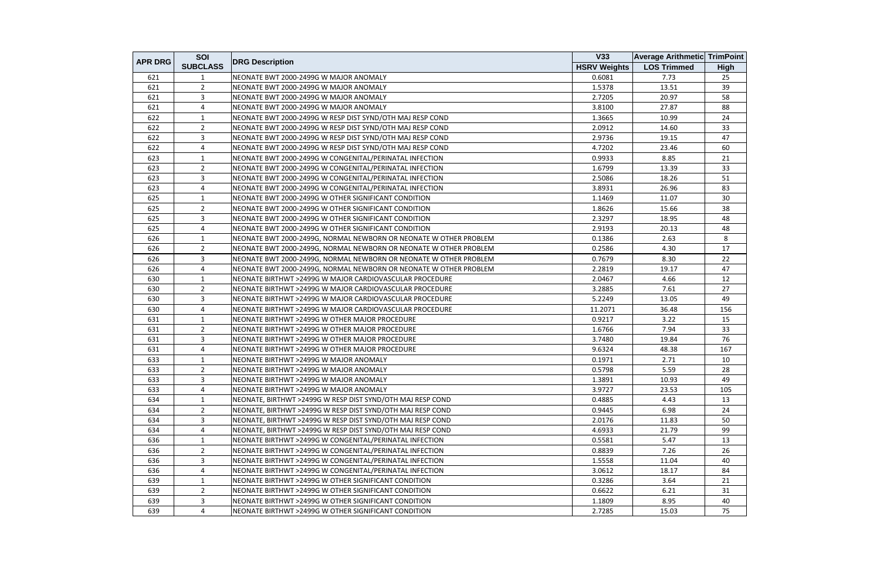|                | SOI             |                                                                   | <b>V33</b>          | <b>Average Arithmetic TrimPoint</b> |             |
|----------------|-----------------|-------------------------------------------------------------------|---------------------|-------------------------------------|-------------|
| <b>APR DRG</b> | <b>SUBCLASS</b> | <b>DRG Description</b>                                            | <b>HSRV Weights</b> | <b>LOS Trimmed</b>                  | <b>High</b> |
| 621            |                 | NEONATE BWT 2000-2499G W MAJOR ANOMALY                            | 0.6081              | 7.73                                | 25          |
| 621            | $\overline{2}$  | NEONATE BWT 2000-2499G W MAJOR ANOMALY                            | 1.5378              | 13.51                               | 39          |
| 621            | $\overline{3}$  | NEONATE BWT 2000-2499G W MAJOR ANOMALY                            | 2.7205              | 20.97                               | 58          |
| 621            | 4               | NEONATE BWT 2000-2499G W MAJOR ANOMALY                            | 3.8100              | 27.87                               | 88          |
| 622            | 1               | NEONATE BWT 2000-2499G W RESP DIST SYND/OTH MAJ RESP COND         | 1.3665              | 10.99                               | 24          |
| 622            | $\overline{2}$  | NEONATE BWT 2000-2499G W RESP DIST SYND/OTH MAJ RESP COND         | 2.0912              | 14.60                               | 33          |
| 622            | $\mathbf{3}$    | NEONATE BWT 2000-2499G W RESP DIST SYND/OTH MAJ RESP COND         | 2.9736              | 19.15                               | 47          |
| 622            | $\overline{4}$  | NEONATE BWT 2000-2499G W RESP DIST SYND/OTH MAJ RESP COND         | 4.7202              | 23.46                               | 60          |
| 623            | $\mathbf{1}$    | NEONATE BWT 2000-2499G W CONGENITAL/PERINATAL INFECTION           | 0.9933              | 8.85                                | 21          |
| 623            | $\overline{2}$  | NEONATE BWT 2000-2499G W CONGENITAL/PERINATAL INFECTION           | 1.6799              | 13.39                               | 33          |
| 623            | $\mathbf{3}$    | NEONATE BWT 2000-2499G W CONGENITAL/PERINATAL INFECTION           | 2.5086              | 18.26                               | 51          |
| 623            | $\overline{4}$  | NEONATE BWT 2000-2499G W CONGENITAL/PERINATAL INFECTION           | 3.8931              | 26.96                               | 83          |
| 625            | 1               | NEONATE BWT 2000-2499G W OTHER SIGNIFICANT CONDITION              | 1.1469              | 11.07                               | 30          |
| 625            | $\overline{2}$  | NEONATE BWT 2000-2499G W OTHER SIGNIFICANT CONDITION              | 1.8626              | 15.66                               | 38          |
| 625            | $\overline{3}$  | NEONATE BWT 2000-2499G W OTHER SIGNIFICANT CONDITION              | 2.3297              | 18.95                               | 48          |
| 625            | $\overline{4}$  | NEONATE BWT 2000-2499G W OTHER SIGNIFICANT CONDITION              | 2.9193              | 20.13                               | 48          |
| 626            | 1               | NEONATE BWT 2000-2499G, NORMAL NEWBORN OR NEONATE W OTHER PROBLEM | 0.1386              | 2.63                                | 8           |
| 626            | $\overline{2}$  | NEONATE BWT 2000-2499G, NORMAL NEWBORN OR NEONATE W OTHER PROBLEM | 0.2586              | 4.30                                | 17          |
| 626            | $\mathbf{3}$    | NEONATE BWT 2000-2499G, NORMAL NEWBORN OR NEONATE W OTHER PROBLEM | 0.7679              | 8.30                                | 22          |
| 626            | 4               | NEONATE BWT 2000-2499G, NORMAL NEWBORN OR NEONATE W OTHER PROBLEM | 2.2819              | 19.17                               | 47          |
| 630            | $\mathbf{1}$    | NEONATE BIRTHWT >2499G W MAJOR CARDIOVASCULAR PROCEDURE           | 2.0467              | 4.66                                | 12          |
| 630            | $\overline{2}$  | NEONATE BIRTHWT >2499G W MAJOR CARDIOVASCULAR PROCEDURE           | 3.2885              | 7.61                                | 27          |
| 630            | $\overline{3}$  | NEONATE BIRTHWT >2499G W MAJOR CARDIOVASCULAR PROCEDURE           | 5.2249              | 13.05                               | 49          |
| 630            | 4               | NEONATE BIRTHWT >2499G W MAJOR CARDIOVASCULAR PROCEDURE           | 11.2071             | 36.48                               | 156         |
| 631            | 1               | NEONATE BIRTHWT >2499G W OTHER MAJOR PROCEDURE                    | 0.9217              | 3.22                                | 15          |
| 631            | $\overline{2}$  | NEONATE BIRTHWT >2499G W OTHER MAJOR PROCEDURE                    | 1.6766              | 7.94                                | 33          |
| 631            | 3               | NEONATE BIRTHWT >2499G W OTHER MAJOR PROCEDURE                    | 3.7480              | 19.84                               | 76          |
| 631            | 4               | NEONATE BIRTHWT >2499G W OTHER MAJOR PROCEDURE                    | 9.6324              | 48.38                               | 167         |
| 633            | $\mathbf{1}$    | NEONATE BIRTHWT >2499G W MAJOR ANOMALY                            | 0.1971              | 2.71                                | 10          |
| 633            | 2               | NEONATE BIRTHWT >2499G W MAJOR ANOMALY                            | 0.5798              | 5.59                                | 28          |
| 633            | 3               | NEONATE BIRTHWT >2499G W MAJOR ANOMALY                            | 1.3891              | 10.93                               | 49          |
| 633            | $\overline{4}$  | NEONATE BIRTHWT >2499G W MAJOR ANOMALY                            | 3.9727              | 23.53                               | 105         |
| 634            | 1               | NEONATE, BIRTHWT >2499G W RESP DIST SYND/OTH MAJ RESP COND        | 0.4885              | 4.43                                | 13          |
| 634            | $\mathbf{2}$    | NEONATE, BIRTHWT >2499G W RESP DIST SYND/OTH MAJ RESP COND        | 0.9445              | 6.98                                | 24          |
| 634            | 3               | NEONATE, BIRTHWT >2499G W RESP DIST SYND/OTH MAJ RESP COND        | 2.0176              | 11.83                               | 50          |
| 634            | 4               | NEONATE, BIRTHWT >2499G W RESP DIST SYND/OTH MAJ RESP COND        | 4.6933              | 21.79                               | 99          |
| 636            | $\mathbf{1}$    | NEONATE BIRTHWT >2499G W CONGENITAL/PERINATAL INFECTION           | 0.5581              | 5.47                                | 13          |
| 636            | $\overline{2}$  | NEONATE BIRTHWT >2499G W CONGENITAL/PERINATAL INFECTION           | 0.8839              | 7.26                                | 26          |
| 636            | $\mathbf{3}$    | NEONATE BIRTHWT >2499G W CONGENITAL/PERINATAL INFECTION           | 1.5558              | 11.04                               | 40          |
| 636            | $\overline{4}$  | NEONATE BIRTHWT >2499G W CONGENITAL/PERINATAL INFECTION           | 3.0612              | 18.17                               | 84          |
| 639            | 1               | NEONATE BIRTHWT >2499G W OTHER SIGNIFICANT CONDITION              | 0.3286              | 3.64                                | 21          |
| 639            | $\overline{2}$  | NEONATE BIRTHWT >2499G W OTHER SIGNIFICANT CONDITION              | 0.6622              | 6.21                                | 31          |
| 639            | 3               | NEONATE BIRTHWT >2499G W OTHER SIGNIFICANT CONDITION              | 1.1809              | 8.95                                | 40          |
| 639            | $\overline{4}$  | NEONATE BIRTHWT >2499G W OTHER SIGNIFICANT CONDITION              | 2.7285              | 15.03                               | 75          |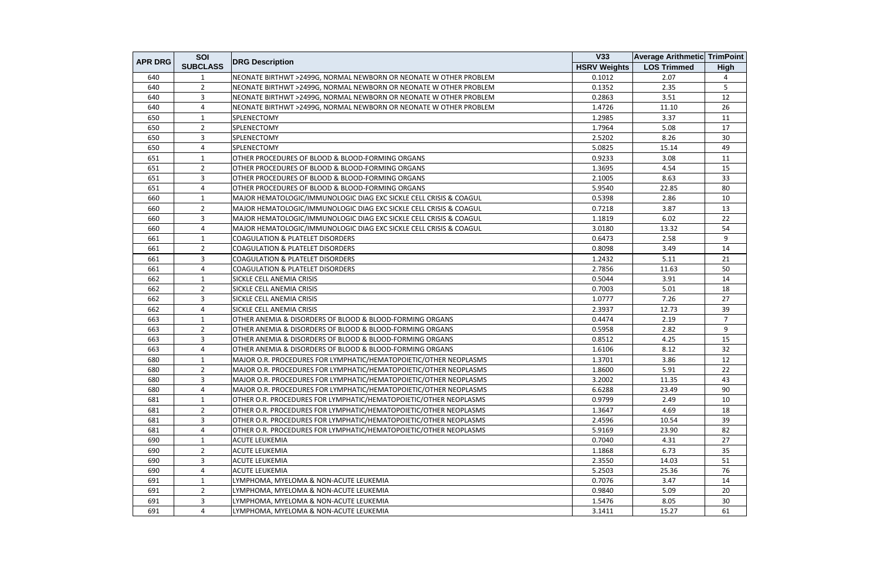|                | SOI             |                                                                    | V33                 | <b>Average Arithmetic TrimPoint</b> |                |
|----------------|-----------------|--------------------------------------------------------------------|---------------------|-------------------------------------|----------------|
| <b>APR DRG</b> | <b>SUBCLASS</b> | <b>DRG Description</b>                                             | <b>HSRV Weights</b> | <b>LOS Trimmed</b>                  | <b>High</b>    |
| 640            | 1               | NEONATE BIRTHWT >2499G, NORMAL NEWBORN OR NEONATE W OTHER PROBLEM  | 0.1012              | 2.07                                | 4              |
| 640            | $\overline{2}$  | NEONATE BIRTHWT >2499G, NORMAL NEWBORN OR NEONATE W OTHER PROBLEM  | 0.1352              | 2.35                                | 5              |
| 640            | 3               | NEONATE BIRTHWT >2499G, NORMAL NEWBORN OR NEONATE W OTHER PROBLEM  | 0.2863              | 3.51                                | 12             |
| 640            | 4               | NEONATE BIRTHWT >2499G, NORMAL NEWBORN OR NEONATE W OTHER PROBLEM  | 1.4726              | 11.10                               | 26             |
| 650            | 1               | <b>SPLENECTOMY</b>                                                 | 1.2985              | 3.37                                | 11             |
| 650            | $\overline{2}$  | <b>SPLENECTOMY</b>                                                 | 1.7964              | 5.08                                | 17             |
| 650            | 3               | SPLENECTOMY                                                        | 2.5202              | 8.26                                | 30             |
| 650            | 4               | <b>SPLENECTOMY</b>                                                 | 5.0825              | 15.14                               | 49             |
| 651            | $\mathbf{1}$    | OTHER PROCEDURES OF BLOOD & BLOOD-FORMING ORGANS                   | 0.9233              | 3.08                                | 11             |
| 651            | $\overline{2}$  | OTHER PROCEDURES OF BLOOD & BLOOD-FORMING ORGANS                   | 1.3695              | 4.54                                | 15             |
| 651            | 3               | OTHER PROCEDURES OF BLOOD & BLOOD-FORMING ORGANS                   | 2.1005              | 8.63                                | 33             |
| 651            | 4               | OTHER PROCEDURES OF BLOOD & BLOOD-FORMING ORGANS                   | 5.9540              | 22.85                               | 80             |
| 660            | 1               | MAJOR HEMATOLOGIC/IMMUNOLOGIC DIAG EXC SICKLE CELL CRISIS & COAGUL | 0.5398              | 2.86                                | 10             |
| 660            | $\overline{2}$  | MAJOR HEMATOLOGIC/IMMUNOLOGIC DIAG EXC SICKLE CELL CRISIS & COAGUL | 0.7218              | 3.87                                | 13             |
| 660            | 3               | MAJOR HEMATOLOGIC/IMMUNOLOGIC DIAG EXC SICKLE CELL CRISIS & COAGUL | 1.1819              | 6.02                                | 22             |
| 660            | 4               | MAJOR HEMATOLOGIC/IMMUNOLOGIC DIAG EXC SICKLE CELL CRISIS & COAGUL | 3.0180              | 13.32                               | 54             |
| 661            | 1               | <b>COAGULATION &amp; PLATELET DISORDERS</b>                        | 0.6473              | 2.58                                | 9              |
| 661            | $\overline{2}$  | <b>COAGULATION &amp; PLATELET DISORDERS</b>                        | 0.8098              | 3.49                                | 14             |
| 661            | 3               | <b>COAGULATION &amp; PLATELET DISORDERS</b>                        | 1.2432              | 5.11                                | 21             |
| 661            | 4               | <b>COAGULATION &amp; PLATELET DISORDERS</b>                        | 2.7856              | 11.63                               | 50             |
| 662            | $\mathbf{1}$    | <b>SICKLE CELL ANEMIA CRISIS</b>                                   | 0.5044              | 3.91                                | 14             |
| 662            | $\overline{2}$  | SICKLE CELL ANEMIA CRISIS                                          | 0.7003              | 5.01                                | 18             |
| 662            | 3               | <b>SICKLE CELL ANEMIA CRISIS</b>                                   | 1.0777              | 7.26                                | 27             |
| 662            | 4               | <b>SICKLE CELL ANEMIA CRISIS</b>                                   | 2.3937              | 12.73                               | 39             |
| 663            | 1               | OTHER ANEMIA & DISORDERS OF BLOOD & BLOOD-FORMING ORGANS           | 0.4474              | 2.19                                | $\overline{7}$ |
| 663            | $\overline{2}$  | OTHER ANEMIA & DISORDERS OF BLOOD & BLOOD-FORMING ORGANS           | 0.5958              | 2.82                                | 9              |
| 663            | 3               | OTHER ANEMIA & DISORDERS OF BLOOD & BLOOD-FORMING ORGANS           | 0.8512              | 4.25                                | 15             |
| 663            | 4               | OTHER ANEMIA & DISORDERS OF BLOOD & BLOOD-FORMING ORGANS           | 1.6106              | 8.12                                | 32             |
| 680            | 1               | MAJOR O.R. PROCEDURES FOR LYMPHATIC/HEMATOPOIETIC/OTHER NEOPLASMS  | 1.3701              | 3.86                                | 12             |
| 680            | $\overline{2}$  | MAJOR O.R. PROCEDURES FOR LYMPHATIC/HEMATOPOIETIC/OTHER NEOPLASMS  | 1.8600              | 5.91                                | 22             |
| 680            | 3               | MAJOR O.R. PROCEDURES FOR LYMPHATIC/HEMATOPOIETIC/OTHER NEOPLASMS  | 3.2002              | 11.35                               | 43             |
| 680            | 4               | MAJOR O.R. PROCEDURES FOR LYMPHATIC/HEMATOPOIETIC/OTHER NEOPLASMS  | 6.6288              | 23.49                               | 90             |
| 681            | 1               | OTHER O.R. PROCEDURES FOR LYMPHATIC/HEMATOPOIETIC/OTHER NEOPLASMS  | 0.9799              | 2.49                                | 10             |
| 681            | $\mathbf{2}$    | OTHER O.R. PROCEDURES FOR LYMPHATIC/HEMATOPOIETIC/OTHER NEOPLASMS  | 1.3647              | 4.69                                | 18             |
| 681            | 3               | OTHER O.R. PROCEDURES FOR LYMPHATIC/HEMATOPOIETIC/OTHER NEOPLASMS  | 2.4596              | 10.54                               | 39             |
| 681            | 4               | OTHER O.R. PROCEDURES FOR LYMPHATIC/HEMATOPOIETIC/OTHER NEOPLASMS  | 5.9169              | 23.90                               | 82             |
| 690            | 1               | <b>ACUTE LEUKEMIA</b>                                              | 0.7040              | 4.31                                | 27             |
| 690            | $\overline{2}$  | <b>ACUTE LEUKEMIA</b>                                              | 1.1868              | 6.73                                | 35             |
| 690            | 3               | <b>ACUTE LEUKEMIA</b>                                              | 2.3550              | 14.03                               | 51             |
| 690            | 4               | <b>ACUTE LEUKEMIA</b>                                              | 5.2503              | 25.36                               | 76             |
| 691            | $\mathbf{1}$    | LYMPHOMA, MYELOMA & NON-ACUTE LEUKEMIA                             | 0.7076              | 3.47                                | 14             |
| 691            | $2^{\circ}$     | LYMPHOMA, MYELOMA & NON-ACUTE LEUKEMIA                             | 0.9840              | 5.09                                | 20             |
| 691            | 3               | LYMPHOMA, MYELOMA & NON-ACUTE LEUKEMIA                             | 1.5476              | 8.05                                | 30             |
| 691            | $\overline{4}$  | LYMPHOMA, MYELOMA & NON-ACUTE LEUKEMIA                             | 3.1411              | 15.27                               | 61             |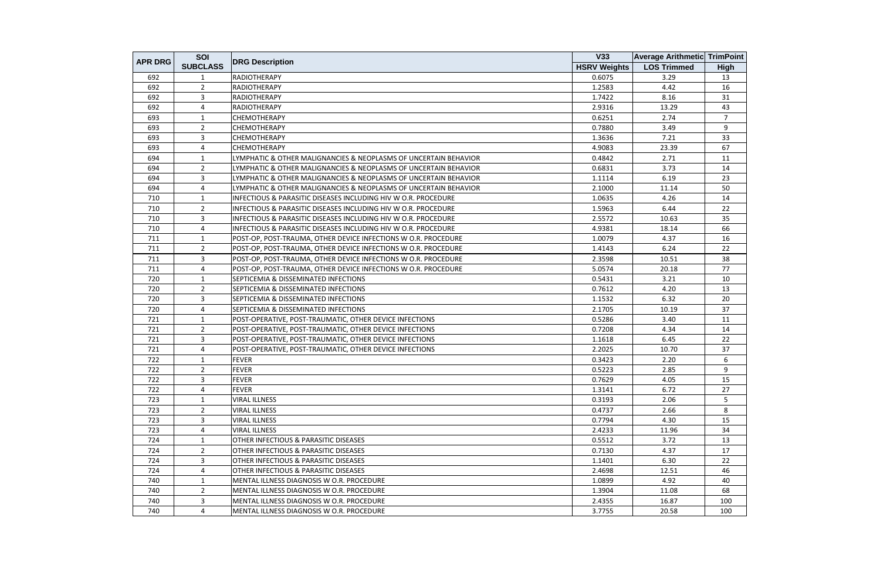| <b>APR DRG</b> | SOI             |                                                                  | <b>V33</b>          | <b>Average Arithmetic TrimPoint</b> |                |
|----------------|-----------------|------------------------------------------------------------------|---------------------|-------------------------------------|----------------|
|                | <b>SUBCLASS</b> | <b>DRG Description</b>                                           | <b>HSRV Weights</b> | <b>LOS Trimmed</b>                  | <b>High</b>    |
| 692            |                 | <b>RADIOTHERAPY</b>                                              | 0.6075              | 3.29                                | 13             |
| 692            | $\overline{2}$  | <b>RADIOTHERAPY</b>                                              | 1.2583              | 4.42                                | 16             |
| 692            | 3               | <b>RADIOTHERAPY</b>                                              | 1.7422              | 8.16                                | 31             |
| 692            | 4               | <b>RADIOTHERAPY</b>                                              | 2.9316              | 13.29                               | 43             |
| 693            | $\mathbf{1}$    | <b>CHEMOTHERAPY</b>                                              | 0.6251              | 2.74                                | $\overline{7}$ |
| 693            | $2^{\circ}$     | <b>CHEMOTHERAPY</b>                                              | 0.7880              | 3.49                                | 9              |
| 693            | $\mathbf{3}$    | <b>CHEMOTHERAPY</b>                                              | 1.3636              | 7.21                                | 33             |
| 693            | 4               | <b>CHEMOTHERAPY</b>                                              | 4.9083              | 23.39                               | 67             |
| 694            | $\overline{1}$  | LYMPHATIC & OTHER MALIGNANCIES & NEOPLASMS OF UNCERTAIN BEHAVIOR | 0.4842              | 2.71                                | 11             |
| 694            | $\overline{2}$  | LYMPHATIC & OTHER MALIGNANCIES & NEOPLASMS OF UNCERTAIN BEHAVIOR | 0.6831              | 3.73                                | 14             |
| 694            | $\mathbf{3}$    | LYMPHATIC & OTHER MALIGNANCIES & NEOPLASMS OF UNCERTAIN BEHAVIOR | 1.1114              | 6.19                                | 23             |
| 694            | $\overline{4}$  | LYMPHATIC & OTHER MALIGNANCIES & NEOPLASMS OF UNCERTAIN BEHAVIOR | 2.1000              | 11.14                               | 50             |
| 710            | 1               | INFECTIOUS & PARASITIC DISEASES INCLUDING HIV W O.R. PROCEDURE   | 1.0635              | 4.26                                | 14             |
| 710            | $\overline{2}$  | INFECTIOUS & PARASITIC DISEASES INCLUDING HIV W O.R. PROCEDURE   | 1.5963              | 6.44                                | 22             |
| 710            | $\overline{3}$  | INFECTIOUS & PARASITIC DISEASES INCLUDING HIV W O.R. PROCEDURE   | 2.5572              | 10.63                               | 35             |
| 710            | $\overline{4}$  | INFECTIOUS & PARASITIC DISEASES INCLUDING HIV W O.R. PROCEDURE   | 4.9381              | 18.14                               | 66             |
| 711            | $\mathbf{1}$    | POST-OP, POST-TRAUMA, OTHER DEVICE INFECTIONS W O.R. PROCEDURE   | 1.0079              | 4.37                                | 16             |
| 711            | $\overline{2}$  | POST-OP, POST-TRAUMA, OTHER DEVICE INFECTIONS W O.R. PROCEDURE   | 1.4143              | 6.24                                | 22             |
| 711            | $\overline{3}$  | POST-OP, POST-TRAUMA, OTHER DEVICE INFECTIONS W O.R. PROCEDURE   | 2.3598              | 10.51                               | 38             |
| 711            | 4               | POST-OP, POST-TRAUMA, OTHER DEVICE INFECTIONS W O.R. PROCEDURE   | 5.0574              | 20.18                               | 77             |
| 720            | $\overline{1}$  | SEPTICEMIA & DISSEMINATED INFECTIONS                             | 0.5431              | 3.21                                | 10             |
| 720            | $\overline{2}$  | SEPTICEMIA & DISSEMINATED INFECTIONS                             | 0.7612              | 4.20                                | 13             |
| 720            | $\overline{3}$  | SEPTICEMIA & DISSEMINATED INFECTIONS                             | 1.1532              | 6.32                                | 20             |
| 720            | 4               | SEPTICEMIA & DISSEMINATED INFECTIONS                             | 2.1705              | 10.19                               | 37             |
| 721            | 1               | POST-OPERATIVE, POST-TRAUMATIC, OTHER DEVICE INFECTIONS          | 0.5286              | 3.40                                | 11             |
| 721            | $\overline{2}$  | POST-OPERATIVE, POST-TRAUMATIC, OTHER DEVICE INFECTIONS          | 0.7208              | 4.34                                | 14             |
| 721            | 3               | POST-OPERATIVE, POST-TRAUMATIC, OTHER DEVICE INFECTIONS          | 1.1618              | 6.45                                | 22             |
| 721            | 4               | POST-OPERATIVE, POST-TRAUMATIC, OTHER DEVICE INFECTIONS          | 2.2025              | 10.70                               | 37             |
| 722            | $\mathbf{1}$    | <b>FEVER</b>                                                     | 0.3423              | 2.20                                | 6              |
| 722            | $\overline{2}$  | <b>FEVER</b>                                                     | 0.5223              | 2.85                                | 9              |
| 722            | 3               | <b>FEVER</b>                                                     | 0.7629              | 4.05                                | 15             |
| 722            | $\overline{4}$  | <b>FEVER</b>                                                     | 1.3141              | 6.72                                | 27             |
| 723            | 1               | <b>VIRAL ILLNESS</b>                                             | 0.3193              | 2.06                                | 5              |
| 723            | $\overline{2}$  | <b>VIRAL ILLNESS</b>                                             | 0.4737              | 2.66                                | 8              |
| 723            | 3 <sup>1</sup>  | <b>VIRAL ILLNESS</b>                                             | 0.7794              | 4.30                                | 15             |
| 723            | 4               | <b>VIRAL ILLNESS</b>                                             | 2.4233              | 11.96                               | 34             |
| 724            | $\mathbf{1}$    | <b>OTHER INFECTIOUS &amp; PARASITIC DISEASES</b>                 | 0.5512              | 3.72                                | 13             |
| 724            | $\overline{2}$  | <b>OTHER INFECTIOUS &amp; PARASITIC DISEASES</b>                 | 0.7130              | 4.37                                | 17             |
| 724            | $\mathbf{3}$    | OTHER INFECTIOUS & PARASITIC DISEASES                            | 1.1401              | 6.30                                | 22             |
| 724            | 4               | <b>OTHER INFECTIOUS &amp; PARASITIC DISEASES</b>                 | 2.4698              | 12.51                               | 46             |
| 740            | $\overline{1}$  | MENTAL ILLNESS DIAGNOSIS W O.R. PROCEDURE                        | 1.0899              | 4.92                                | 40             |
| 740            | $\overline{2}$  | MENTAL ILLNESS DIAGNOSIS W O.R. PROCEDURE                        | 1.3904              | 11.08                               | 68             |
| 740            | 3               | MENTAL ILLNESS DIAGNOSIS W O.R. PROCEDURE                        | 2.4355              | 16.87                               | 100            |
| 740            | 4               | MENTAL ILLNESS DIAGNOSIS W O.R. PROCEDURE                        | 3.7755              | 20.58                               | 100            |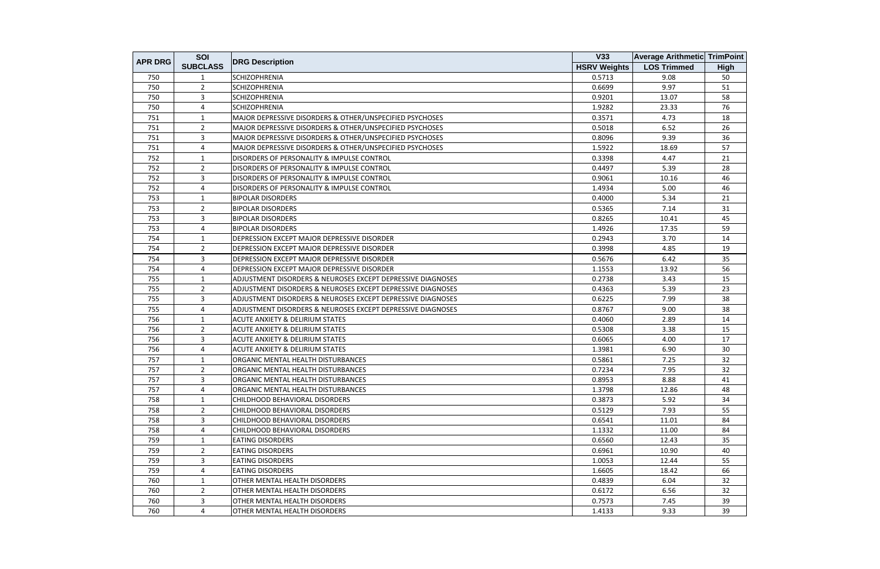| <b>APR DRG</b> | SOI             |                                                                        | V33                 | <b>Average Arithmetic TrimPoint</b> |             |
|----------------|-----------------|------------------------------------------------------------------------|---------------------|-------------------------------------|-------------|
|                | <b>SUBCLASS</b> | <b>DRG Description</b>                                                 | <b>HSRV Weights</b> | <b>LOS Trimmed</b>                  | <b>High</b> |
| 750            |                 | <b>SCHIZOPHRENIA</b>                                                   | 0.5713              | 9.08                                | 50          |
| 750            | $\overline{2}$  | <b>SCHIZOPHRENIA</b>                                                   | 0.6699              | 9.97                                | 51          |
| 750            | $\mathbf{3}$    | <b>SCHIZOPHRENIA</b>                                                   | 0.9201              | 13.07                               | 58          |
| 750            | 4               | <b>SCHIZOPHRENIA</b>                                                   | 1.9282              | 23.33                               | 76          |
| 751            | $\mathbf{1}$    | MAJOR DEPRESSIVE DISORDERS & OTHER/UNSPECIFIED PSYCHOSES               | 0.3571              | 4.73                                | 18          |
| 751            | $\overline{2}$  | MAJOR DEPRESSIVE DISORDERS & OTHER/UNSPECIFIED PSYCHOSES               | 0.5018              | 6.52                                | 26          |
| 751            | 3               | MAJOR DEPRESSIVE DISORDERS & OTHER/UNSPECIFIED PSYCHOSES               | 0.8096              | 9.39                                | 36          |
| 751            | $\overline{4}$  | MAJOR DEPRESSIVE DISORDERS & OTHER/UNSPECIFIED PSYCHOSES               | 1.5922              | 18.69                               | 57          |
| 752            | $\mathbf{1}$    | DISORDERS OF PERSONALITY & IMPULSE CONTROL                             | 0.3398              | 4.47                                | 21          |
| 752            | $\overline{2}$  | DISORDERS OF PERSONALITY & IMPULSE CONTROL                             | 0.4497              | 5.39                                | 28          |
| 752            | 3               | DISORDERS OF PERSONALITY & IMPULSE CONTROL                             | 0.9061              | 10.16                               | 46          |
| 752            | 4               | DISORDERS OF PERSONALITY & IMPULSE CONTROL                             | 1.4934              | 5.00                                | 46          |
| 753            | 1               | <b>BIPOLAR DISORDERS</b>                                               | 0.4000              | 5.34                                | 21          |
| 753            | $\overline{2}$  | <b>BIPOLAR DISORDERS</b>                                               | 0.5365              | 7.14                                | 31          |
| 753            | 3               | <b>BIPOLAR DISORDERS</b>                                               | 0.8265              | 10.41                               | 45          |
| 753            | 4               | <b>BIPOLAR DISORDERS</b>                                               | 1.4926              | 17.35                               | 59          |
| 754            | $\mathbf{1}$    | DEPRESSION EXCEPT MAJOR DEPRESSIVE DISORDER                            | 0.2943              | 3.70                                | 14          |
| 754            | $\overline{2}$  | <b>DEPRESSION EXCEPT MAJOR DEPRESSIVE DISORDER</b>                     | 0.3998              | 4.85                                | 19          |
| 754            | 3               | DEPRESSION EXCEPT MAJOR DEPRESSIVE DISORDER                            | 0.5676              | 6.42                                | 35          |
| 754            | $\overline{4}$  | DEPRESSION EXCEPT MAJOR DEPRESSIVE DISORDER                            | 1.1553              | 13.92                               | 56          |
| 755            | $\overline{1}$  | <b>ADJUSTMENT DISORDERS &amp; NEUROSES EXCEPT DEPRESSIVE DIAGNOSES</b> | 0.2738              | 3.43                                | 15          |
| 755            | $\overline{2}$  | ADJUSTMENT DISORDERS & NEUROSES EXCEPT DEPRESSIVE DIAGNOSES            | 0.4363              | 5.39                                | 23          |
| 755            | 3               | ADJUSTMENT DISORDERS & NEUROSES EXCEPT DEPRESSIVE DIAGNOSES            | 0.6225              | 7.99                                | 38          |
| 755            | 4               | ADJUSTMENT DISORDERS & NEUROSES EXCEPT DEPRESSIVE DIAGNOSES            | 0.8767              | 9.00                                | 38          |
| 756            | 1               | <b>ACUTE ANXIETY &amp; DELIRIUM STATES</b>                             | 0.4060              | 2.89                                | 14          |
| 756            | $\overline{2}$  | <b>ACUTE ANXIETY &amp; DELIRIUM STATES</b>                             | 0.5308              | 3.38                                | 15          |
| 756            | 3               | <b>ACUTE ANXIETY &amp; DELIRIUM STATES</b>                             | 0.6065              | 4.00                                | 17          |
| 756            | 4               | <b>ACUTE ANXIETY &amp; DELIRIUM STATES</b>                             | 1.3981              | 6.90                                | 30          |
| 757            | 1               | ORGANIC MENTAL HEALTH DISTURBANCES                                     | 0.5861              | 7.25                                | 32          |
| 757            | $\overline{2}$  | ORGANIC MENTAL HEALTH DISTURBANCES                                     | 0.7234              | 7.95                                | 32          |
| 757            | 3               | ORGANIC MENTAL HEALTH DISTURBANCES                                     | 0.8953              | 8.88                                | 41          |
| 757            | 4               | ORGANIC MENTAL HEALTH DISTURBANCES                                     | 1.3798              | 12.86                               | 48          |
| 758            | 1               | CHILDHOOD BEHAVIORAL DISORDERS                                         | 0.3873              | 5.92                                | 34          |
| 758            | $\mathbf{2}$    | CHILDHOOD BEHAVIORAL DISORDERS                                         | 0.5129              | 7.93                                | 55          |
| 758            | $\overline{3}$  | CHILDHOOD BEHAVIORAL DISORDERS                                         | 0.6541              | 11.01                               | 84          |
| 758            | 4               | CHILDHOOD BEHAVIORAL DISORDERS                                         | 1.1332              | 11.00                               | 84          |
| 759            | 1               | <b>EATING DISORDERS</b>                                                | 0.6560              | 12.43                               | 35          |
| 759            | $\overline{2}$  | <b>EATING DISORDERS</b>                                                | 0.6961              | 10.90                               | 40          |
| 759            | $\mathbf{3}$    | <b>EATING DISORDERS</b>                                                | 1.0053              | 12.44                               | 55          |
| 759            | $\overline{4}$  | <b>EATING DISORDERS</b>                                                | 1.6605              | 18.42                               | 66          |
| 760            | 1               | <b>OTHER MENTAL HEALTH DISORDERS</b>                                   | 0.4839              | 6.04                                | 32          |
| 760            | $\overline{2}$  | OTHER MENTAL HEALTH DISORDERS                                          | 0.6172              | 6.56                                | 32          |
| 760            | 3               | OTHER MENTAL HEALTH DISORDERS                                          | 0.7573              | 7.45                                | 39          |
| 760            | $\overline{4}$  | OTHER MENTAL HEALTH DISORDERS                                          | 1.4133              | 9.33                                | 39          |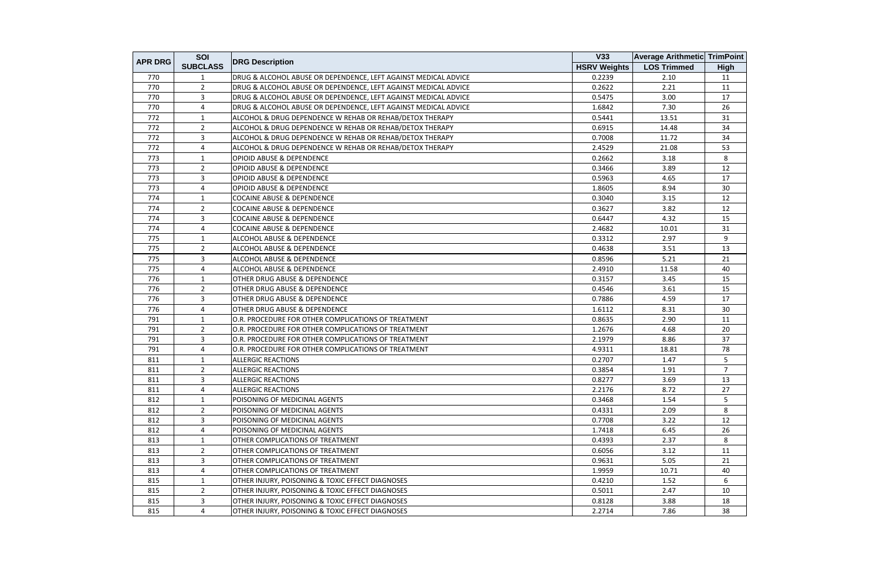| <b>APR DRG</b> | SOI             |                                                                 | <b>V33</b>          | <b>Average Arithmetic TrimPoint</b> |                |
|----------------|-----------------|-----------------------------------------------------------------|---------------------|-------------------------------------|----------------|
|                | <b>SUBCLASS</b> | <b>DRG Description</b>                                          | <b>HSRV Weights</b> | <b>LOS Trimmed</b>                  | <b>High</b>    |
| 770            | 1               | DRUG & ALCOHOL ABUSE OR DEPENDENCE, LEFT AGAINST MEDICAL ADVICE | 0.2239              | 2.10                                | 11             |
| 770            | $\overline{2}$  | DRUG & ALCOHOL ABUSE OR DEPENDENCE, LEFT AGAINST MEDICAL ADVICE | 0.2622              | 2.21                                | 11             |
| 770            | $\overline{3}$  | DRUG & ALCOHOL ABUSE OR DEPENDENCE, LEFT AGAINST MEDICAL ADVICE | 0.5475              | 3.00                                | 17             |
| 770            | 4               | DRUG & ALCOHOL ABUSE OR DEPENDENCE, LEFT AGAINST MEDICAL ADVICE | 1.6842              | 7.30                                | 26             |
| 772            | $\mathbf{1}$    | ALCOHOL & DRUG DEPENDENCE W REHAB OR REHAB/DETOX THERAPY        | 0.5441              | 13.51                               | 31             |
| 772            | $\overline{2}$  | ALCOHOL & DRUG DEPENDENCE W REHAB OR REHAB/DETOX THERAPY        | 0.6915              | 14.48                               | 34             |
| 772            | 3               | ALCOHOL & DRUG DEPENDENCE W REHAB OR REHAB/DETOX THERAPY        | 0.7008              | 11.72                               | 34             |
| 772            | 4               | ALCOHOL & DRUG DEPENDENCE W REHAB OR REHAB/DETOX THERAPY        | 2.4529              | 21.08                               | 53             |
| 773            | $\mathbf{1}$    | <b>OPIOID ABUSE &amp; DEPENDENCE</b>                            | 0.2662              | 3.18                                | 8              |
| 773            | $\overline{2}$  | <b>OPIOID ABUSE &amp; DEPENDENCE</b>                            | 0.3466              | 3.89                                | 12             |
| 773            | 3               | <b>OPIOID ABUSE &amp; DEPENDENCE</b>                            | 0.5963              | 4.65                                | 17             |
| 773            | 4               | <b>OPIOID ABUSE &amp; DEPENDENCE</b>                            | 1.8605              | 8.94                                | 30             |
| 774            | 1               | <b>COCAINE ABUSE &amp; DEPENDENCE</b>                           | 0.3040              | 3.15                                | 12             |
| 774            | $\overline{2}$  | <b>COCAINE ABUSE &amp; DEPENDENCE</b>                           | 0.3627              | 3.82                                | 12             |
| 774            | 3               | <b>COCAINE ABUSE &amp; DEPENDENCE</b>                           | 0.6447              | 4.32                                | 15             |
| 774            | 4               | <b>COCAINE ABUSE &amp; DEPENDENCE</b>                           | 2.4682              | 10.01                               | 31             |
| 775            | $\mathbf{1}$    | ALCOHOL ABUSE & DEPENDENCE                                      | 0.3312              | 2.97                                | 9              |
| 775            | $\overline{2}$  | ALCOHOL ABUSE & DEPENDENCE                                      | 0.4638              | 3.51                                | 13             |
| 775            | 3               | ALCOHOL ABUSE & DEPENDENCE                                      | 0.8596              | 5.21                                | 21             |
| 775            | 4               | ALCOHOL ABUSE & DEPENDENCE                                      | 2.4910              | 11.58                               | 40             |
| 776            | 1               | OTHER DRUG ABUSE & DEPENDENCE                                   | 0.3157              | 3.45                                | 15             |
| 776            | 2               | <b>OTHER DRUG ABUSE &amp; DEPENDENCE</b>                        | 0.4546              | 3.61                                | 15             |
| 776            | $\overline{3}$  | <b>OTHER DRUG ABUSE &amp; DEPENDENCE</b>                        | 0.7886              | 4.59                                | 17             |
| 776            | 4               | <b>OTHER DRUG ABUSE &amp; DEPENDENCE</b>                        | 1.6112              | 8.31                                | 30             |
| 791            | 1               | O.R. PROCEDURE FOR OTHER COMPLICATIONS OF TREATMENT             | 0.8635              | 2.90                                | 11             |
| 791            | $\overline{2}$  | O.R. PROCEDURE FOR OTHER COMPLICATIONS OF TREATMENT             | 1.2676              | 4.68                                | 20             |
| 791            | $\overline{3}$  | O.R. PROCEDURE FOR OTHER COMPLICATIONS OF TREATMENT             | 2.1979              | 8.86                                | 37             |
| 791            | 4               | O.R. PROCEDURE FOR OTHER COMPLICATIONS OF TREATMENT             | 4.9311              | 18.81                               | 78             |
| 811            | $\mathbf{1}$    | <b>ALLERGIC REACTIONS</b>                                       | 0.2707              | 1.47                                | 5              |
| 811            | $\overline{2}$  | <b>ALLERGIC REACTIONS</b>                                       | 0.3854              | 1.91                                | $\overline{7}$ |
| 811            | $\overline{3}$  | <b>ALLERGIC REACTIONS</b>                                       | 0.8277              | 3.69                                | 13             |
| 811            | 4               | <b>ALLERGIC REACTIONS</b>                                       | 2.2176              | 8.72                                | 27             |
| 812            | 1               | POISONING OF MEDICINAL AGENTS                                   | 0.3468              | 1.54                                | 5              |
| 812            | $\overline{2}$  | POISONING OF MEDICINAL AGENTS                                   | 0.4331              | 2.09                                | 8              |
| 812            | 3               | POISONING OF MEDICINAL AGENTS                                   | 0.7708              | 3.22                                | 12             |
| 812            | 4               | POISONING OF MEDICINAL AGENTS                                   | 1.7418              | 6.45                                | 26             |
| 813            | $\mathbf{1}$    | <b>OTHER COMPLICATIONS OF TREATMENT</b>                         | 0.4393              | 2.37                                | 8              |
| 813            | $\overline{2}$  | OTHER COMPLICATIONS OF TREATMENT                                | 0.6056              | 3.12                                | 11             |
| 813            | 3               | OTHER COMPLICATIONS OF TREATMENT                                | 0.9631              | 5.05                                | 21             |
| 813            | 4               | <b>OTHER COMPLICATIONS OF TREATMENT</b>                         | 1.9959              | 10.71                               | 40             |
| 815            | $\mathbf{1}$    | <b>OTHER INJURY, POISONING &amp; TOXIC EFFECT DIAGNOSES</b>     | 0.4210              | 1.52                                | 6              |
| 815            | $\overline{2}$  | OTHER INJURY, POISONING & TOXIC EFFECT DIAGNOSES                | 0.5011              | 2.47                                | 10             |
| 815            | $\overline{3}$  | OTHER INJURY, POISONING & TOXIC EFFECT DIAGNOSES                | 0.8128              | 3.88                                | 18             |
| 815            | 4               | OTHER INJURY, POISONING & TOXIC EFFECT DIAGNOSES                | 2.2714              | 7.86                                | 38             |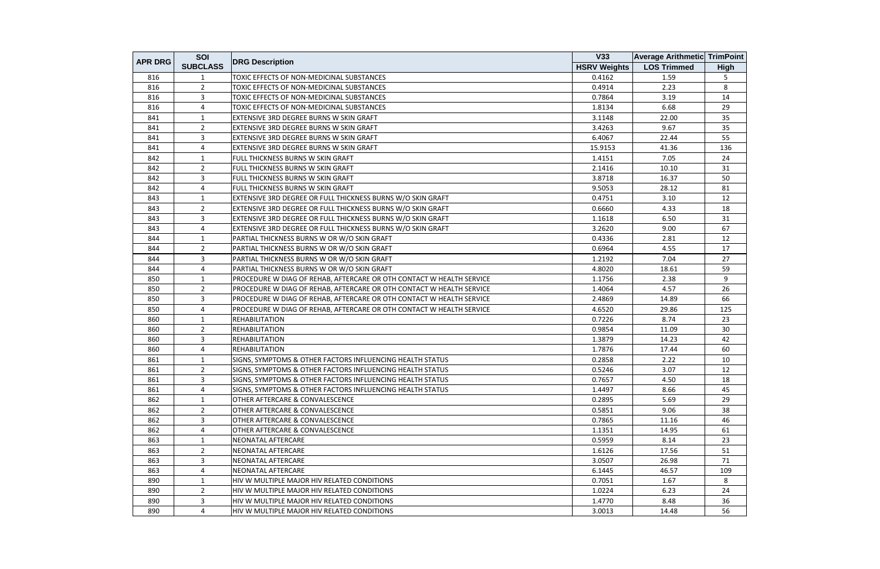| <b>APR DRG</b> | SOI             |                                                                      | V33                 | <b>Average Arithmetic TrimPoint</b> |             |
|----------------|-----------------|----------------------------------------------------------------------|---------------------|-------------------------------------|-------------|
|                | <b>SUBCLASS</b> | <b>DRG Description</b>                                               | <b>HSRV Weights</b> | <b>LOS Trimmed</b>                  | <b>High</b> |
| 816            | 1               | TOXIC EFFECTS OF NON-MEDICINAL SUBSTANCES                            | 0.4162              | 1.59                                | 5           |
| 816            | $\overline{2}$  | TOXIC EFFECTS OF NON-MEDICINAL SUBSTANCES                            | 0.4914              | 2.23                                | 8           |
| 816            | 3               | TOXIC EFFECTS OF NON-MEDICINAL SUBSTANCES                            | 0.7864              | 3.19                                | 14          |
| 816            | 4               | TOXIC EFFECTS OF NON-MEDICINAL SUBSTANCES                            | 1.8134              | 6.68                                | 29          |
| 841            | 1               | EXTENSIVE 3RD DEGREE BURNS W SKIN GRAFT                              | 3.1148              | 22.00                               | 35          |
| 841            | $\overline{2}$  | EXTENSIVE 3RD DEGREE BURNS W SKIN GRAFT                              | 3.4263              | 9.67                                | 35          |
| 841            | 3               | EXTENSIVE 3RD DEGREE BURNS W SKIN GRAFT                              | 6.4067              | 22.44                               | 55          |
| 841            | 4               | EXTENSIVE 3RD DEGREE BURNS W SKIN GRAFT                              | 15.9153             | 41.36                               | 136         |
| 842            | $\mathbf{1}$    | FULL THICKNESS BURNS W SKIN GRAFT                                    | 1.4151              | 7.05                                | 24          |
| 842            | $\overline{2}$  | FULL THICKNESS BURNS W SKIN GRAFT                                    | 2.1416              | 10.10                               | 31          |
| 842            | 3               | FULL THICKNESS BURNS W SKIN GRAFT                                    | 3.8718              | 16.37                               | 50          |
| 842            | 4               | FULL THICKNESS BURNS W SKIN GRAFT                                    | 9.5053              | 28.12                               | 81          |
| 843            | 1               | EXTENSIVE 3RD DEGREE OR FULL THICKNESS BURNS W/O SKIN GRAFT          | 0.4751              | 3.10                                | 12          |
| 843            | $\overline{2}$  | EXTENSIVE 3RD DEGREE OR FULL THICKNESS BURNS W/O SKIN GRAFT          | 0.6660              | 4.33                                | 18          |
| 843            | 3               | EXTENSIVE 3RD DEGREE OR FULL THICKNESS BURNS W/O SKIN GRAFT          | 1.1618              | 6.50                                | 31          |
| 843            | 4               | EXTENSIVE 3RD DEGREE OR FULL THICKNESS BURNS W/O SKIN GRAFT          | 3.2620              | 9.00                                | 67          |
| 844            | $\mathbf{1}$    | PARTIAL THICKNESS BURNS W OR W/O SKIN GRAFT                          | 0.4336              | 2.81                                | 12          |
| 844            | $\overline{2}$  | PARTIAL THICKNESS BURNS W OR W/O SKIN GRAFT                          | 0.6964              | 4.55                                | 17          |
| 844            | 3               | PARTIAL THICKNESS BURNS W OR W/O SKIN GRAFT                          | 1.2192              | 7.04                                | 27          |
| 844            | 4               | PARTIAL THICKNESS BURNS W OR W/O SKIN GRAFT                          | 4.8020              | 18.61                               | 59          |
| 850            | $\mathbf{1}$    | PROCEDURE W DIAG OF REHAB, AFTERCARE OR OTH CONTACT W HEALTH SERVICE | 1.1756              | 2.38                                | 9           |
| 850            | $\overline{2}$  | PROCEDURE W DIAG OF REHAB, AFTERCARE OR OTH CONTACT W HEALTH SERVICE | 1.4064              | 4.57                                | 26          |
| 850            | 3               | PROCEDURE W DIAG OF REHAB, AFTERCARE OR OTH CONTACT W HEALTH SERVICE | 2.4869              | 14.89                               | 66          |
| 850            | 4               | PROCEDURE W DIAG OF REHAB, AFTERCARE OR OTH CONTACT W HEALTH SERVICE | 4.6520              | 29.86                               | 125         |
| 860            | 1               | <b>REHABILITATION</b>                                                | 0.7226              | 8.74                                | 23          |
| 860            | $2^{\circ}$     | <b>REHABILITATION</b>                                                | 0.9854              | 11.09                               | 30          |
| 860            | 3               | <b>REHABILITATION</b>                                                | 1.3879              | 14.23                               | 42          |
| 860            | 4               | <b>REHABILITATION</b>                                                | 1.7876              | 17.44                               | 60          |
| 861            | 1               | SIGNS, SYMPTOMS & OTHER FACTORS INFLUENCING HEALTH STATUS            | 0.2858              | 2.22                                | 10          |
| 861            | $\overline{2}$  | SIGNS, SYMPTOMS & OTHER FACTORS INFLUENCING HEALTH STATUS            | 0.5246              | 3.07                                | 12          |
| 861            | 3               | SIGNS, SYMPTOMS & OTHER FACTORS INFLUENCING HEALTH STATUS            | 0.7657              | 4.50                                | 18          |
| 861            | 4               | SIGNS, SYMPTOMS & OTHER FACTORS INFLUENCING HEALTH STATUS            | 1.4497              | 8.66                                | 45          |
| 862            | 1               | OTHER AFTERCARE & CONVALESCENCE                                      | 0.2895              | 5.69                                | 29          |
| 862            | $\overline{2}$  | OTHER AFTERCARE & CONVALESCENCE                                      | 0.5851              | 9.06                                | 38          |
| 862            | 3               | OTHER AFTERCARE & CONVALESCENCE                                      | 0.7865              | 11.16                               | 46          |
| 862            | 4               | OTHER AFTERCARE & CONVALESCENCE                                      | 1.1351              | 14.95                               | 61          |
| 863            | 1               | <b>NEONATAL AFTERCARE</b>                                            | 0.5959              | 8.14                                | 23          |
| 863            | $\overline{2}$  | NEONATAL AFTERCARE                                                   | 1.6126              | 17.56                               | 51          |
| 863            | 3               | NEONATAL AFTERCARE                                                   | 3.0507              | 26.98                               | 71          |
| 863            | 4               | NEONATAL AFTERCARE                                                   | 6.1445              | 46.57                               | 109         |
| 890            | $\mathbf{1}$    | HIV W MULTIPLE MAJOR HIV RELATED CONDITIONS                          | 0.7051              | 1.67                                | 8           |
| 890            | $\overline{2}$  | HIV W MULTIPLE MAJOR HIV RELATED CONDITIONS                          | 1.0224              | 6.23                                | 24          |
| 890            | $\mathbf{3}$    | HIV W MULTIPLE MAJOR HIV RELATED CONDITIONS                          | 1.4770              | 8.48                                | 36          |
| 890            | 4               | HIV W MULTIPLE MAJOR HIV RELATED CONDITIONS                          | 3.0013              | 14.48                               | 56          |
|                |                 |                                                                      |                     |                                     |             |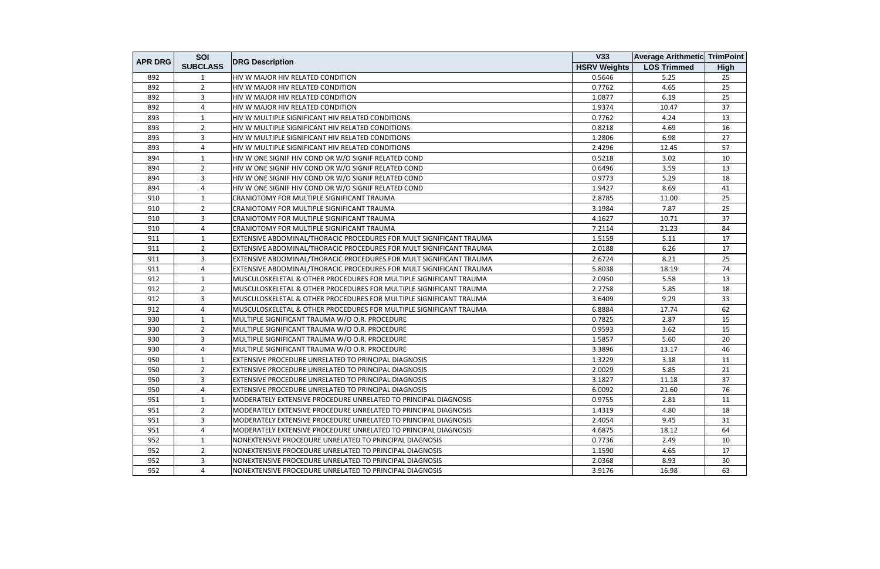| <b>APR DRG</b> | SOI             |                                                                     | V33                 | <b>Average Arithmetic TrimPoint</b> |      |
|----------------|-----------------|---------------------------------------------------------------------|---------------------|-------------------------------------|------|
|                | <b>SUBCLASS</b> | <b>DRG Description</b>                                              | <b>HSRV Weights</b> | <b>LOS Trimmed</b>                  | High |
| 892            | 1               | HIV W MAJOR HIV RELATED CONDITION                                   | 0.5646              | 5.25                                | 25   |
| 892            | $\overline{2}$  | <b>HIV W MAJOR HIV RELATED CONDITION</b>                            | 0.7762              | 4.65                                | 25   |
| 892            | 3               | <b>HIV W MAJOR HIV RELATED CONDITION</b>                            | 1.0877              | 6.19                                | 25   |
| 892            | 4               | HIV W MAJOR HIV RELATED CONDITION                                   | 1.9374              | 10.47                               | 37   |
| 893            | 1               | HIV W MULTIPLE SIGNIFICANT HIV RELATED CONDITIONS                   | 0.7762              | 4.24                                | 13   |
| 893            | $\overline{2}$  | HIV W MULTIPLE SIGNIFICANT HIV RELATED CONDITIONS                   | 0.8218              | 4.69                                | 16   |
| 893            | 3               | HIV W MULTIPLE SIGNIFICANT HIV RELATED CONDITIONS                   | 1.2806              | 6.98                                | 27   |
| 893            | 4               | HIV W MULTIPLE SIGNIFICANT HIV RELATED CONDITIONS                   | 2.4296              | 12.45                               | 57   |
| 894            | $\mathbf{1}$    | HIV W ONE SIGNIF HIV COND OR W/O SIGNIF RELATED COND                | 0.5218              | 3.02                                | 10   |
| 894            | $\overline{2}$  | HIV W ONE SIGNIF HIV COND OR W/O SIGNIF RELATED COND                | 0.6496              | 3.59                                | 13   |
| 894            | $\overline{3}$  | HIV W ONE SIGNIF HIV COND OR W/O SIGNIF RELATED COND                | 0.9773              | 5.29                                | 18   |
| 894            | 4               | HIV W ONE SIGNIF HIV COND OR W/O SIGNIF RELATED COND                | 1.9427              | 8.69                                | 41   |
| 910            | 1               | CRANIOTOMY FOR MULTIPLE SIGNIFICANT TRAUMA                          | 2.8785              | 11.00                               | 25   |
| 910            | $\overline{2}$  | CRANIOTOMY FOR MULTIPLE SIGNIFICANT TRAUMA                          | 3.1984              | 7.87                                | 25   |
| 910            | 3               | CRANIOTOMY FOR MULTIPLE SIGNIFICANT TRAUMA                          | 4.1627              | 10.71                               | 37   |
| 910            | 4               | CRANIOTOMY FOR MULTIPLE SIGNIFICANT TRAUMA                          | 7.2114              | 21.23                               | 84   |
| 911            | 1               | EXTENSIVE ABDOMINAL/THORACIC PROCEDURES FOR MULT SIGNIFICANT TRAUMA | 1.5159              | 5.11                                | 17   |
| 911            | $\overline{2}$  | EXTENSIVE ABDOMINAL/THORACIC PROCEDURES FOR MULT SIGNIFICANT TRAUMA | 2.0188              | 6.26                                | 17   |
| 911            | 3               | EXTENSIVE ABDOMINAL/THORACIC PROCEDURES FOR MULT SIGNIFICANT TRAUMA | 2.6724              | 8.21                                | 25   |
| 911            | $\overline{4}$  | EXTENSIVE ABDOMINAL/THORACIC PROCEDURES FOR MULT SIGNIFICANT TRAUMA | 5.8038              | 18.19                               | 74   |
| 912            | 1               | MUSCULOSKELETAL & OTHER PROCEDURES FOR MULTIPLE SIGNIFICANT TRAUMA  | 2.0950              | 5.58                                | 13   |
| 912            | $\overline{2}$  | MUSCULOSKELETAL & OTHER PROCEDURES FOR MULTIPLE SIGNIFICANT TRAUMA  | 2.2758              | 5.85                                | 18   |
| 912            | 3               | MUSCULOSKELETAL & OTHER PROCEDURES FOR MULTIPLE SIGNIFICANT TRAUMA  | 3.6409              | 9.29                                | 33   |
| 912            | 4               | MUSCULOSKELETAL & OTHER PROCEDURES FOR MULTIPLE SIGNIFICANT TRAUMA  | 6.8884              | 17.74                               | 62   |
| 930            | $\mathbf{1}$    | MULTIPLE SIGNIFICANT TRAUMA W/O O.R. PROCEDURE                      | 0.7825              | 2.87                                | 15   |
| 930            | $\overline{2}$  | MULTIPLE SIGNIFICANT TRAUMA W/O O.R. PROCEDURE                      | 0.9593              | 3.62                                | 15   |
| 930            | 3               | MULTIPLE SIGNIFICANT TRAUMA W/O O.R. PROCEDURE                      | 1.5857              | 5.60                                | 20   |
| 930            | 4               | MULTIPLE SIGNIFICANT TRAUMA W/O O.R. PROCEDURE                      | 3.3896              | 13.17                               | 46   |
| 950            | $\mathbf{1}$    | EXTENSIVE PROCEDURE UNRELATED TO PRINCIPAL DIAGNOSIS                | 1.3229              | 3.18                                | 11   |
| 950            | $\overline{2}$  | <b>EXTENSIVE PROCEDURE UNRELATED TO PRINCIPAL DIAGNOSIS</b>         | 2.0029              | 5.85                                | 21   |
| 950            | 3               | EXTENSIVE PROCEDURE UNRELATED TO PRINCIPAL DIAGNOSIS                | 3.1827              | 11.18                               | 37   |
| 950            | 4               | EXTENSIVE PROCEDURE UNRELATED TO PRINCIPAL DIAGNOSIS                | 6.0092              | 21.60                               | 76   |
| 951            | 1               | MODERATELY EXTENSIVE PROCEDURE UNRELATED TO PRINCIPAL DIAGNOSIS     | 0.9755              | 2.81                                | 11   |
| 951            | 2               | MODERATELY EXTENSIVE PROCEDURE UNRELATED TO PRINCIPAL DIAGNOSIS     | 1.4319              | 4.80                                | 18   |
| 951            | 3               | IMODERATELY EXTENSIVE PROCEDURE UNRELATED TO PRINCIPAL DIAGNOSIS.   | 2.4054              | 9.45                                | 31   |
| 951            | 4               | MODERATELY EXTENSIVE PROCEDURE UNRELATED TO PRINCIPAL DIAGNOSIS     | 4.6875              | 18.12                               | 64   |
| 952            | 1               | NONEXTENSIVE PROCEDURE UNRELATED TO PRINCIPAL DIAGNOSIS             | 0.7736              | 2.49                                | 10   |
| 952            | $\overline{2}$  | INONEXTENSIVE PROCEDURE UNRELATED TO PRINCIPAL DIAGNOSIS            | 1.1590              | 4.65                                | 17   |
| 952            | $\overline{3}$  | NONEXTENSIVE PROCEDURE UNRELATED TO PRINCIPAL DIAGNOSIS             | 2.0368              | 8.93                                | 30   |
| 952            | $\overline{4}$  | NONEXTENSIVE PROCEDURE UNRELATED TO PRINCIPAL DIAGNOSIS             | 3.9176              | 16.98                               | 63   |